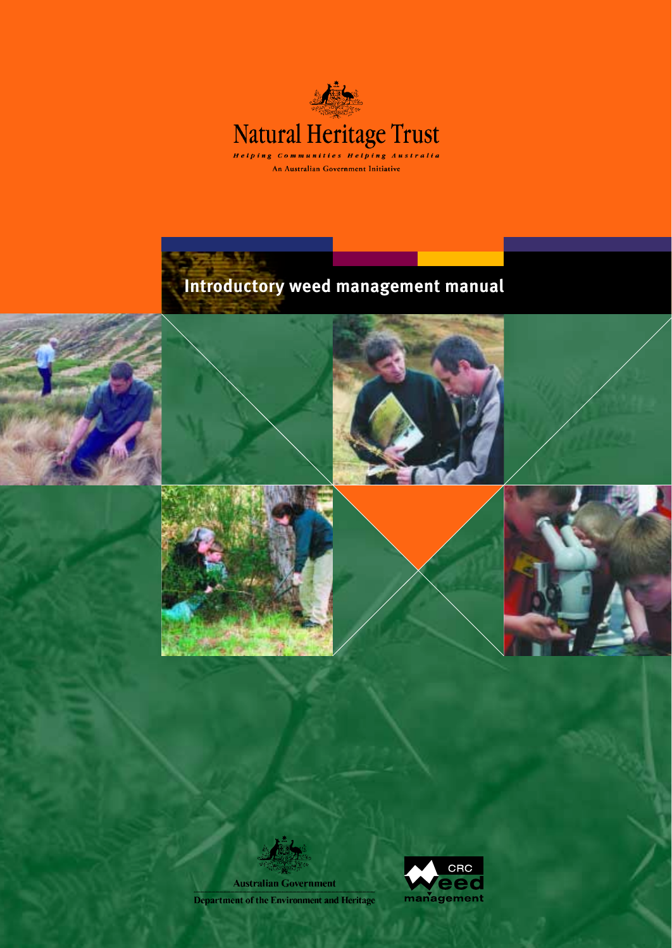

# **Introductory weed management manual**











**Australian Government Department of the Environment and Heritage** 

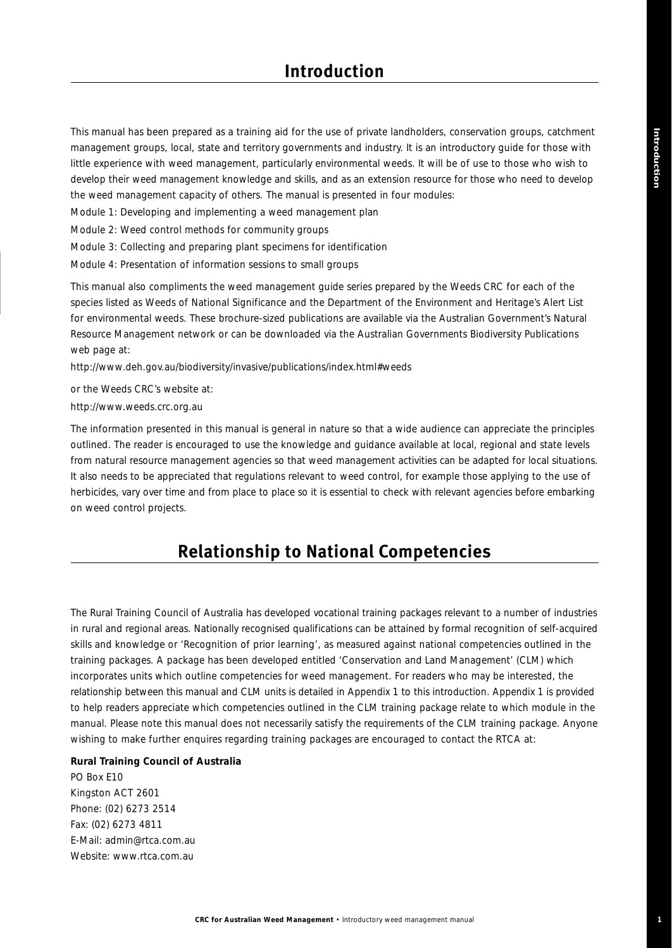This manual has been prepared as a training aid for the use of private landholders, conservation groups, catchment management groups, local, state and territory governments and industry. It is an introductory guide for those with little experience with weed management, particularly environmental weeds. It will be of use to those who wish to develop their weed management knowledge and skills, and as an extension resource for those who need to develop the weed management capacity of others. The manual is presented in four modules:

Module 1: *Developing and implementing a weed management plan*

Module 2: *Weed control methods for community groups*

Module 3: *Collecting and preparing plant specimens for identificatio*n

Module 4: *Presentation of information sessions to small groups*

This manual also compliments the weed management guide series prepared by the Weeds CRC for each of the species listed as *Weeds of National Significance* and the Department of the Environment and Heritage's *Alert List* for environmental weeds. These brochure-sized publications are available via the Australian Government's Natural Resource Management network or can be downloaded via the Australian Governments Biodiversity Publications web page at:

http://www.deh.gov.au/biodiversity/invasive/publications/index.html#weeds

or the Weeds CRC's website at:

http://www.weeds.crc.org.au

The information presented in this manual is general in nature so that a wide audience can appreciate the principles outlined. The reader is encouraged to use the knowledge and guidance available at local, regional and state levels from natural resource management agencies so that weed management activities can be adapted for local situations. It also needs to be appreciated that regulations relevant to weed control, for example those applying to the use of herbicides, vary over time and from place to place so it is essential to check with relevant agencies before embarking on weed control projects.

## **Relationship to National Competencies**

The Rural Training Council of Australia has developed vocational training packages relevant to a number of industries in rural and regional areas. Nationally recognised qualifications can be attained by formal recognition of self-acquired skills and knowledge or 'Recognition of prior learning', as measured against national competencies outlined in the training packages. A package has been developed entitled 'Conservation and Land Management' (CLM) which incorporates units which outline competencies for weed management. For readers who may be interested, the relationship between this manual and CLM units is detailed in Appendix 1 to this introduction. Appendix 1 is provided to help readers appreciate which competencies outlined in the CLM training package relate to which module in the manual. Please note this manual does not necessarily satisfy the requirements of the CLM training package. Anyone wishing to make further enquires regarding training packages are encouraged to contact the RTCA at:

#### **Rural Training Council of Australia**

PO Box E10 Kingston ACT 2601 Phone: (02) 6273 2514 Fax: (02) 6273 4811 E-Mail: admin@rtca.com.au Website: www.rtca.com.au

**1**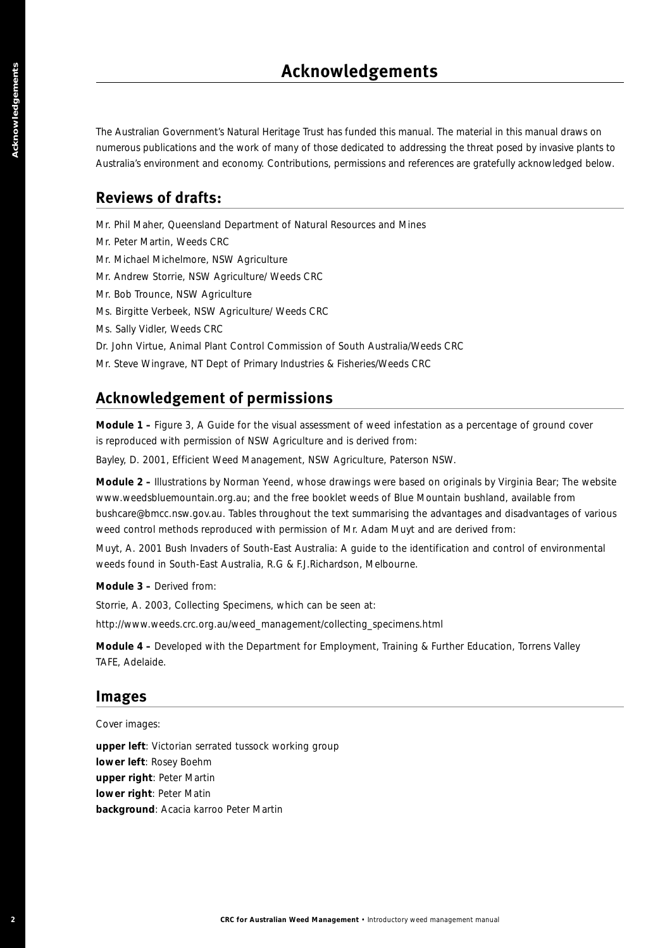The Australian Government's Natural Heritage Trust has funded this manual. The material in this manual draws on numerous publications and the work of many of those dedicated to addressing the threat posed by invasive plants to Australia's environment and economy. Contributions, permissions and references are gratefully acknowledged below.

## **Reviews of drafts:**

Mr. Phil Maher, Queensland Department of Natural Resources and Mines

- Mr. Peter Martin, Weeds CRC
- Mr. Michael Michelmore, NSW Agriculture
- Mr. Andrew Storrie, NSW Agriculture/ Weeds CRC
- Mr. Bob Trounce, NSW Agriculture
- Ms. Birgitte Verbeek, NSW Agriculture/ Weeds CRC
- Ms. Sally Vidler, Weeds CRC
- Dr. John Virtue, Animal Plant Control Commission of South Australia/Weeds CRC
- Mr. Steve Wingrave, NT Dept of Primary Industries & Fisheries/Weeds CRC

## **Acknowledgement of permissions**

**Module 1 –** Figure 3, *A Guide for the visual assessment of weed infestation as a percentage of ground cover* is reproduced with permission of NSW Agriculture and is derived from:

Bayley, D. 2001, *Efficient Weed Management*, NSW Agriculture, Paterson NSW.

**2 2 CRC**<br>**2 CRC**<br>**2 CRC**<br>**2 CRC**<br>**2 CRC**<br>**2 CRC**<br>**2 CRC**<br>**2 CRC**<br>**2 CRC**<br>**2 CRC**<br>**2 CRC**<br>**2 CRC**<br>**2 CRC**<br>**2 CRC**<br>**2 CRC**<br>**2 CRC**<br>**2 CRC**<br>**2 CRC**<br>**2 CRC**<br>**2 CRC**<br>**2 CRC**<br>**2 CRC Module 2 –** Illustrations by Norman Yeend, whose drawings were based on originals by Virginia Bear; The website www.weedsbluemountain.org.au; and the free booklet weeds of Blue Mountain bushland, available from bushcare@bmcc.nsw.gov.au. Tables throughout the text summarising the advantages and disadvantages of various weed control methods reproduced with permission of Mr. Adam Muyt and are derived from:

Muyt, A. 2001 *Bush Invaders of South-East Australia: A guide to the identification and control of environmental weeds found in South-East Australia,* R.G & F.J.Richardson, Melbourne.

#### **Module 3 –** Derived from:

Storrie, A. 2003, *Collecting Specimens*, which can be seen at:

http://www.weeds.crc.org.au/weed\_management/collecting\_specimens.html

**Module 4 –** Developed with the Department for Employment, Training & Further Education, Torrens Valley TAFE, Adelaide.

### **Images**

Cover images:

**upper left**: Victorian serrated tussock working group **lower left**: Rosey Boehm **upper right**: Peter Martin **lower right**: Peter Matin **background**: *Acacia karroo* Peter Martin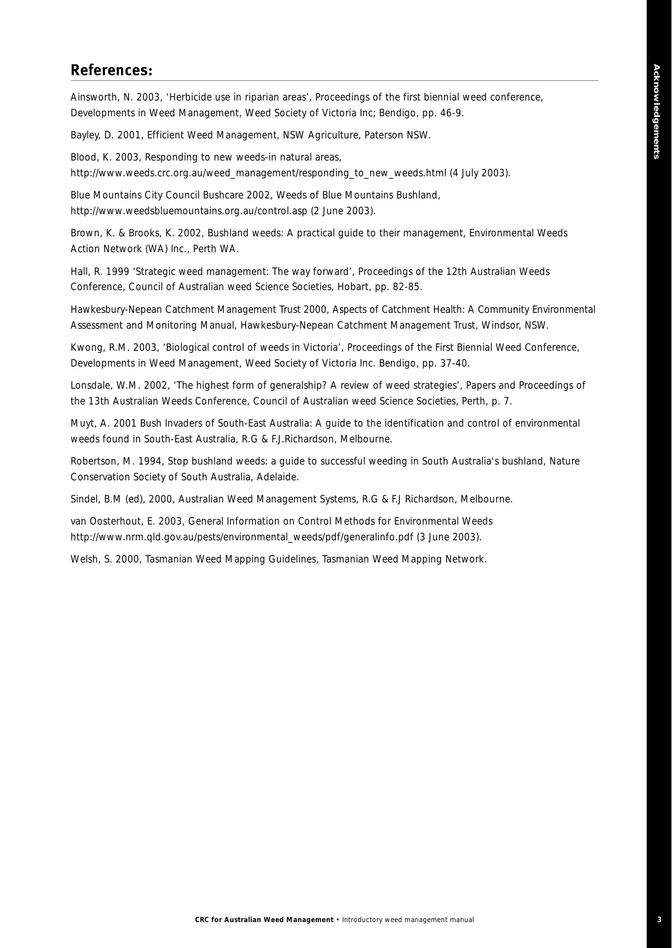## **References:**

Ainsworth, N. 2003, 'Herbicide use in riparian areas', *Proceedings of the first biennial weed conference, Developments in Weed Management*, Weed Society of Victoria Inc; Bendigo, pp. 46-9.

Bayley, D. 2001, *Efficient Weed Management*, NSW Agriculture, Paterson NSW.

Blood, K. 2003, *Responding to new weeds-in natural areas*, http://www.weeds.crc.org.au/weed\_management/responding\_to\_new\_weeds.html (4 July 2003).

Blue Mountains City Council Bushcare 2002, *Weeds of Blue Mountains Bushland*, http://www.weedsbluemountains.org.au/control.asp (2 June 2003).

Brown, K. & Brooks, K. 2002, Bushland weeds: *A practical guide to their management*, Environmental Weeds Action Network (WA) Inc., Perth WA.

Hall, R. 1999 'Strategic weed management: The way forward', *Proceedings of the 12th Australian Weeds Conference*, Council of Australian weed Science Societies, Hobart, pp. 82-85.

Hawkesbury-Nepean Catchment Management Trust 2000, *Aspects of Catchment Health: A Community Environmental Assessment and Monitoring Manual*, Hawkesbury-Nepean Catchment Management Trust, Windsor, NSW.

Kwong, R.M. 2003, 'Biological control of weeds in Victoria', *Proceedings of the First Biennial Weed Conference, Developments in Weed Management*, Weed Society of Victoria Inc. Bendigo, pp. 37-40.

Lonsdale, W.M. 2002, 'The highest form of generalship? A review of weed strategies', *Papers and Proceedings of the 13th Australian Weeds Conference*, Council of Australian weed Science Societies, Perth, p. 7.

Muyt, A. 2001 *Bush Invaders of South-East Australia: A guide to the identification and control of environmental weeds found in South-East Australia,* R.G & F.J.Richardson, Melbourne.

Robertson, M. 1994, *Stop bushland weeds: a guide to successful weeding in South Australia's bushland*, Nature Conservation Society of South Australia, Adelaide.

Sindel, B.M (ed), 2000, *Australian Weed Management Systems*, R.G & F.J Richardson, Melbourne.

van Oosterhout, E. 2003, *General Information on Control Methods for Environmental Weeds* http://www.nrm.qld.gov.au/pests/environmental\_weeds/pdf/generalinfo.pdf (3 June 2003).

Welsh, S. 2000, *Tasmanian Weed Mapping Guidelines*, Tasmanian Weed Mapping Network.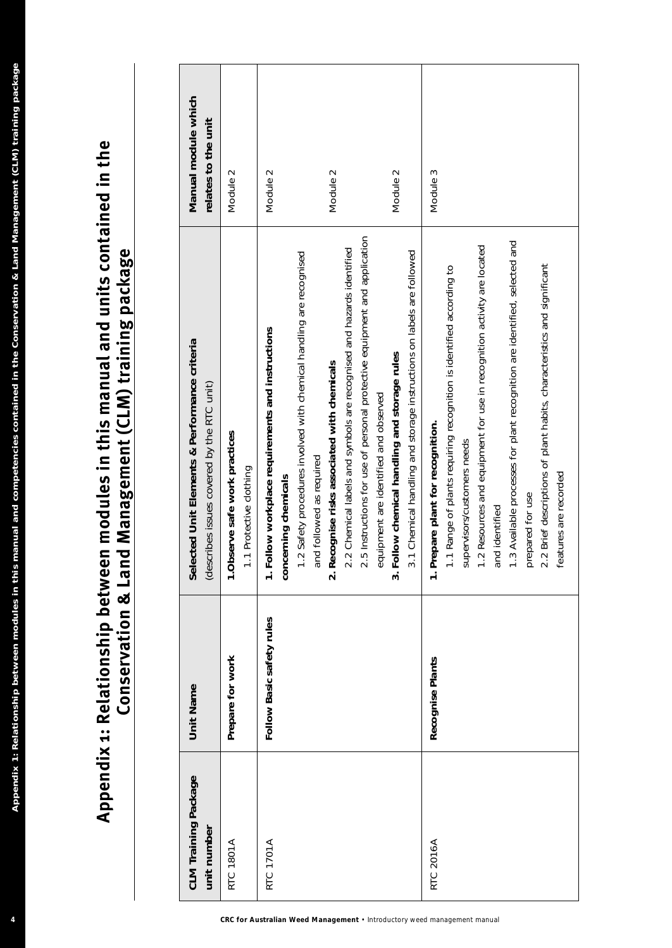| <b>CLM Training Package</b><br>unit number                                                   | Unit Name                 | Selected Unit Elements & Performance criteria<br>(describes issues covered by the RTC unit)                                                                                                                                                                                                                                                                                                                                                        | Manual module which<br>relates to the unit |
|----------------------------------------------------------------------------------------------|---------------------------|----------------------------------------------------------------------------------------------------------------------------------------------------------------------------------------------------------------------------------------------------------------------------------------------------------------------------------------------------------------------------------------------------------------------------------------------------|--------------------------------------------|
| RTC 1801A                                                                                    | Prepare for work          | 1. Observe safe work practices<br>1.1 Protective clothing                                                                                                                                                                                                                                                                                                                                                                                          | $\scriptstyle\sim$<br>Module               |
| RTC 1701A                                                                                    | Follow Basic safety rules | 1.2 Safety procedures involved with chemical handling are recognised<br>Follow workplace requirements and instructions<br>and followed as required<br>concerning chemicals<br>$\div$                                                                                                                                                                                                                                                               | $\sim$<br>Module                           |
|                                                                                              |                           | 2.5 Instructions for use of personal protective equipment and application<br>2.2 Chemical labels and symbols are recognised and hazards identified<br>Recognise risks associated with chemicals<br>equipment are identified and observed<br>$\overline{\mathbf{v}}$                                                                                                                                                                                | Module 2                                   |
|                                                                                              |                           | 3.1 Chemical handling and storage instructions on labels are followed<br>Follow chemical handling and storage rules<br>$\dot{\mathbf{c}}$                                                                                                                                                                                                                                                                                                          | Module 2                                   |
| <b>RTC 2016A</b><br>CRC for Australian Weed Management . Introductory weed management manual | Recognise Plants          | 1.3 Available processes for plant recognition are identified, selected and<br>1.2 Resources and equipment for use in recognition activity are located<br>2.2 Brief descriptions of plant habits, characteristics and significant<br>1.1 Range of plants requiring recognition is identified according to<br>Prepare plant for recognition.<br>supervisors/customers needs<br>features are recorded<br>prepared for use<br>and identified<br>$\div$ | 3<br>Module                                |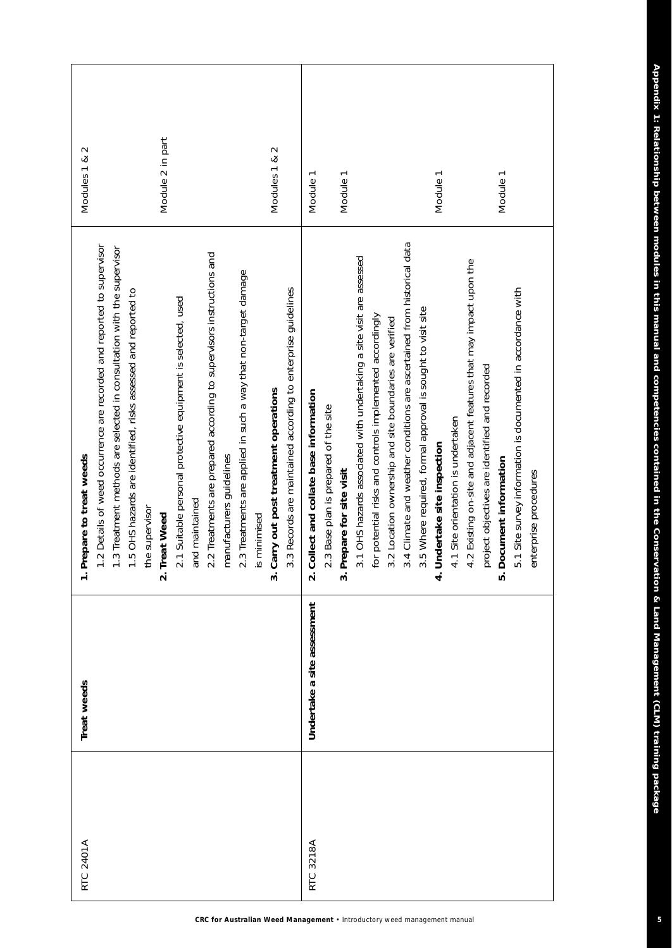| Module 2 in part<br>Modules 1 & 2<br>Module 1<br>Module 1<br>Module 1<br>Module 1<br>3.4 Climate and weather conditions are ascertained from historical data<br>.2 Details of weed occurrence are recorded and reported to supervisor<br>.3 Treatment methods are selected in consultation with the supervisor<br>2.2 Treatments are prepared according to supervisors instructions and<br>3.1 OHS hazards associated with undertaking a site visit are assessed<br>4.2 Existing on-site and adjacent features that may impact upon the<br>2.3 Treatments are applied in such a way that non-target damage<br>5.1 Site survey information is documented in accordance with<br>3.3 Records are maintained according to enterprise guidelines<br>.5 OHS hazards are identified, risks assessed and reported to<br>2.1 Suitable personal protective equipment is selected, used<br>3.5 Where required, formal approval is sought to visit site<br>for potential risks and controls implemented accordingly<br>3.2 Location ownership and site boundaries are verified<br>project objectives are identified and recorded<br>Carry out post treatment operations<br>Collect and collate base information<br>2.3 Base plan is prepared of the site<br>4.1 Site orientation is undertaken<br>Indertake site inspection<br>manufacturers guidelines<br>Document information<br>3. Prepare for site visit<br>enterprise procedures<br>and maintained<br>he supervisor<br>reat Weed<br>is minimised<br>⊐<br>4<br>$\overline{\mathbf{v}}$<br>ъ,<br>$\dot{\mathbf{c}}$<br>$\overline{\mathbf{v}}$<br>Undertake a site assessment<br>3218A<br>RTC. | <b>RTC 2401A</b> | Treat weeds | repare to treat weeds | $\sim$<br>Modules 1 & |
|---------------------------------------------------------------------------------------------------------------------------------------------------------------------------------------------------------------------------------------------------------------------------------------------------------------------------------------------------------------------------------------------------------------------------------------------------------------------------------------------------------------------------------------------------------------------------------------------------------------------------------------------------------------------------------------------------------------------------------------------------------------------------------------------------------------------------------------------------------------------------------------------------------------------------------------------------------------------------------------------------------------------------------------------------------------------------------------------------------------------------------------------------------------------------------------------------------------------------------------------------------------------------------------------------------------------------------------------------------------------------------------------------------------------------------------------------------------------------------------------------------------------------------------------------------------------------------------------------------------------------------------|------------------|-------------|-----------------------|-----------------------|
|                                                                                                                                                                                                                                                                                                                                                                                                                                                                                                                                                                                                                                                                                                                                                                                                                                                                                                                                                                                                                                                                                                                                                                                                                                                                                                                                                                                                                                                                                                                                                                                                                                       |                  |             |                       |                       |
|                                                                                                                                                                                                                                                                                                                                                                                                                                                                                                                                                                                                                                                                                                                                                                                                                                                                                                                                                                                                                                                                                                                                                                                                                                                                                                                                                                                                                                                                                                                                                                                                                                       |                  |             |                       |                       |
|                                                                                                                                                                                                                                                                                                                                                                                                                                                                                                                                                                                                                                                                                                                                                                                                                                                                                                                                                                                                                                                                                                                                                                                                                                                                                                                                                                                                                                                                                                                                                                                                                                       |                  |             |                       |                       |
|                                                                                                                                                                                                                                                                                                                                                                                                                                                                                                                                                                                                                                                                                                                                                                                                                                                                                                                                                                                                                                                                                                                                                                                                                                                                                                                                                                                                                                                                                                                                                                                                                                       |                  |             |                       |                       |
|                                                                                                                                                                                                                                                                                                                                                                                                                                                                                                                                                                                                                                                                                                                                                                                                                                                                                                                                                                                                                                                                                                                                                                                                                                                                                                                                                                                                                                                                                                                                                                                                                                       |                  |             |                       |                       |
|                                                                                                                                                                                                                                                                                                                                                                                                                                                                                                                                                                                                                                                                                                                                                                                                                                                                                                                                                                                                                                                                                                                                                                                                                                                                                                                                                                                                                                                                                                                                                                                                                                       |                  |             |                       |                       |
|                                                                                                                                                                                                                                                                                                                                                                                                                                                                                                                                                                                                                                                                                                                                                                                                                                                                                                                                                                                                                                                                                                                                                                                                                                                                                                                                                                                                                                                                                                                                                                                                                                       |                  |             |                       |                       |
|                                                                                                                                                                                                                                                                                                                                                                                                                                                                                                                                                                                                                                                                                                                                                                                                                                                                                                                                                                                                                                                                                                                                                                                                                                                                                                                                                                                                                                                                                                                                                                                                                                       |                  |             |                       |                       |
|                                                                                                                                                                                                                                                                                                                                                                                                                                                                                                                                                                                                                                                                                                                                                                                                                                                                                                                                                                                                                                                                                                                                                                                                                                                                                                                                                                                                                                                                                                                                                                                                                                       |                  |             |                       |                       |
|                                                                                                                                                                                                                                                                                                                                                                                                                                                                                                                                                                                                                                                                                                                                                                                                                                                                                                                                                                                                                                                                                                                                                                                                                                                                                                                                                                                                                                                                                                                                                                                                                                       |                  |             |                       |                       |
|                                                                                                                                                                                                                                                                                                                                                                                                                                                                                                                                                                                                                                                                                                                                                                                                                                                                                                                                                                                                                                                                                                                                                                                                                                                                                                                                                                                                                                                                                                                                                                                                                                       |                  |             |                       |                       |
|                                                                                                                                                                                                                                                                                                                                                                                                                                                                                                                                                                                                                                                                                                                                                                                                                                                                                                                                                                                                                                                                                                                                                                                                                                                                                                                                                                                                                                                                                                                                                                                                                                       |                  |             |                       |                       |
|                                                                                                                                                                                                                                                                                                                                                                                                                                                                                                                                                                                                                                                                                                                                                                                                                                                                                                                                                                                                                                                                                                                                                                                                                                                                                                                                                                                                                                                                                                                                                                                                                                       |                  |             |                       |                       |
|                                                                                                                                                                                                                                                                                                                                                                                                                                                                                                                                                                                                                                                                                                                                                                                                                                                                                                                                                                                                                                                                                                                                                                                                                                                                                                                                                                                                                                                                                                                                                                                                                                       |                  |             |                       |                       |
|                                                                                                                                                                                                                                                                                                                                                                                                                                                                                                                                                                                                                                                                                                                                                                                                                                                                                                                                                                                                                                                                                                                                                                                                                                                                                                                                                                                                                                                                                                                                                                                                                                       |                  |             |                       |                       |
|                                                                                                                                                                                                                                                                                                                                                                                                                                                                                                                                                                                                                                                                                                                                                                                                                                                                                                                                                                                                                                                                                                                                                                                                                                                                                                                                                                                                                                                                                                                                                                                                                                       |                  |             |                       |                       |
|                                                                                                                                                                                                                                                                                                                                                                                                                                                                                                                                                                                                                                                                                                                                                                                                                                                                                                                                                                                                                                                                                                                                                                                                                                                                                                                                                                                                                                                                                                                                                                                                                                       |                  |             |                       |                       |
|                                                                                                                                                                                                                                                                                                                                                                                                                                                                                                                                                                                                                                                                                                                                                                                                                                                                                                                                                                                                                                                                                                                                                                                                                                                                                                                                                                                                                                                                                                                                                                                                                                       |                  |             |                       |                       |
|                                                                                                                                                                                                                                                                                                                                                                                                                                                                                                                                                                                                                                                                                                                                                                                                                                                                                                                                                                                                                                                                                                                                                                                                                                                                                                                                                                                                                                                                                                                                                                                                                                       |                  |             |                       |                       |
|                                                                                                                                                                                                                                                                                                                                                                                                                                                                                                                                                                                                                                                                                                                                                                                                                                                                                                                                                                                                                                                                                                                                                                                                                                                                                                                                                                                                                                                                                                                                                                                                                                       |                  |             |                       |                       |
|                                                                                                                                                                                                                                                                                                                                                                                                                                                                                                                                                                                                                                                                                                                                                                                                                                                                                                                                                                                                                                                                                                                                                                                                                                                                                                                                                                                                                                                                                                                                                                                                                                       |                  |             |                       |                       |
|                                                                                                                                                                                                                                                                                                                                                                                                                                                                                                                                                                                                                                                                                                                                                                                                                                                                                                                                                                                                                                                                                                                                                                                                                                                                                                                                                                                                                                                                                                                                                                                                                                       |                  |             |                       |                       |
|                                                                                                                                                                                                                                                                                                                                                                                                                                                                                                                                                                                                                                                                                                                                                                                                                                                                                                                                                                                                                                                                                                                                                                                                                                                                                                                                                                                                                                                                                                                                                                                                                                       |                  |             |                       |                       |
|                                                                                                                                                                                                                                                                                                                                                                                                                                                                                                                                                                                                                                                                                                                                                                                                                                                                                                                                                                                                                                                                                                                                                                                                                                                                                                                                                                                                                                                                                                                                                                                                                                       |                  |             |                       |                       |
|                                                                                                                                                                                                                                                                                                                                                                                                                                                                                                                                                                                                                                                                                                                                                                                                                                                                                                                                                                                                                                                                                                                                                                                                                                                                                                                                                                                                                                                                                                                                                                                                                                       |                  |             |                       |                       |
|                                                                                                                                                                                                                                                                                                                                                                                                                                                                                                                                                                                                                                                                                                                                                                                                                                                                                                                                                                                                                                                                                                                                                                                                                                                                                                                                                                                                                                                                                                                                                                                                                                       |                  |             |                       |                       |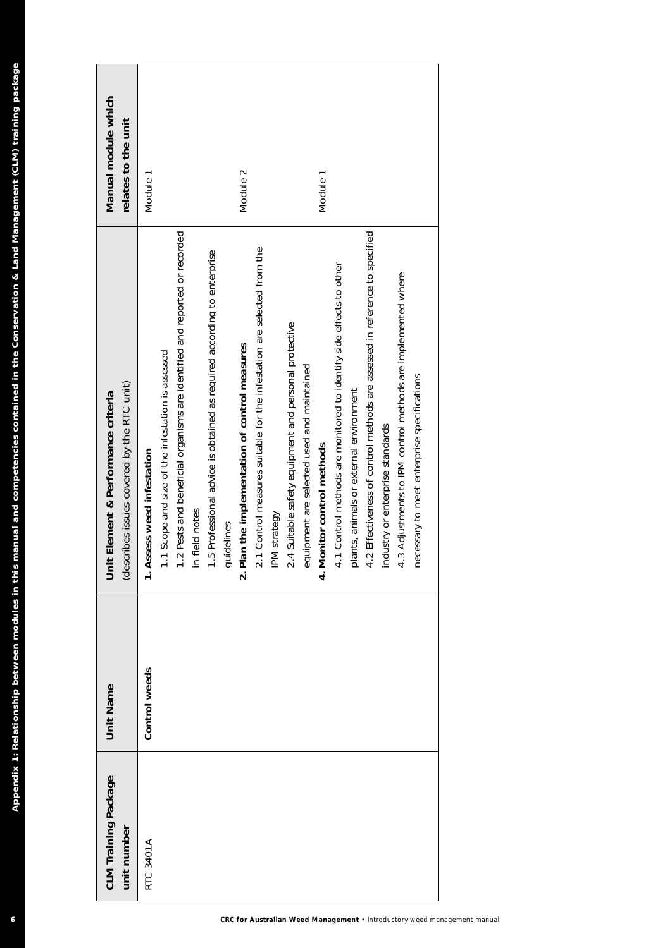| CLM Training Package<br>unit number | <b>Unit Name</b> | (describes issues covered by the RTC unit)<br>t Element & Performance criteria<br>Ē | Manual module which<br>relates to the unit |
|-------------------------------------|------------------|-------------------------------------------------------------------------------------|--------------------------------------------|
| <b>RTC 3401A</b>                    | Control weeds    | 1. Assess weed infestation                                                          | Module 1                                   |
|                                     |                  | .1 Scope and size of the infestation is assessed                                    |                                            |
|                                     |                  | .2 Pests and beneficial organisms are identified and reported or recorded           |                                            |
|                                     |                  | in field notes                                                                      |                                            |
|                                     |                  | 1.5 Professional advice is obtained as required according to enterprise             |                                            |
|                                     |                  | guidelines                                                                          |                                            |
|                                     |                  | Plan the implementation of control measures<br>$\dot{\mathbf{v}}$                   | Module 2                                   |
|                                     |                  | 2.1 Control measures suitable for the infestation are selected from the             |                                            |
|                                     |                  | IPM strategy                                                                        |                                            |
|                                     |                  | 2.4 Suitable safety equipment and personal protective                               |                                            |
|                                     |                  | equipment are selected used and maintained                                          |                                            |
|                                     |                  | 4. Monitor control methods                                                          | Module 1                                   |
|                                     |                  | 4.1 Control methods are monitored to identify side effects to other                 |                                            |
|                                     |                  | plants, animals or external environment                                             |                                            |
|                                     |                  | 4.2 Effectiveness of control methods are assessed in reference to specified         |                                            |
|                                     |                  | industry or enterprise standards                                                    |                                            |
|                                     |                  | 4.3 Adjustments to IPM control methods are implemented where                        |                                            |
|                                     |                  | necessary to meet enterprise specifications                                         |                                            |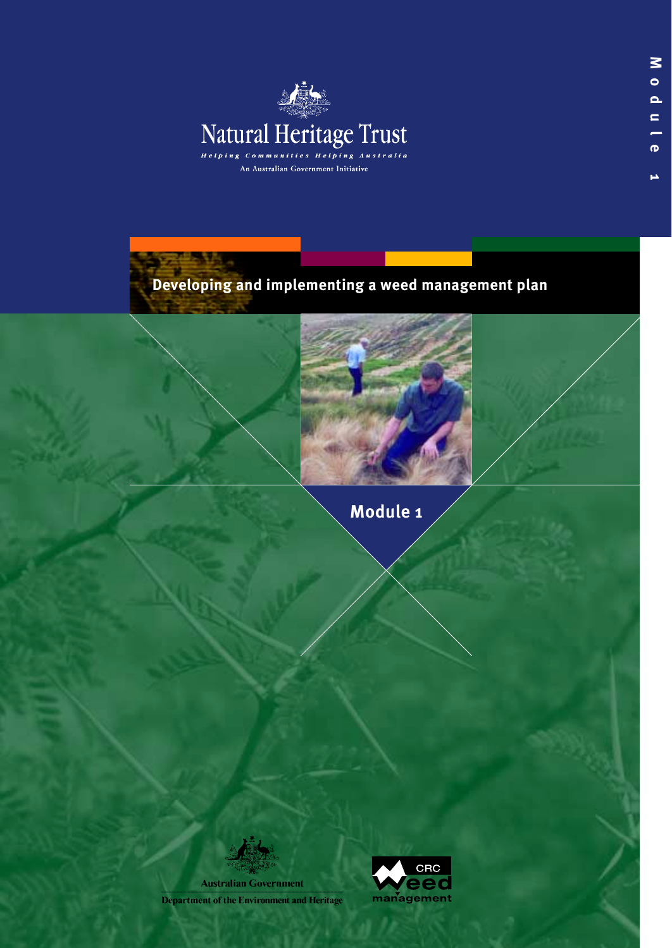





**Module 1**

**Australian Government** Department of the Environment and Heritage

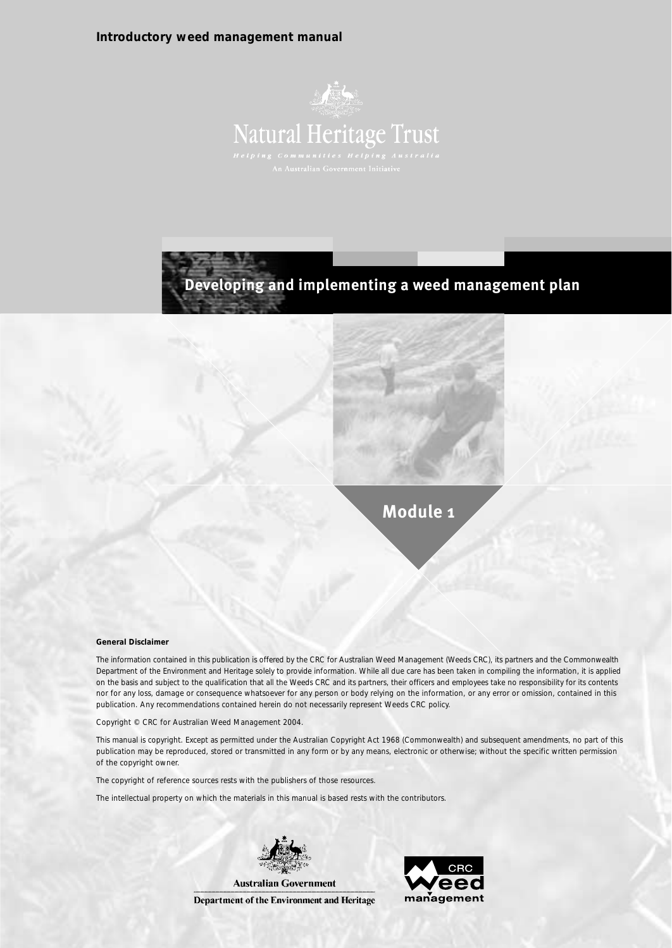#### **Introductory weed management manual**



## **Developing and implementing a weed management plan**

**Module 1**

#### **General Disclaimer**

The information contained in this publication is offered by the CRC for Australian Weed Management (Weeds CRC), its partners and the Commonwealth Department of the Environment and Heritage solely to provide information. While all due care has been taken in compiling the information, it is applied on the basis and subject to the qualification that all the Weeds CRC and its partners, their officers and employees take no responsibility for its contents nor for any loss, damage or consequence whatsoever for any person or body relying on the information, or any error or omission, contained in this publication. Any recommendations contained herein do not necessarily represent Weeds CRC policy.

Copyright © CRC for Australian Weed Management 2004.

This manual is copyright. Except as permitted under the Australian Copyright Act 1968 (Commonwealth) and subsequent amendments, no part of this publication may be reproduced, stored or transmitted in any form or by any means, electronic or otherwise; without the specific written permission of the copyright owner.

The copyright of reference sources rests with the publishers of those resources.

The intellectual property on which the materials in this manual is based rests with the contributors.



Department of the Environment and Heritage

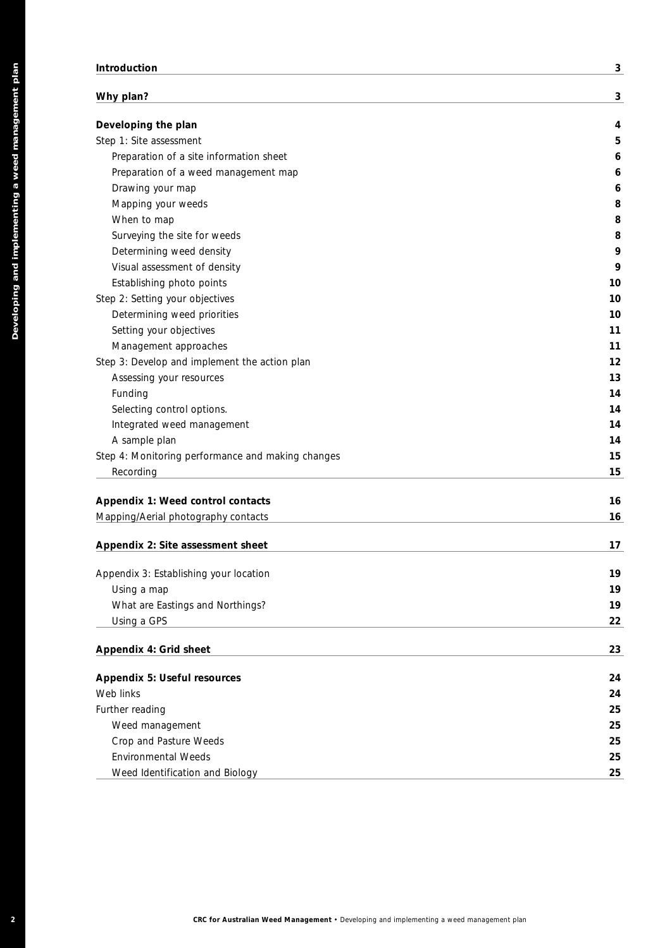#### **Introduction 3**

| Developing the plan                               |  |
|---------------------------------------------------|--|
| Step 1: Site assessment                           |  |
| Preparation of a site information sheet           |  |
| Preparation of a weed management map              |  |
| Drawing your map                                  |  |
| Mapping your weeds                                |  |
| When to map                                       |  |
| Surveying the site for weeds                      |  |
| Determining weed density                          |  |
| Visual assessment of density                      |  |
| Establishing photo points                         |  |
| Step 2: Setting your objectives                   |  |
| Determining weed priorities                       |  |
| Setting your objectives                           |  |
| Management approaches                             |  |
| Step 3: Develop and implement the action plan     |  |
|                                                   |  |
| Assessing your resources<br>Funding               |  |
| Selecting control options.                        |  |
|                                                   |  |
| Integrated weed management                        |  |
| A sample plan                                     |  |
| Step 4: Monitoring performance and making changes |  |
| Recording                                         |  |
| Appendix 1: Weed control contacts                 |  |
| Mapping/Aerial photography contacts               |  |
| Appendix 2: Site assessment sheet                 |  |
| Appendix 3: Establishing your location            |  |
| Using a map                                       |  |
| What are Eastings and Northings?                  |  |
| Using a GPS                                       |  |
|                                                   |  |
| Appendix 4: Grid sheet                            |  |
|                                                   |  |
| <b>Appendix 5: Useful resources</b>               |  |
| Web links                                         |  |
| Further reading                                   |  |
| Weed management                                   |  |
| Crop and Pasture Weeds                            |  |
| <b>Environmental Weeds</b>                        |  |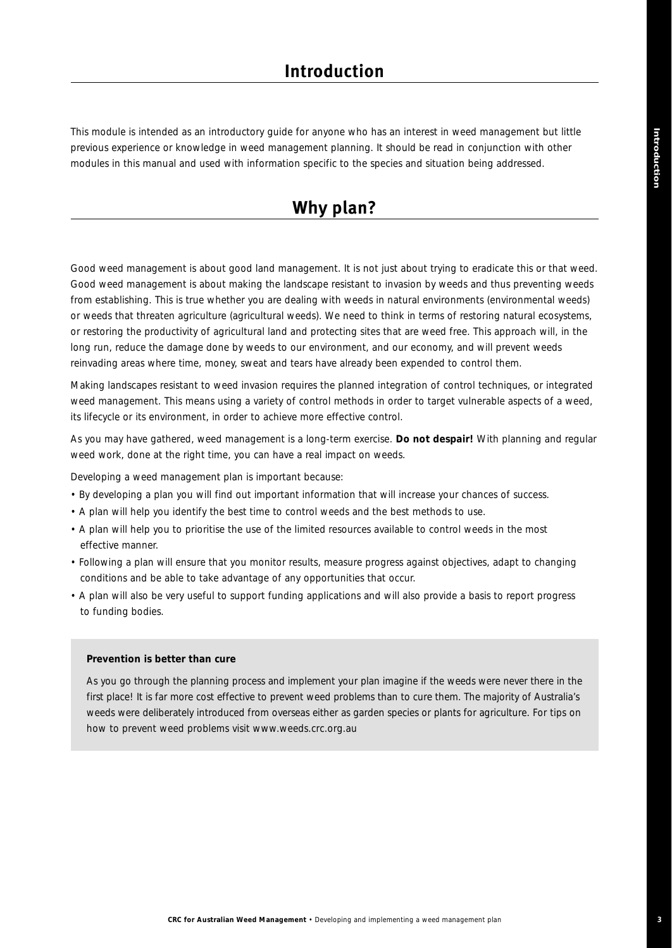This module is intended as an introductory guide for anyone who has an interest in weed management but little previous experience or knowledge in weed management planning. It should be read in conjunction with other modules in this manual and used with information specific to the species and situation being addressed.

## **Why plan?**

Good weed management is about good land management. It is not just about trying to eradicate this or that weed. Good weed management is about making the landscape resistant to invasion by weeds and thus preventing weeds from establishing. This is true whether you are dealing with weeds in natural environments (environmental weeds) or weeds that threaten agriculture (agricultural weeds). We need to think in terms of restoring natural ecosystems, or restoring the productivity of agricultural land and protecting sites that are weed free. This approach will, in the long run, reduce the damage done by weeds to our environment, and our economy, and will prevent weeds reinvading areas where time, money, sweat and tears have already been expended to control them.

Making landscapes resistant to weed invasion requires the planned integration of control techniques, or integrated weed management. This means using a variety of control methods in order to target vulnerable aspects of a weed, its lifecycle or its environment, in order to achieve more effective control.

As you may have gathered, weed management is a long-term exercise. *Do not despair!* With planning and regular weed work, done at the right time, you can have a real impact on weeds.

Developing a weed management plan is important because:

- By developing a plan you will find out important information that will increase your chances of success.
- A plan will help you identify the best time to control weeds and the best methods to use.
- A plan will help you to prioritise the use of the limited resources available to control weeds in the most effective manner.
- Following a plan will ensure that you monitor results, measure progress against objectives, adapt to changing conditions and be able to take advantage of any opportunities that occur.
- A plan will also be very useful to support funding applications and will also provide a basis to report progress to funding bodies.

#### *Prevention is better than cure*

*As you go through the planning process and implement your plan imagine if the weeds were never there in the first place! It is far more cost effective to prevent weed problems than to cure them. The majority of Australia's weeds were deliberately introduced from overseas either as garden species or plants for agriculture. For tips on how to prevent weed problems visit www.weeds.crc.org.au*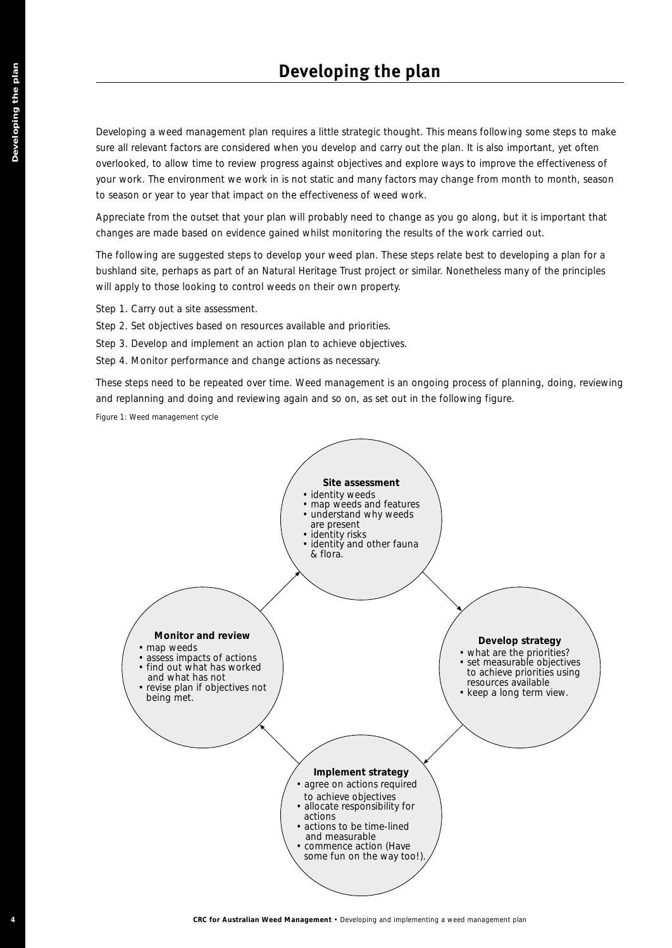Developing a weed management plan requires a little strategic thought. This means following some steps to make sure all relevant factors are considered when you develop and carry out the plan. It is also important, yet often overlooked, to allow time to review progress against objectives and explore ways to improve the effectiveness of your work. The environment we work in is not static and many factors may change from month to month, season to season or year to year that impact on the effectiveness of weed work.

Appreciate from the outset that your plan will probably need to change as you go along, but it is important that changes are made based on evidence gained whilst monitoring the results of the work carried out.

The following are suggested steps to develop your weed plan. These steps relate best to developing a plan for a bushland site, perhaps as part of an Natural Heritage Trust project or similar. Nonetheless many of the principles will apply to those looking to control weeds on their own property.

Step 1. Carry out a site assessment.

- Step 2. Set objectives based on resources available and priorities.
- Step 3. Develop and implement an action plan to achieve objectives.
- Step 4. Monitor performance and change actions as necessary.

These steps need to be repeated over time. Weed management is an ongoing process of planning, doing, reviewing and replanning and doing and reviewing again and so on, as set out in the following figure.

*Figure 1: Weed management cycle*

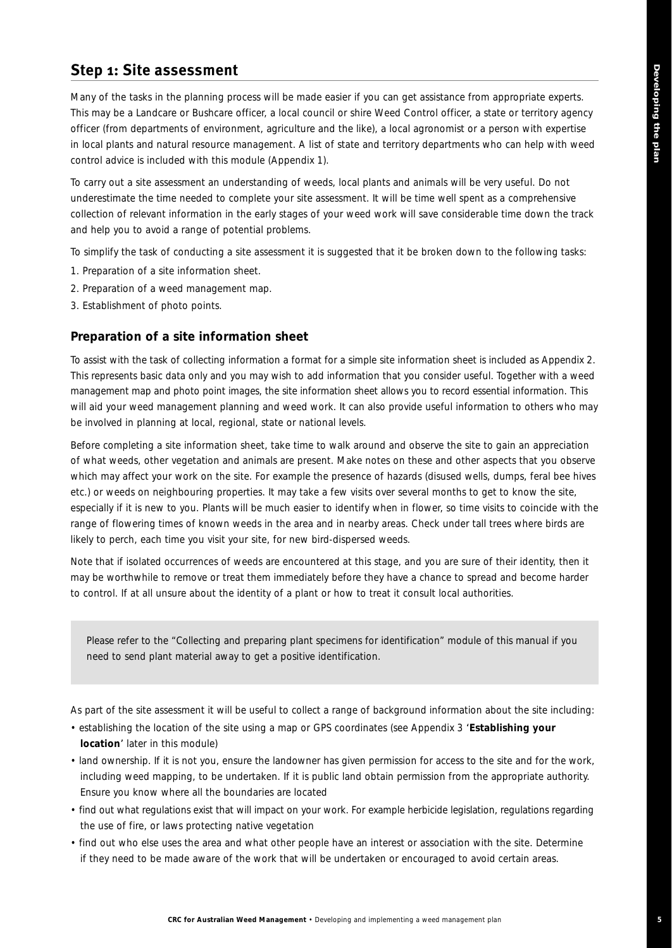## **Step 1: Site assessment**

Many of the tasks in the planning process will be made easier if you can get assistance from appropriate experts. This may be a Landcare or Bushcare officer, a local council or shire Weed Control officer, a state or territory agency officer (from departments of environment, agriculture and the like), a local agronomist or a person with expertise in local plants and natural resource management. A list of state and territory departments who can help with weed control advice is included with this module (Appendix 1).

To carry out a site assessment an understanding of weeds, local plants and animals will be very useful. Do not underestimate the time needed to complete your site assessment. It will be time well spent as a comprehensive collection of relevant information in the early stages of your weed work will save considerable time down the track and help you to avoid a range of potential problems.

To simplify the task of conducting a site assessment it is suggested that it be broken down to the following tasks:

- 1. Preparation of a site information sheet.
- 2. Preparation of a weed management map.
- 3. Establishment of photo points.

### **Preparation of a site information sheet**

To assist with the task of collecting information a format for a simple site information sheet is included as Appendix 2. This represents basic data only and you may wish to add information that you consider useful. Together with a weed management map and photo point images, the site information sheet allows you to record essential information. This will aid your weed management planning and weed work. It can also provide useful information to others who may be involved in planning at local, regional, state or national levels.

Before completing a site information sheet, take time to walk around and observe the site to gain an appreciation of what weeds, other vegetation and animals are present. Make notes on these and other aspects that you observe which may affect your work on the site. For example the presence of hazards (disused wells, dumps, feral bee hives etc.) or weeds on neighbouring properties. It may take a few visits over several months to get to know the site, especially if it is new to you. Plants will be much easier to identify when in flower, so time visits to coincide with the range of flowering times of known weeds in the area and in nearby areas. Check under tall trees where birds are likely to perch, each time you visit your site, for new bird-dispersed weeds.

Note that if isolated occurrences of weeds are encountered at this stage, and you are sure of their identity, then it may be worthwhile to remove or treat them immediately before they have a chance to spread and become harder to control. If at all unsure about the identity of a plant or how to treat it consult local authorities.

*Please refer to the "Collecting and preparing plant specimens for identification" module of this manual if you need to send plant material away to get a positive identification.*

As part of the site assessment it will be useful to collect a range of background information about the site including:

- establishing the location of the site using a map or GPS coordinates (see Appendix 3 '**Establishing your location**' later in this module)
- land ownership. If it is not you, ensure the landowner has given permission for access to the site and for the work, including weed mapping, to be undertaken. If it is public land obtain permission from the appropriate authority. Ensure you know where all the boundaries are located
- find out what regulations exist that will impact on your work. For example herbicide legislation, regulations regarding the use of fire, or laws protecting native vegetation
- find out who else uses the area and what other people have an interest or association with the site. Determine if they need to be made aware of the work that will be undertaken or encouraged to avoid certain areas.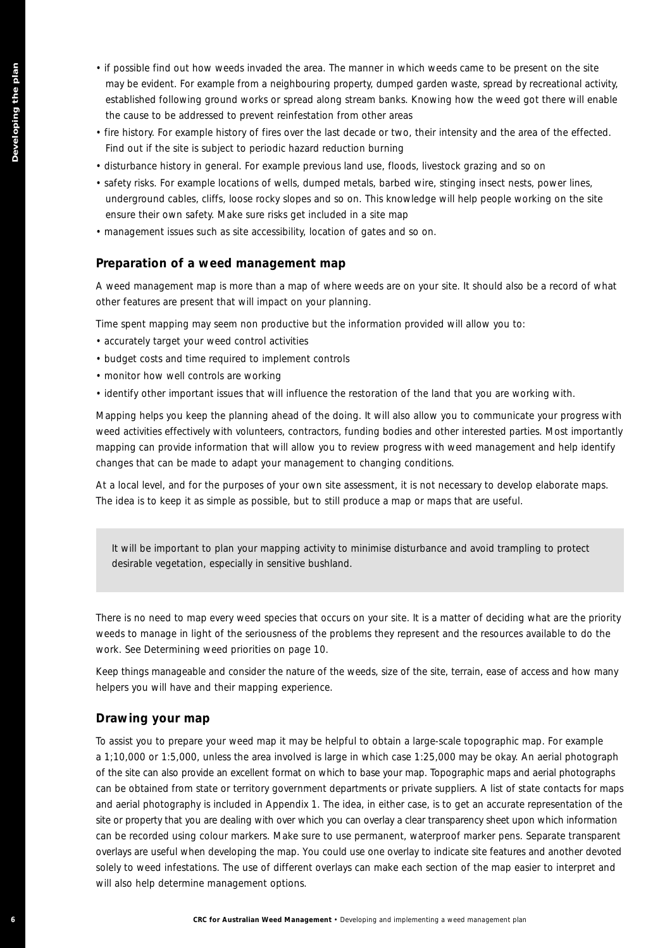- if possible find out how weeds invaded the area. The manner in which weeds came to be present on the site may be evident. For example from a neighbouring property, dumped garden waste, spread by recreational activity, established following ground works or spread along stream banks. Knowing how the weed got there will enable the cause to be addressed to prevent reinfestation from other areas
- fire history. For example history of fires over the last decade or two, their intensity and the area of the effected. Find out if the site is subject to periodic hazard reduction burning
- disturbance history in general. For example previous land use, floods, livestock grazing and so on
- safety risks. For example locations of wells, dumped metals, barbed wire, stinging insect nests, power lines, underground cables, cliffs, loose rocky slopes and so on. This knowledge will help people working on the site ensure their own safety. Make sure risks get included in a site map
- management issues such as site accessibility, location of gates and so on.

#### **Preparation of a weed management map**

A weed management map is more than a map of where weeds are on your site. It should also be a record of what other features are present that will impact on your planning.

Time spent mapping may seem non productive but the information provided will allow you to:

- accurately target your weed control activities
- budget costs and time required to implement controls
- monitor how well controls are working
- identify other important issues that will influence the restoration of the land that you are working with.

Mapping helps you keep the planning ahead of the doing. It will also allow you to communicate your progress with weed activities effectively with volunteers, contractors, funding bodies and other interested parties. Most importantly mapping can provide information that will allow you to review progress with weed management and help identify changes that can be made to adapt your management to changing conditions.

At a local level, and for the purposes of your own site assessment, it is not necessary to develop elaborate maps. The idea is to keep it as simple as possible, but to still produce a map or maps that are useful.

*It will be important to plan your mapping activity to minimise disturbance and avoid trampling to protect desirable vegetation, especially in sensitive bushland.* 

There is no need to map every weed species that occurs on your site. It is a matter of deciding what are the priority weeds to manage in light of the seriousness of the problems they represent and the resources available to do the work. See *Determining weed priorities* on page 10.

Keep things manageable and consider the nature of the weeds, size of the site, terrain, ease of access and how many helpers you will have and their mapping experience.

#### **Drawing your map**

**F Linearly the set of the set of the set of the set of the set of the set of the set of the set of the set of the set of the set of the set of the set of the set of the set of the plan and the set of the set of the plan a** To assist you to prepare your weed map it may be helpful to obtain a large-scale topographic map. For example a 1;10,000 or 1:5,000, unless the area involved is large in which case 1:25,000 may be okay. An aerial photograph of the site can also provide an excellent format on which to base your map. Topographic maps and aerial photographs can be obtained from state or territory government departments or private suppliers. A list of state contacts for maps and aerial photography is included in Appendix 1. The idea, in either case, is to get an accurate representation of the site or property that you are dealing with over which you can overlay a clear transparency sheet upon which information can be recorded using colour markers. Make sure to use permanent, waterproof marker pens. Separate transparent overlays are useful when developing the map. You could use one overlay to indicate site features and another devoted solely to weed infestations. The use of different overlays can make each section of the map easier to interpret and will also help determine management options.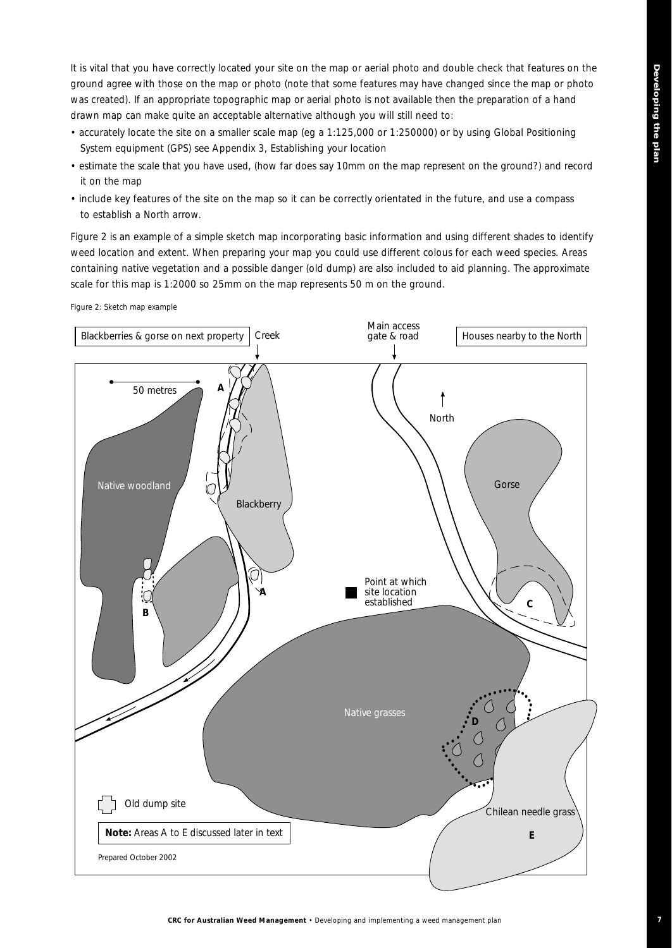**7**

It is vital that you have correctly located your site on the map or aerial photo and double check that features on the ground agree with those on the map or photo (note that some features may have changed since the map or photo was created). If an appropriate topographic map or aerial photo is not available then the preparation of a hand drawn map can make quite an acceptable alternative although you will still need to:

- accurately locate the site on a smaller scale map (eg a 1:125,000 or 1:250000) or by using Global Positioning System equipment (GPS) see Appendix 3, *Establishing your location*
- estimate the scale that you have used, (how far does say 10mm on the map represent on the ground?) and record it on the map
- include key features of the site on the map so it can be correctly orientated in the future, and use a compass to establish a North arrow.

Figure 2 is an example of a simple sketch map incorporating basic information and using different shades to identify weed location and extent. When preparing your map you could use different colous for each weed species. Areas containing native vegetation and a possible danger (old dump) are also included to aid planning. The approximate scale for this map is 1:2000 so 25mm on the map represents 50 m on the ground.

*Figure 2: Sketch map example*

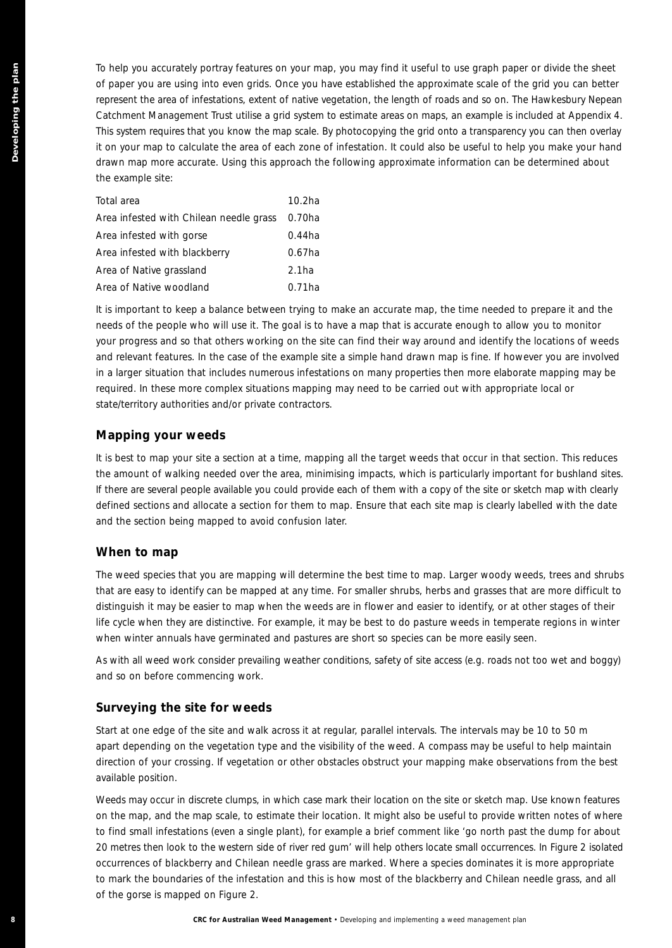**BC expansions propriate the control of the state of the state of the state of the state of the state of the state of the state of the state of the state of the state of the state of the state of the state of the state of** To help you accurately portray features on your map, you may find it useful to use graph paper or divide the sheet of paper you are using into even grids. Once you have established the approximate scale of the grid you can better represent the area of infestations, extent of native vegetation, the length of roads and so on. The Hawkesbury Nepean Catchment Management Trust utilise a grid system to estimate areas on maps, an example is included at Appendix 4. This system requires that you know the map scale. By photocopying the grid onto a transparency you can then overlay it on your map to calculate the area of each zone of infestation. It could also be useful to help you make your hand drawn map more accurate. Using this approach the following approximate information can be determined about the example site:

| Total area                              | $10.2$ ha         |
|-----------------------------------------|-------------------|
| Area infested with Chilean needle grass | 0.70ha            |
| Area infested with gorse                | $0.44$ ha         |
| Area infested with blackberry           | $0.67$ ha         |
| Area of Native grassland                | 2.1 <sub>ha</sub> |
| Area of Native woodland                 | $0.71$ ha         |

It is important to keep a balance between trying to make an accurate map, the time needed to prepare it and the needs of the people who will use it. The goal is to have a map that is accurate enough to allow you to monitor your progress and so that others working on the site can find their way around and identify the locations of weeds and relevant features. In the case of the example site a simple hand drawn map is fine. If however you are involved in a larger situation that includes numerous infestations on many properties then more elaborate mapping may be required. In these more complex situations mapping may need to be carried out with appropriate local or state/territory authorities and/or private contractors.

#### **Mapping your weeds**

It is best to map your site a section at a time, mapping all the target weeds that occur in that section. This reduces the amount of walking needed over the area, minimising impacts, which is particularly important for bushland sites. If there are several people available you could provide each of them with a copy of the site or sketch map with clearly defined sections and allocate a section for them to map. Ensure that each site map is clearly labelled with the date and the section being mapped to avoid confusion later.

#### **When to map**

The weed species that you are mapping will determine the best time to map. Larger woody weeds, trees and shrubs that are easy to identify can be mapped at any time. For smaller shrubs, herbs and grasses that are more difficult to distinguish it may be easier to map when the weeds are in flower and easier to identify, or at other stages of their life cycle when they are distinctive. For example, it may be best to do pasture weeds in temperate regions in winter when winter annuals have germinated and pastures are short so species can be more easily seen.

As with all weed work consider prevailing weather conditions, safety of site access (e.g. roads not too wet and boggy) and so on before commencing work.

### **Surveying the site for weeds**

Start at one edge of the site and walk across it at regular, parallel intervals. The intervals may be 10 to 50 m apart depending on the vegetation type and the visibility of the weed. A compass may be useful to help maintain direction of your crossing. If vegetation or other obstacles obstruct your mapping make observations from the best available position.

Weeds may occur in discrete clumps, in which case mark their location on the site or sketch map. Use known features on the map, and the map scale, to estimate their location. It might also be useful to provide written notes of where to find small infestations (even a single plant), for example a brief comment like '*go north past the dump for about 20 metres then look to the western side of river red gum*' will help others locate small occurrences. In Figure 2 isolated occurrences of blackberry and Chilean needle grass are marked. Where a species dominates it is more appropriate to mark the boundaries of the infestation and this is how most of the blackberry and Chilean needle grass, and all of the gorse is mapped on Figure 2.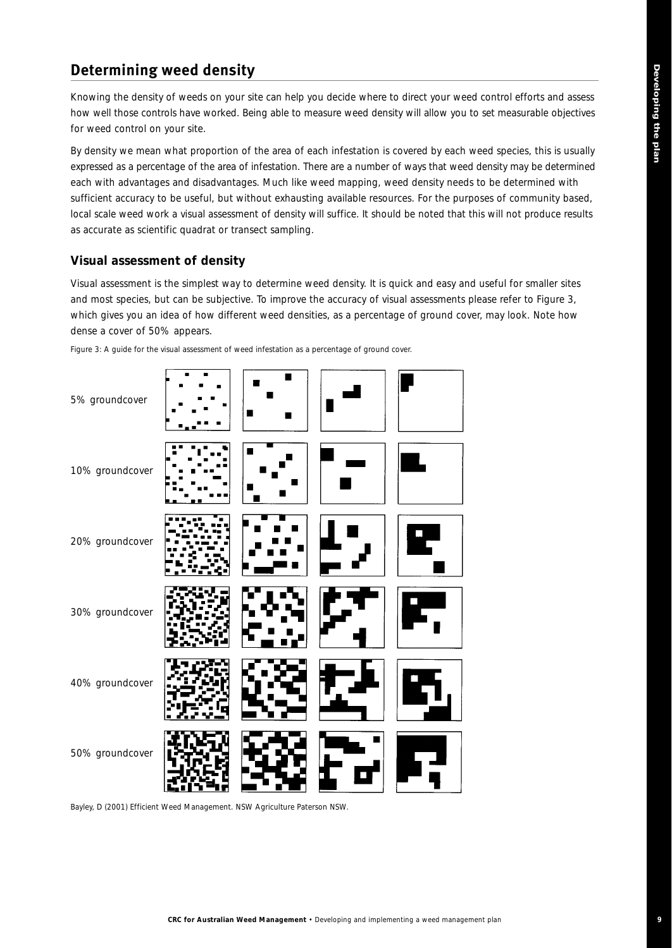## **Determining weed density**

Knowing the density of weeds on your site can help you decide where to direct your weed control efforts and assess how well those controls have worked. Being able to measure weed density will allow you to set measurable objectives for weed control on your site.

By density we mean what proportion of the area of each infestation is covered by each weed species, this is usually expressed as a percentage of the area of infestation. There are a number of ways that weed density may be determined each with advantages and disadvantages. Much like weed mapping, weed density needs to be determined with sufficient accuracy to be useful, but without exhausting available resources. For the purposes of community based, local scale weed work a visual assessment of density will suffice. It should be noted that this will not produce results as accurate as scientific quadrat or transect sampling.

### **Visual assessment of density**

Visual assessment is the simplest way to determine weed density. It is quick and easy and useful for smaller sites and most species, but can be subjective. To improve the accuracy of visual assessments please refer to Figure 3, which gives you an idea of how different weed densities, as a percentage of ground cover, may look. Note how dense a cover of 50% appears.



*Figure 3: A guide for the visual assessment of weed infestation as a percentage of ground cover.*

*Bayley, D (2001) Efficient Weed Management. NSW Agriculture Paterson NSW.*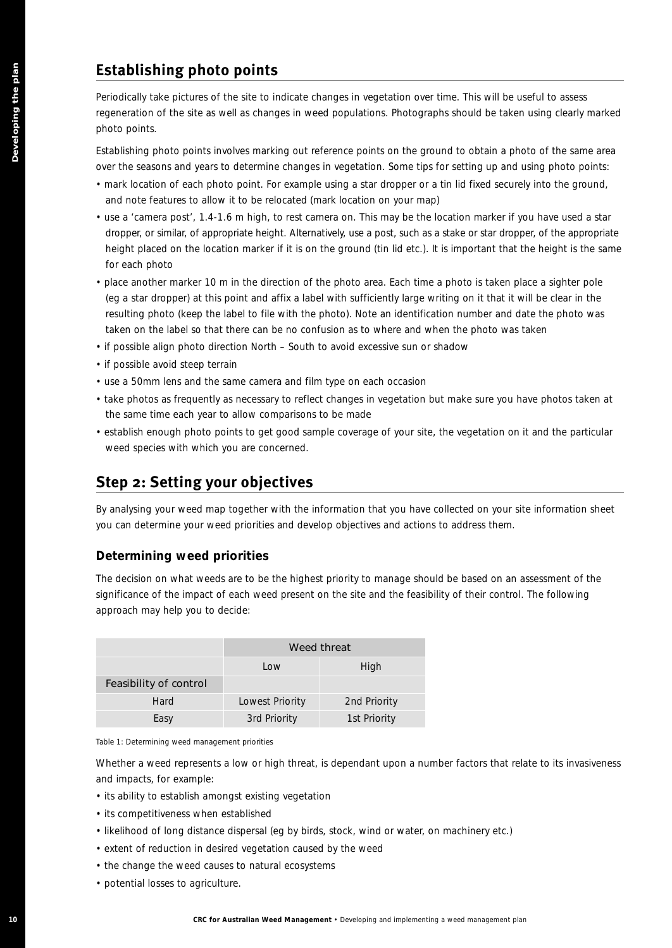## **Establishing photo points**

Periodically take pictures of the site to indicate changes in vegetation over time. This will be useful to assess regeneration of the site as well as changes in weed populations. Photographs should be taken using clearly marked photo points.

Establishing photo points involves marking out reference points on the ground to obtain a photo of the same area over the seasons and years to determine changes in vegetation. Some tips for setting up and using photo points:

- mark location of each photo point. For example using a star dropper or a tin lid fixed securely into the ground, and note features to allow it to be relocated (mark location on your map)
- use a 'camera post', 1.4-1.6 m high, to rest camera on. This may be the location marker if you have used a star dropper, or similar, of appropriate height. Alternatively, use a post, such as a stake or star dropper, of the appropriate height placed on the location marker if it is on the ground (tin lid etc.). It is important that the height is the same for each photo
- place another marker 10 m in the direction of the photo area. Each time a photo is taken place a sighter pole (eg a star dropper) at this point and affix a label with sufficiently large writing on it that it will be clear in the resulting photo (keep the label to file with the photo). Note an identification number and date the photo was taken on the label so that there can be no confusion as to where and when the photo was taken
- if possible align photo direction North South to avoid excessive sun or shadow
- if possible avoid steep terrain
- use a 50mm lens and the same camera and film type on each occasion
- take photos as frequently as necessary to reflect changes in vegetation but make sure you have photos taken at the same time each year to allow comparisons to be made
- establish enough photo points to get good sample coverage of your site, the vegetation on it and the particular weed species with which you are concerned.

## **Step 2: Setting your objectives**

By analysing your weed map together with the information that you have collected on your site information sheet you can determine your weed priorities and develop objectives and actions to address them.

### **Determining weed priorities**

The decision on what weeds are to be the highest priority to manage should be based on an assessment of the significance of the impact of each weed present on the site and the feasibility of their control. The following approach may help you to decide:

| Establishing photo points                                                                                                                                                                                                                                                                                                                                                                                                                                                                                                                                                                                                                                                                          |                 |                                                                                         |  |  |  |  |  |  |  |  |  |
|----------------------------------------------------------------------------------------------------------------------------------------------------------------------------------------------------------------------------------------------------------------------------------------------------------------------------------------------------------------------------------------------------------------------------------------------------------------------------------------------------------------------------------------------------------------------------------------------------------------------------------------------------------------------------------------------------|-----------------|-----------------------------------------------------------------------------------------|--|--|--|--|--|--|--|--|--|
| Periodically take pictures of the site to indicate changes in vegetation over time. This will be us<br>regeneration of the site as well as changes in weed populations. Photographs should be taken<br>photo points.                                                                                                                                                                                                                                                                                                                                                                                                                                                                               |                 |                                                                                         |  |  |  |  |  |  |  |  |  |
| Establishing photo points involves marking out reference points on the ground to obtain a pho<br>over the seasons and years to determine changes in vegetation. Some tips for setting up and u<br>• mark location of each photo point. For example using a star dropper or a tin lid fixed securel<br>and note features to allow it to be relocated (mark location on your map)<br>• use a 'camera post', 1.4-1.6 m high, to rest camera on. This may be the location marker if you<br>dropper, or similar, of appropriate height. Alternatively, use a post, such as a stake or star dropp<br>height placed on the location marker if it is on the ground (tin lid etc.). It is important that tl |                 |                                                                                         |  |  |  |  |  |  |  |  |  |
| for each photo<br>• place another marker 10 m in the direction of the photo area. Each time a photo is taken pla<br>(eg a star dropper) at this point and affix a label with sufficiently large writing on it that it w<br>resulting photo (keep the label to file with the photo). Note an identification number and da<br>taken on the label so that there can be no confusion as to where and when the photo was to                                                                                                                                                                                                                                                                             |                 |                                                                                         |  |  |  |  |  |  |  |  |  |
| • if possible align photo direction North - South to avoid excessive sun or shadow                                                                                                                                                                                                                                                                                                                                                                                                                                                                                                                                                                                                                 |                 |                                                                                         |  |  |  |  |  |  |  |  |  |
| • if possible avoid steep terrain                                                                                                                                                                                                                                                                                                                                                                                                                                                                                                                                                                                                                                                                  |                 |                                                                                         |  |  |  |  |  |  |  |  |  |
| • use a 50mm lens and the same camera and film type on each occasion                                                                                                                                                                                                                                                                                                                                                                                                                                                                                                                                                                                                                               |                 |                                                                                         |  |  |  |  |  |  |  |  |  |
| • take photos as frequently as necessary to reflect changes in vegetation but make sure you ha                                                                                                                                                                                                                                                                                                                                                                                                                                                                                                                                                                                                     |                 |                                                                                         |  |  |  |  |  |  |  |  |  |
| the same time each year to allow comparisons to be made<br>• establish enough photo points to get good sample coverage of your site, the vegetation on i<br>weed species with which you are concerned.                                                                                                                                                                                                                                                                                                                                                                                                                                                                                             |                 |                                                                                         |  |  |  |  |  |  |  |  |  |
| <b>Step 2: Setting your objectives</b>                                                                                                                                                                                                                                                                                                                                                                                                                                                                                                                                                                                                                                                             |                 |                                                                                         |  |  |  |  |  |  |  |  |  |
| By analysing your weed map together with the information that you have collected on your sit<br>you can determine your weed priorities and develop objectives and actions to address them.                                                                                                                                                                                                                                                                                                                                                                                                                                                                                                         |                 |                                                                                         |  |  |  |  |  |  |  |  |  |
| Determining weed priorities                                                                                                                                                                                                                                                                                                                                                                                                                                                                                                                                                                                                                                                                        |                 |                                                                                         |  |  |  |  |  |  |  |  |  |
| The decision on what weeds are to be the highest priority to manage should be based on an a<br>significance of the impact of each weed present on the site and the feasibility of their control.<br>approach may help you to decide:                                                                                                                                                                                                                                                                                                                                                                                                                                                               |                 |                                                                                         |  |  |  |  |  |  |  |  |  |
|                                                                                                                                                                                                                                                                                                                                                                                                                                                                                                                                                                                                                                                                                                    |                 | Weed threat                                                                             |  |  |  |  |  |  |  |  |  |
|                                                                                                                                                                                                                                                                                                                                                                                                                                                                                                                                                                                                                                                                                                    | Low             | High                                                                                    |  |  |  |  |  |  |  |  |  |
| Feasibility of control                                                                                                                                                                                                                                                                                                                                                                                                                                                                                                                                                                                                                                                                             |                 |                                                                                         |  |  |  |  |  |  |  |  |  |
| Hard                                                                                                                                                                                                                                                                                                                                                                                                                                                                                                                                                                                                                                                                                               | Lowest Priority | 2nd Priority                                                                            |  |  |  |  |  |  |  |  |  |
| Easy                                                                                                                                                                                                                                                                                                                                                                                                                                                                                                                                                                                                                                                                                               | 3rd Priority    | 1st Priority                                                                            |  |  |  |  |  |  |  |  |  |
| Table 1: Determining weed management priorities                                                                                                                                                                                                                                                                                                                                                                                                                                                                                                                                                                                                                                                    |                 |                                                                                         |  |  |  |  |  |  |  |  |  |
| Whether a weed represents a low or high threat, is dependant upon a number factors that rela<br>and impacts, for example:                                                                                                                                                                                                                                                                                                                                                                                                                                                                                                                                                                          |                 |                                                                                         |  |  |  |  |  |  |  |  |  |
| • its ability to establish amongst existing vegetation                                                                                                                                                                                                                                                                                                                                                                                                                                                                                                                                                                                                                                             |                 |                                                                                         |  |  |  |  |  |  |  |  |  |
| • its competitiveness when established                                                                                                                                                                                                                                                                                                                                                                                                                                                                                                                                                                                                                                                             |                 |                                                                                         |  |  |  |  |  |  |  |  |  |
| · likelihood of long distance dispersal (eg by birds, stock, wind or water, on machinery etc.)                                                                                                                                                                                                                                                                                                                                                                                                                                                                                                                                                                                                     |                 |                                                                                         |  |  |  |  |  |  |  |  |  |
| • extent of reduction in desired vegetation caused by the weed                                                                                                                                                                                                                                                                                                                                                                                                                                                                                                                                                                                                                                     |                 |                                                                                         |  |  |  |  |  |  |  |  |  |
| • the change the weed causes to natural ecosystems                                                                                                                                                                                                                                                                                                                                                                                                                                                                                                                                                                                                                                                 |                 |                                                                                         |  |  |  |  |  |  |  |  |  |
|                                                                                                                                                                                                                                                                                                                                                                                                                                                                                                                                                                                                                                                                                                    |                 |                                                                                         |  |  |  |  |  |  |  |  |  |
| • potential losses to agriculture.                                                                                                                                                                                                                                                                                                                                                                                                                                                                                                                                                                                                                                                                 |                 | CRC for Australian Weed Management . Developing and implementing a weed management plan |  |  |  |  |  |  |  |  |  |
|                                                                                                                                                                                                                                                                                                                                                                                                                                                                                                                                                                                                                                                                                                    |                 |                                                                                         |  |  |  |  |  |  |  |  |  |

Whether a weed represents a low or high threat, is dependant upon a number factors that relate to its invasiveness and impacts, for example:

- its ability to establish amongst existing vegetation
- its competitiveness when established
- likelihood of long distance dispersal (eg by birds, stock, wind or water, on machinery etc.)
- extent of reduction in desired vegetation caused by the weed
- the change the weed causes to natural ecosystems
- potential losses to agriculture.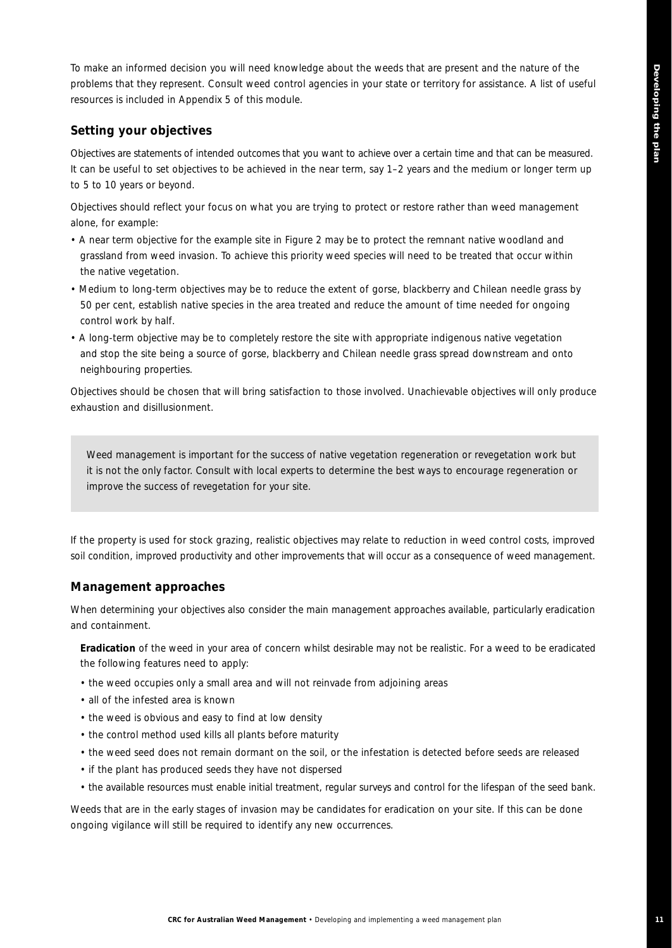To make an informed decision you will need knowledge about the weeds that are present and the nature of the problems that they represent. Consult weed control agencies in your state or territory for assistance. A list of useful resources is included in Appendix 5 of this module.

### **Setting your objectives**

Objectives are statements of intended outcomes that you want to achieve over a certain time and that can be measured. It can be useful to set objectives to be achieved in the near term, say 1–2 years and the medium or longer term up to 5 to 10 years or beyond.

Objectives should reflect your focus on what you are trying to protect or restore rather than weed management alone, for example:

- A near term objective for the example site in Figure 2 may be to protect the remnant native woodland and grassland from weed invasion. To achieve this priority weed species will need to be treated that occur within the native vegetation.
- Medium to long-term objectives may be to reduce the extent of gorse, blackberry and Chilean needle grass by 50 per cent, establish native species in the area treated and reduce the amount of time needed for ongoing control work by half.
- A long-term objective may be to completely restore the site with appropriate indigenous native vegetation and stop the site being a source of gorse, blackberry and Chilean needle grass spread downstream and onto neighbouring properties.

Objectives should be chosen that will bring satisfaction to those involved. Unachievable objectives will only produce exhaustion and disillusionment.

*Weed management is important for the success of native vegetation regeneration or revegetation work but it is not the only factor. Consult with local experts to determine the best ways to encourage regeneration or improve the success of revegetation for your site.* 

If the property is used for stock grazing, realistic objectives may relate to reduction in weed control costs, improved soil condition, improved productivity and other improvements that will occur as a consequence of weed management.

### **Management approaches**

When determining your objectives also consider the main management approaches available, particularly eradication and containment.

**Eradication** of the weed in your area of concern whilst desirable may not be realistic. For a weed to be eradicated the following features need to apply:

- the weed occupies only a small area and will not reinvade from adjoining areas
- all of the infested area is known
- the weed is obvious and easy to find at low density
- the control method used kills all plants before maturity
- the weed seed does not remain dormant on the soil, or the infestation is detected before seeds are released
- if the plant has produced seeds they have not dispersed
- the available resources must enable initial treatment, regular surveys and control for the lifespan of the seed bank.

Weeds that are in the early stages of invasion may be candidates for eradication on your site. If this can be done ongoing vigilance will still be required to identify any new occurrences.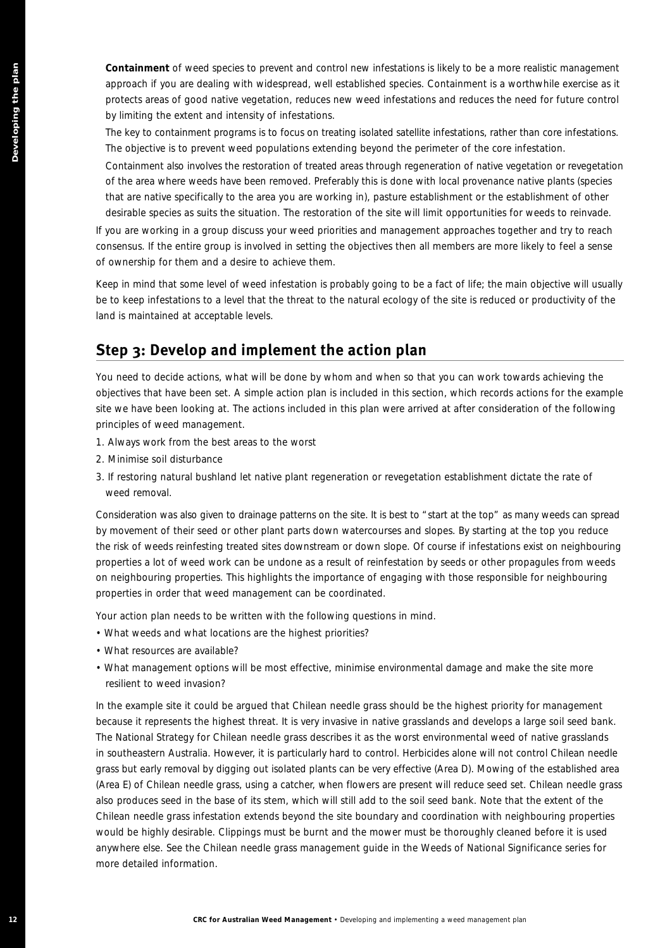**Containment** of weed species to prevent and control new infestations is likely to be a more realistic management approach if you are dealing with widespread, well established species. Containment is a worthwhile exercise as it protects areas of good native vegetation, reduces new weed infestations and reduces the need for future control by limiting the extent and intensity of infestations.

The key to containment programs is to focus on treating isolated satellite infestations, rather than core infestations. The objective is to prevent weed populations extending beyond the perimeter of the core infestation.

Containment also involves the restoration of treated areas through regeneration of native vegetation or revegetation of the area where weeds have been removed. Preferably this is done with local provenance native plants (species that are native specifically to the area you are working in), pasture establishment or the establishment of other desirable species as suits the situation. The restoration of the site will limit opportunities for weeds to reinvade.

If you are working in a group discuss your weed priorities and management approaches together and try to reach consensus. If the entire group is involved in setting the objectives then all members are more likely to feel a sense of ownership for them and a desire to achieve them.

Keep in mind that some level of weed infestation is probably going to be a fact of life; the main objective will usually be to keep infestations to a level that the threat to the natural ecology of the site is reduced or productivity of the land is maintained at acceptable levels.

## **Step 3: Develop and implement the action plan**

You need to decide actions, what will be done by whom and when so that you can work towards achieving the objectives that have been set. A simple action plan is included in this section, which records actions for the example site we have been looking at. The actions included in this plan were arrived at after consideration of the following principles of weed management.

- 1. Always work from the best areas to the worst
- 2. Minimise soil disturbance
- 3. If restoring natural bushland let native plant regeneration or revegetation establishment dictate the rate of weed removal.

Consideration was also given to drainage patterns on the site. It is best to "start at the top" as many weeds can spread by movement of their seed or other plant parts down watercourses and slopes. By starting at the top you reduce the risk of weeds reinfesting treated sites downstream or down slope. Of course if infestations exist on neighbouring properties a lot of weed work can be undone as a result of reinfestation by seeds or other propagules from weeds on neighbouring properties. This highlights the importance of engaging with those responsible for neighbouring properties in order that weed management can be coordinated.

Your action plan needs to be written with the following questions in mind.

- What weeds and what locations are the highest priorities?
- What resources are available?
- What management options will be most effective, minimise environmental damage and make the site more resilient to weed invasion?

**Constanting the most plan of a statistic statistic statistic statistic statistic statistic statistic statistic statistic statistic statistic statistic statistic statistic statistic statistic statistic statistic statistic** In the example site it could be argued that Chilean needle grass should be the highest priority for management because it represents the highest threat. It is very invasive in native grasslands and develops a large soil seed bank. The National Strategy for Chilean needle grass describes it as the worst environmental weed of native grasslands in southeastern Australia. However, it is particularly hard to control. Herbicides alone will not control Chilean needle grass but early removal by digging out isolated plants can be very effective (Area D). Mowing of the established area (Area E) of Chilean needle grass, using a catcher, when flowers are present will reduce seed set. Chilean needle grass also produces seed in the base of its stem, which will still add to the soil seed bank. Note that the extent of the Chilean needle grass infestation extends beyond the site boundary and coordination with neighbouring properties would be highly desirable. Clippings must be burnt and the mower must be thoroughly cleaned before it is used anywhere else. See the Chilean needle grass management guide in the *Weeds of National Significance* series for more detailed information.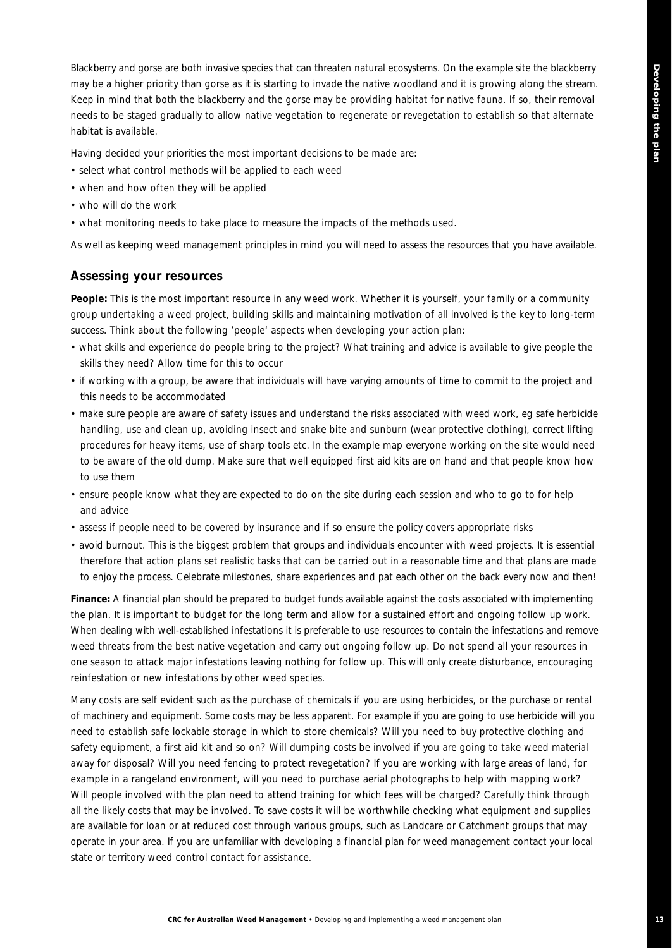Blackberry and gorse are both invasive species that can threaten natural ecosystems. On the example site the blackberry may be a higher priority than gorse as it is starting to invade the native woodland and it is growing along the stream. Keep in mind that both the blackberry and the gorse may be providing habitat for native fauna. If so, their removal needs to be staged gradually to allow native vegetation to regenerate or revegetation to establish so that alternate habitat is available.

Having decided your priorities the most important decisions to be made are:

- select what control methods will be applied to each weed
- when and how often they will be applied
- who will do the work
- what monitoring needs to take place to measure the impacts of the methods used.

As well as keeping weed management principles in mind you will need to assess the resources that you have available.

#### **Assessing your resources**

**People:** This is the most important resource in any weed work. Whether it is yourself, your family or a community group undertaking a weed project, building skills and maintaining motivation of all involved is the key to long-term success. Think about the following 'people' aspects when developing your action plan:

- what skills and experience do people bring to the project? What training and advice is available to give people the skills they need? Allow time for this to occur
- if working with a group, be aware that individuals will have varying amounts of time to commit to the project and this needs to be accommodated
- make sure people are aware of safety issues and understand the risks associated with weed work, eg safe herbicide handling, use and clean up, avoiding insect and snake bite and sunburn (wear protective clothing), correct lifting procedures for heavy items, use of sharp tools etc. In the example map everyone working on the site would need to be aware of the old dump. Make sure that well equipped first aid kits are on hand and that people know how to use them
- ensure people know what they are expected to do on the site during each session and who to go to for help and advice
- assess if people need to be covered by insurance and if so ensure the policy covers appropriate risks
- avoid burnout. This is the biggest problem that groups and individuals encounter with weed projects. It is essential therefore that action plans set realistic tasks that can be carried out in a reasonable time and that plans are made to enjoy the process. Celebrate milestones, share experiences and pat each other on the back every now and then!

**Finance:** A financial plan should be prepared to budget funds available against the costs associated with implementing the plan. It is important to budget for the long term and allow for a sustained effort and ongoing follow up work. When dealing with well-established infestations it is preferable to use resources to contain the infestations and remove weed threats from the best native vegetation and carry out ongoing follow up. Do not spend all your resources in one season to attack major infestations leaving nothing for follow up. This will only create disturbance, encouraging reinfestation or new infestations by other weed species.

Many costs are self evident such as the purchase of chemicals if you are using herbicides, or the purchase or rental of machinery and equipment. Some costs may be less apparent. For example if you are going to use herbicide will you need to establish safe lockable storage in which to store chemicals? Will you need to buy protective clothing and safety equipment, a first aid kit and so on? Will dumping costs be involved if you are going to take weed material away for disposal? Will you need fencing to protect revegetation? If you are working with large areas of land, for example in a rangeland environment, will you need to purchase aerial photographs to help with mapping work? Will people involved with the plan need to attend training for which fees will be charged? Carefully think through all the likely costs that may be involved. To save costs it will be worthwhile checking what equipment and supplies are available for loan or at reduced cost through various groups, such as Landcare or Catchment groups that may operate in your area. If you are unfamiliar with developing a financial plan for weed management contact your local state or territory weed control contact for assistance.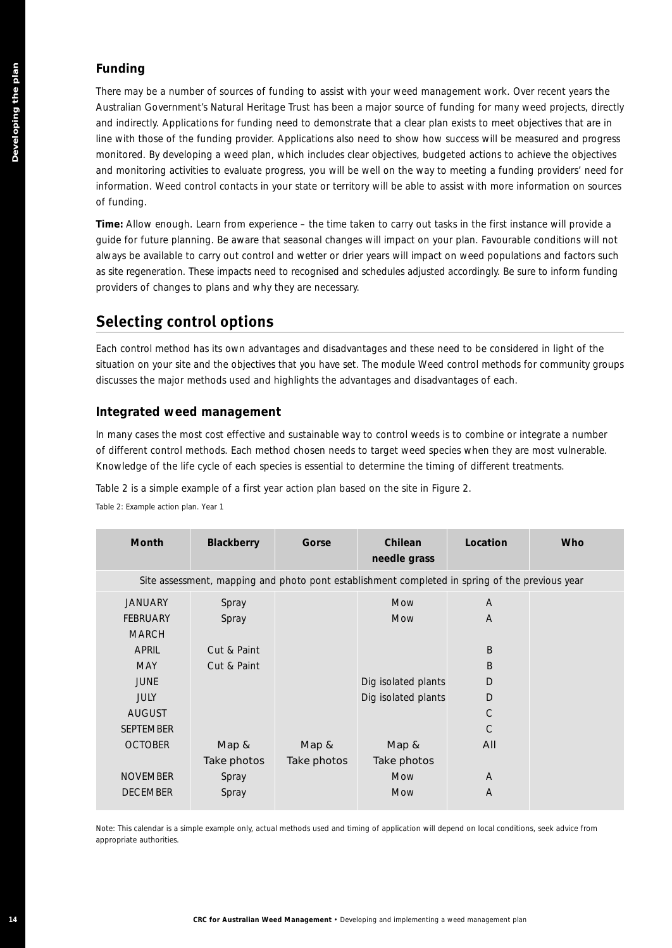### **Funding**

## **Selecting control options**

### **Integrated weed management**

| of funding.                          |                                                           |                      | There may be a number of sources of funding to assist with your weed management work. Over recent years the<br>Australian Government's Natural Heritage Trust has been a major source of funding for many weed projects, directly<br>and indirectly. Applications for funding need to demonstrate that a clear plan exists to meet objectives that are in<br>line with those of the funding provider. Applications also need to show how success will be measured and progress<br>monitored. By developing a weed plan, which includes clear objectives, budgeted actions to achieve the objectives<br>and monitoring activities to evaluate progress, you will be well on the way to meeting a funding providers' need for<br>information. Weed control contacts in your state or territory will be able to assist with more information on sources |                   |     |
|--------------------------------------|-----------------------------------------------------------|----------------------|------------------------------------------------------------------------------------------------------------------------------------------------------------------------------------------------------------------------------------------------------------------------------------------------------------------------------------------------------------------------------------------------------------------------------------------------------------------------------------------------------------------------------------------------------------------------------------------------------------------------------------------------------------------------------------------------------------------------------------------------------------------------------------------------------------------------------------------------------|-------------------|-----|
|                                      | providers of changes to plans and why they are necessary. |                      | Time: Allow enough. Learn from experience – the time taken to carry out tasks in the first instance will provide a<br>guide for future planning. Be aware that seasonal changes will impact on your plan. Favourable conditions will not<br>always be available to carry out control and wetter or drier years will impact on weed populations and factors such<br>as site regeneration. These impacts need to recognised and schedules adjusted accordingly. Be sure to inform funding                                                                                                                                                                                                                                                                                                                                                              |                   |     |
|                                      | <b>Selecting control options</b>                          |                      |                                                                                                                                                                                                                                                                                                                                                                                                                                                                                                                                                                                                                                                                                                                                                                                                                                                      |                   |     |
|                                      |                                                           |                      | Each control method has its own advantages and disadvantages and these need to be considered in light of the<br>situation on your site and the objectives that you have set. The module Weed control methods for community group.<br>discusses the major methods used and highlights the advantages and disadvantages of each.                                                                                                                                                                                                                                                                                                                                                                                                                                                                                                                       |                   |     |
|                                      | Integrated weed management                                |                      |                                                                                                                                                                                                                                                                                                                                                                                                                                                                                                                                                                                                                                                                                                                                                                                                                                                      |                   |     |
|                                      |                                                           |                      | In many cases the most cost effective and sustainable way to control weeds is to combine or integrate a number<br>of different control methods. Each method chosen needs to target weed species when they are most vulnerable.<br>Knowledge of the life cycle of each species is essential to determine the timing of different treatments.                                                                                                                                                                                                                                                                                                                                                                                                                                                                                                          |                   |     |
| Table 2: Example action plan. Year 1 |                                                           |                      | Table 2 is a simple example of a first year action plan based on the site in Figure 2.                                                                                                                                                                                                                                                                                                                                                                                                                                                                                                                                                                                                                                                                                                                                                               |                   |     |
| Month                                | <b>Blackberry</b>                                         | Gorse                | Chilean<br>needle grass                                                                                                                                                                                                                                                                                                                                                                                                                                                                                                                                                                                                                                                                                                                                                                                                                              | Location          | Who |
|                                      |                                                           |                      | Site assessment, mapping and photo pont establishment completed in spring of the previous year                                                                                                                                                                                                                                                                                                                                                                                                                                                                                                                                                                                                                                                                                                                                                       |                   |     |
| JANUARY<br>FEBRUARY<br><b>MARCH</b>  | Spray<br>Spray                                            |                      | Mow<br>Mow                                                                                                                                                                                                                                                                                                                                                                                                                                                                                                                                                                                                                                                                                                                                                                                                                                           | A<br>A            |     |
| <b>APRIL</b><br><b>MAY</b>           | Cut & Paint<br>Cut & Paint                                |                      |                                                                                                                                                                                                                                                                                                                                                                                                                                                                                                                                                                                                                                                                                                                                                                                                                                                      | B<br>B            |     |
| <b>JUNE</b>                          |                                                           |                      | Dig isolated plants                                                                                                                                                                                                                                                                                                                                                                                                                                                                                                                                                                                                                                                                                                                                                                                                                                  | D                 |     |
| JULY                                 |                                                           |                      | Dig isolated plants                                                                                                                                                                                                                                                                                                                                                                                                                                                                                                                                                                                                                                                                                                                                                                                                                                  | D                 |     |
| <b>AUGUST</b><br>SEPTEMBER           |                                                           |                      |                                                                                                                                                                                                                                                                                                                                                                                                                                                                                                                                                                                                                                                                                                                                                                                                                                                      | $\mathsf{C}$<br>C |     |
| <b>OCTOBER</b>                       | Map &<br>Take photos                                      | Map &<br>Take photos | Map &<br>Take photos                                                                                                                                                                                                                                                                                                                                                                                                                                                                                                                                                                                                                                                                                                                                                                                                                                 | All               |     |
| <b>NOVEMBER</b><br><b>DECEMBER</b>   | Spray<br>Spray                                            |                      | Mow<br>Mow                                                                                                                                                                                                                                                                                                                                                                                                                                                                                                                                                                                                                                                                                                                                                                                                                                           | A<br>A            |     |
| appropriate authorities.             |                                                           |                      | Note: This calendar is a simple example only, actual methods used and timing of application will depend on local conditions, seek advice from                                                                                                                                                                                                                                                                                                                                                                                                                                                                                                                                                                                                                                                                                                        |                   |     |
|                                      |                                                           |                      |                                                                                                                                                                                                                                                                                                                                                                                                                                                                                                                                                                                                                                                                                                                                                                                                                                                      |                   |     |
|                                      |                                                           |                      |                                                                                                                                                                                                                                                                                                                                                                                                                                                                                                                                                                                                                                                                                                                                                                                                                                                      |                   |     |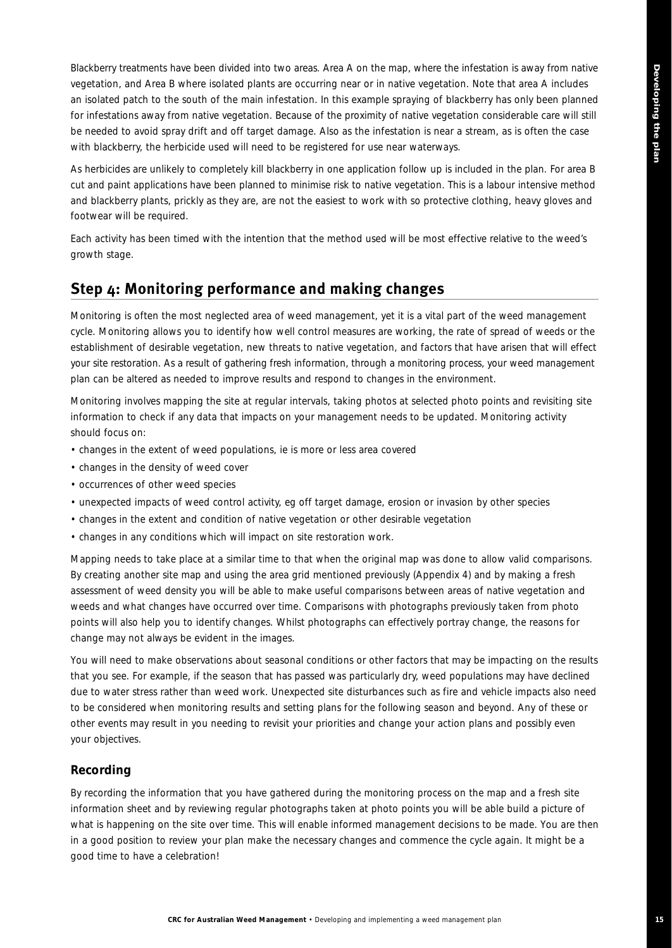Blackberry treatments have been divided into two areas. Area A on the map, where the infestation is away from native vegetation, and Area B where isolated plants are occurring near or in native vegetation. Note that area A includes an isolated patch to the south of the main infestation. In this example spraying of blackberry has only been planned for infestations away from native vegetation. Because of the proximity of native vegetation considerable care will still be needed to avoid spray drift and off target damage. Also as the infestation is near a stream, as is often the case with blackberry, the herbicide used will need to be registered for use near waterways.

As herbicides are unlikely to completely kill blackberry in one application follow up is included in the plan. For area B cut and paint applications have been planned to minimise risk to native vegetation. This is a labour intensive method and blackberry plants, prickly as they are, are not the easiest to work with so protective clothing, heavy gloves and footwear will be required.

Each activity has been timed with the intention that the method used will be most effective relative to the weed's growth stage.

## **Step 4: Monitoring performance and making changes**

Monitoring is often the most neglected area of weed management, yet it is a vital part of the weed management cycle. Monitoring allows you to identify how well control measures are working, the rate of spread of weeds or the establishment of desirable vegetation, new threats to native vegetation, and factors that have arisen that will effect your site restoration. As a result of gathering fresh information, through a monitoring process, your weed management plan can be altered as needed to improve results and respond to changes in the environment.

Monitoring involves mapping the site at regular intervals, taking photos at selected photo points and revisiting site information to check if any data that impacts on your management needs to be updated. Monitoring activity should focus on:

- changes in the extent of weed populations, ie is more or less area covered
- changes in the density of weed cover
- occurrences of other weed species
- unexpected impacts of weed control activity, eg off target damage, erosion or invasion by other species
- changes in the extent and condition of native vegetation or other desirable vegetation
- changes in any conditions which will impact on site restoration work.

Mapping needs to take place at a similar time to that when the original map was done to allow valid comparisons. By creating another site map and using the area grid mentioned previously (Appendix 4) and by making a fresh assessment of weed density you will be able to make useful comparisons between areas of native vegetation and weeds and what changes have occurred over time. Comparisons with photographs previously taken from photo points will also help you to identify changes. Whilst photographs can effectively portray change, the reasons for change may not always be evident in the images.

You will need to make observations about seasonal conditions or other factors that may be impacting on the results that you see. For example, if the season that has passed was particularly dry, weed populations may have declined due to water stress rather than weed work. Unexpected site disturbances such as fire and vehicle impacts also need to be considered when monitoring results and setting plans for the following season and beyond. Any of these or other events may result in you needing to revisit your priorities and change your action plans and possibly even your objectives.

### **Recording**

By recording the information that you have gathered during the monitoring process on the map and a fresh site information sheet and by reviewing regular photographs taken at photo points you will be able build a picture of what is happening on the site over time. This will enable informed management decisions to be made. You are then in a good position to review your plan make the necessary changes and commence the cycle again. It might be a good time to have a celebration!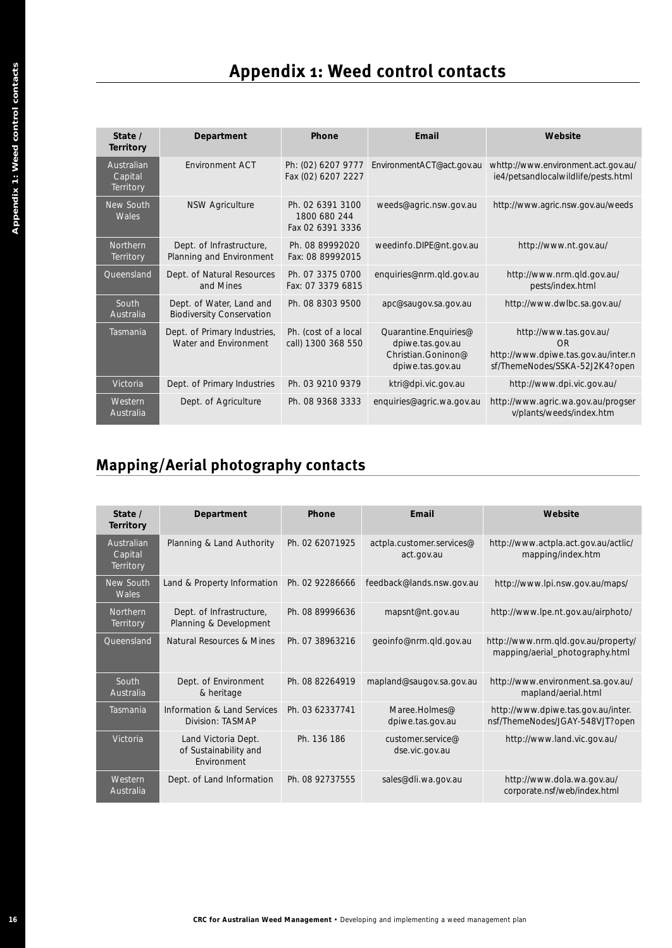## **Appendix 1: Weed control contacts**

| State /<br><b>Territory</b>        | Department                                                   | Phone                                                | Email                                                                               | Website                                                                                               |
|------------------------------------|--------------------------------------------------------------|------------------------------------------------------|-------------------------------------------------------------------------------------|-------------------------------------------------------------------------------------------------------|
| Australian<br>Capital<br>Territory | <b>Fnvironment ACT</b>                                       | Ph: (02) 6207 9777<br>Fax (02) 6207 2227             | EnvironmentACT@act.gov.au                                                           | whttp://www.environment.act.gov.au/<br>ie4/petsandlocalwildlife/pests.html                            |
| New South<br>Wales                 | <b>NSW Agriculture</b>                                       | Ph. 02 6391 3100<br>1800 680 244<br>Fax 02 6391 3336 | weeds@agric.nsw.gov.au                                                              | http://www.agric.nsw.gov.au/weeds                                                                     |
| Northern<br>Territory              | Dept. of Infrastructure,<br>Planning and Environment         | Ph. 08 89992020<br>Fax: 08 89992015                  | weedinfo.DIPE@nt.gov.au                                                             | http://www.nt.gov.au/                                                                                 |
| Queensland                         | Dept. of Natural Resources<br>and Mines                      | Ph. 07 3375 0700<br>Fax: 07 3379 6815                | enquiries@nrm.qld.gov.au                                                            | http://www.nrm.gld.gov.au/<br>pests/index.html                                                        |
| South<br>Australia                 | Dept. of Water, Land and<br><b>Biodiversity Conservation</b> | Ph. 08 8303 9500                                     | apc@saugov.sa.gov.au                                                                | http://www.dwlbc.sa.gov.au/                                                                           |
| Tasmania                           | Dept. of Primary Industries,<br>Water and Environment        | Ph. (cost of a local<br>call) 1300 368 550           | Quarantine.Enquiries@<br>dpiwe.tas.gov.au<br>Christian Goninon@<br>dpiwe.tas.gov.au | http://www.tas.gov.au/<br>OR<br>http://www.dpiwe.tas.gov.au/inter.n<br>sf/ThemeNodes/SSKA-52J2K4?open |
| Victoria                           | Dept. of Primary Industries                                  | Ph. 03 9210 9379                                     | ktri@dpi.vic.gov.au                                                                 | http://www.dpi.vic.gov.au/                                                                            |
| Western<br>Australia               | Dept. of Agriculture                                         | Ph. 08 9368 3333                                     | enquiries@agric.wa.gov.au                                                           | http://www.agric.wa.gov.au/progser<br>v/plants/weeds/index.htm                                        |

## **Mapping/Aerial photography contacts**

| State /<br><b>Territory</b>        | Department                                                   | Phone                                                | Email                                                                               | Website                                                                                                                                                                                                                                                                                                                              |
|------------------------------------|--------------------------------------------------------------|------------------------------------------------------|-------------------------------------------------------------------------------------|--------------------------------------------------------------------------------------------------------------------------------------------------------------------------------------------------------------------------------------------------------------------------------------------------------------------------------------|
| Australian<br>Capital<br>Territory | Environment ACT                                              | Ph: (02) 6207 9777<br>Fax (02) 6207 2227             | EnvironmentACT@act.gov.au                                                           | whttp://www.environment.act.gov.au/<br>ie4/petsandlocalwildlife/pests.html                                                                                                                                                                                                                                                           |
| New South<br>Wales                 | <b>NSW Agriculture</b>                                       | Ph. 02 6391 3100<br>1800 680 244<br>Fax 02 6391 3336 | weeds@agric.nsw.gov.au                                                              | http://www.agric.nsw.gov.au/weeds                                                                                                                                                                                                                                                                                                    |
| Northern<br>Territory              | Dept. of Infrastructure,<br>Planning and Environment         | Ph. 08 89992020<br>Fax: 08 89992015                  | weedinfo.DIPE@nt.gov.au                                                             | http://www.nt.gov.au/                                                                                                                                                                                                                                                                                                                |
| Queensland                         | Dept. of Natural Resources<br>and Mines                      | Ph. 07 3375 0700<br>Fax: 07 3379 6815                | enquiries@nrm.qld.gov.au                                                            | http://www.nrm.qld.gov.au/<br>pests/index.html                                                                                                                                                                                                                                                                                       |
| South<br>Australia                 | Dept. of Water, Land and<br><b>Biodiversity Conservation</b> | Ph. 08 8303 9500                                     | apc@saugov.sa.gov.au                                                                | http://www.dwlbc.sa.gov.au/                                                                                                                                                                                                                                                                                                          |
| Tasmania                           | Dept. of Primary Industries,<br>Water and Environment        | Ph. (cost of a local<br>call) 1300 368 550           | Quarantine.Enquiries@<br>dpiwe.tas.gov.au<br>Christian.Goninon@<br>dpiwe.tas.gov.au | http://www.tas.gov.au/<br>ΩR<br>http://www.dpiwe.tas.gov.au/inter.n<br>sf/ThemeNodes/SSKA-52J2K4?open                                                                                                                                                                                                                                |
| Victoria                           | Dept. of Primary Industries                                  | Ph. 03 9210 9379                                     | ktri@dpi.vic.gov.au                                                                 | http://www.dpi.vic.gov.au/                                                                                                                                                                                                                                                                                                           |
| Western                            | Dept. of Agriculture                                         | Ph. 08 9368 3333                                     | enquiries@agric.wa.gov.au                                                           | http://www.agric.wa.gov.au/progser<br>v/plants/weeds/index.htm                                                                                                                                                                                                                                                                       |
| Australia<br>State /               | <b>Mapping/Aerial photography contacts</b><br>Department     | Phone                                                | Email                                                                               | Website                                                                                                                                                                                                                                                                                                                              |
| Territory                          |                                                              |                                                      |                                                                                     |                                                                                                                                                                                                                                                                                                                                      |
| Australian<br>Capital<br>Territory | Planning & Land Authority                                    | Ph. 02 62071925                                      | actpla.customer.services@<br>act.gov.au                                             | mapping/index.htm                                                                                                                                                                                                                                                                                                                    |
| New South<br>Wales                 | Land & Property Information                                  | Ph. 02 92286666                                      | feedback@lands.nsw.gov.au                                                           |                                                                                                                                                                                                                                                                                                                                      |
| Northern<br>Territory              | Dept. of Infrastructure,<br>Planning & Development           | Ph. 08 89996636                                      | mapsnt@nt.gov.au                                                                    |                                                                                                                                                                                                                                                                                                                                      |
| Queensland                         | Natural Resources & Mines                                    | Ph. 07 38963216                                      | geoinfo@nrm.qld.gov.au                                                              |                                                                                                                                                                                                                                                                                                                                      |
| South<br>Australia                 | Dept. of Environment<br>& heritage                           | Ph. 08 82264919                                      | mapland@saugov.sa.gov.au                                                            | mapland/aerial.html                                                                                                                                                                                                                                                                                                                  |
| Tasmania                           | Information & Land Services<br>Division: TASMAP              | Ph. 03 62337741                                      | Maree.Holmes@<br>dpiwe.tas.gov.au                                                   |                                                                                                                                                                                                                                                                                                                                      |
| Victoria                           | Land Victoria Dept.<br>of Sustainability and<br>Environment  | Ph. 136 186                                          | customer.service@<br>dse.vic.gov.au                                                 | http://www.actpla.act.gov.au/actlic/<br>http://www.lpi.nsw.gov.au/maps/<br>http://www.lpe.nt.gov.au/airphoto/<br>http://www.nrm.qld.gov.au/property/<br>mapping/aerial_photography.html<br>http://www.environment.sa.gov.au/<br>http://www.dpiwe.tas.gov.au/inter.<br>nsf/ThemeNodes/JGAY-548VJT?open<br>http://www.land.vic.gov.au/ |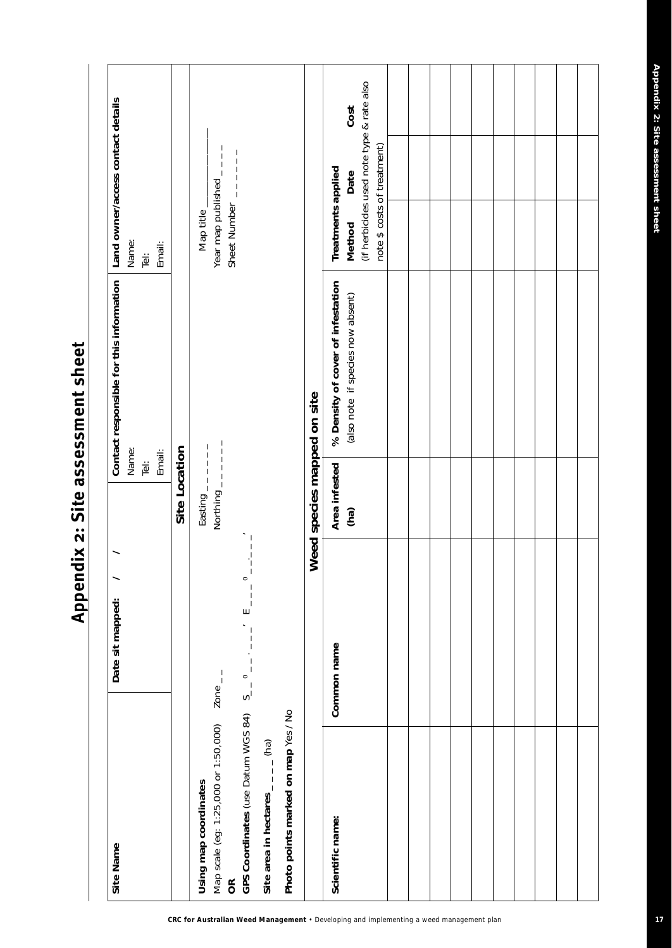(if herbicides used note type & rate also (if herbicides used note type & rate also Contact responsible for this information | Land owner/access contact details **Site Name Date sit mapped: 10316 and Datact responsible for this information**  $\ell$  **/**  $\ell$  **/**  $\ell$  **and**  $\ell$  **and**  $\ell$  **and**  $\ell$  **and**  $\ell$  **and**  $\ell$  **and**  $\ell$  **and**  $\ell$  **and**  $\ell$  **and**  $\ell$  **and**  $\ell$  **and**  $\ell$  **and**  $\ell$  **and**  $\ell$  **and \** Cost **(f) Date Date if species is absocated in the set of**  $\mathbf{z}$  **<b>Method Cost** Noting to the map of the mand of the set of the set of the set of the set of the set of the set of the set of the set of the set of the set of the set of the set of the set of the set of the set of the set of the set of t note \$ costs of treatment) Year map published \_\_\_\_ note \$ costs of treatment) Map scale (eg: 1:25,000 or 1:50,000) Zone \_ \_ Northing \_ \_ \_ \_ \_ \_ Year map published \_ \_ \_ \_ Sheet Number \_\_\_\_\_\_ **OR** Sheet Number \_ \_ \_ \_ \_ \_ Treatments applied Date **Scientific name: Common name Area infested % Density of cover of infestation Treatments applied** Map title\_ Method Name: Email: Name: Name: Email: Email:  $\frac{1}{\vert \Phi \vert}$ Tel: Tel: % Density of cover of infestation (also note if species now absent) Weed species mapped on site **Weed species mapped on site** Easting  $-\frac{1}{2}$   $-1$   $-1$   $-1$ Name: Site Location Northing  $------$ Email: **Site Location**  $\overline{\mathbb{P}}$ Area infested  $(ha)$ **GPS Coordinates** (use Datum WGS 84) S\_ \_ 0 \_ \_ . \_ \_ \_' E \_ \_ \_ 0 \_ \_.\_ \_ \_'  $\frac{1}{1}$ Date sit mapped: /  $\circ$  $\begin{array}{c} 1 \\ 1 \\ 1 \end{array}$ GPS Coordinates (use Datum WGS 84)  $S_{-1}^0 = -1$   $-1$   $-1$ Common name Map scale (eg: 1:25,000 or 1:50,000) Zone\_\_ Photo points marked on map Yes / No **Photo points marked on map** Yes / No Site area in hectares  $_{-\, -\, -}$  (ha) **Site area in hectares** \_ \_ \_ \_ (ha) Using map coordinates Scientific name: Site Name  $\approx$ 

Appendix 2: Site assessment sheet **Appendix 2: Site assessment sheet**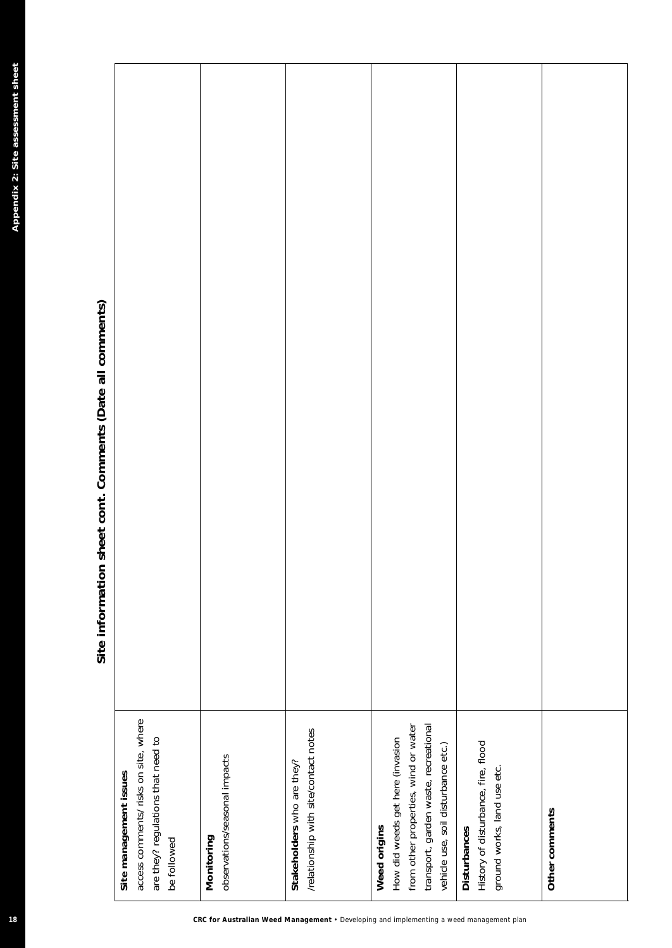| 18                                                                                      |                                                                                                                                                                          | Appendix 2: Site assessment sheet<br>Site information sheet cont. Comments (Date all comments) |
|-----------------------------------------------------------------------------------------|--------------------------------------------------------------------------------------------------------------------------------------------------------------------------|------------------------------------------------------------------------------------------------|
|                                                                                         | access comments/ risks on site, where<br>are they? regulations that need to<br>Site management issues<br>be followed                                                     |                                                                                                |
| CRC for Australian Weed Management . Developing and implementing a weed management plan | observations/seasonal impacts<br>Monitoring                                                                                                                              |                                                                                                |
|                                                                                         | /relationship with site/contact notes<br>Stakeholders who are they?                                                                                                      |                                                                                                |
|                                                                                         | from other properties, wind or water<br>transport, garden waste, recreational<br>How did weeds get here (invasion<br>vehicle use, soil disturbance etc.)<br>Weed origins |                                                                                                |
|                                                                                         | History of disturbance, fire, flood<br>ground works, land use etc.<br>Disturbances                                                                                       |                                                                                                |
|                                                                                         | Other comments                                                                                                                                                           |                                                                                                |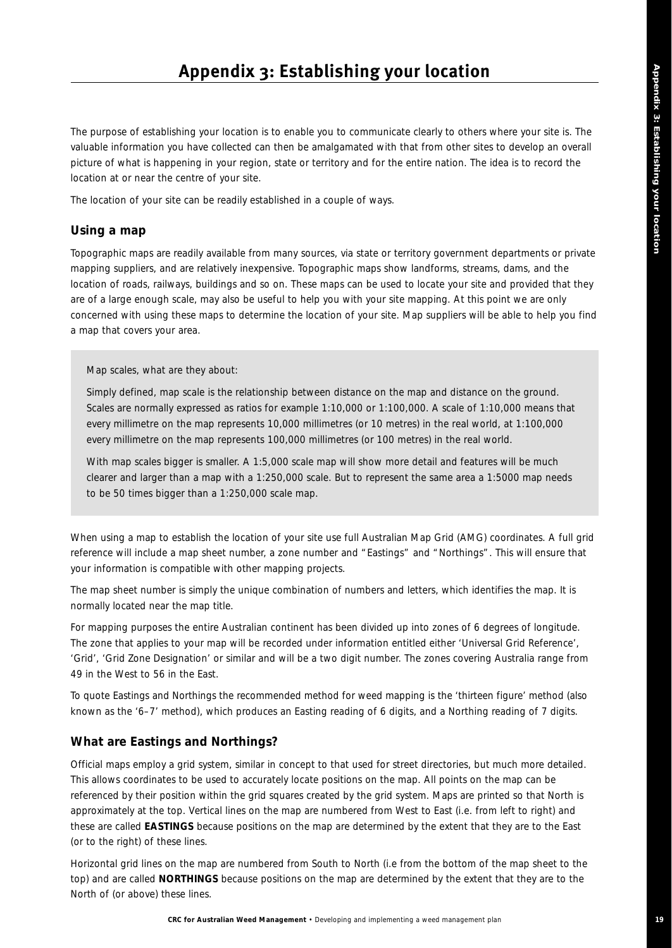The purpose of establishing your location is to enable you to communicate clearly to others where your site is. The valuable information you have collected can then be amalgamated with that from other sites to develop an overall picture of what is happening in your region, state or territory and for the entire nation. The idea is to record the location at or near the centre of your site.

The location of your site can be readily established in a couple of ways.

### **Using a map**

Topographic maps are readily available from many sources, via state or territory government departments or private mapping suppliers, and are relatively inexpensive. Topographic maps show landforms, streams, dams, and the location of roads, railways, buildings and so on. These maps can be used to locate your site and provided that they are of a large enough scale, may also be useful to help you with your site mapping. At this point we are only concerned with using these maps to determine the location of your site. Map suppliers will be able to help you find a map that covers your area.

*Map scales, what are they about:*

*Simply defined, map scale is the relationship between distance on the map and distance on the ground. Scales are normally expressed as ratios for example 1:10,000 or 1:100,000. A scale of 1:10,000 means that every millimetre on the map represents 10,000 millimetres (or 10 metres) in the real world, at 1:100,000 every millimetre on the map represents 100,000 millimetres (or 100 metres) in the real world.* 

*With map scales bigger is smaller. A 1:5,000 scale map will show more detail and features will be much clearer and larger than a map with a 1:250,000 scale. But to represent the same area a 1:5000 map needs to be 50 times bigger than a 1:250,000 scale map.* 

When using a map to establish the location of your site use full Australian Map Grid (AMG) coordinates. A full grid reference will include a map *sheet* number, a *zone* number and "*Eastings*" and "*Northings*". This will ensure that your information is compatible with other mapping projects.

The map sheet number is simply the unique combination of numbers and letters, which identifies the map. It is normally located near the map title.

For mapping purposes the entire Australian continent has been divided up into zones of 6 degrees of longitude. The zone that applies to your map will be recorded under information entitled either 'Universal Grid Reference', 'Grid', 'Grid Zone Designation' or similar and will be a two digit number. The zones covering Australia range from 49 in the West to 56 in the East.

To quote Eastings and Northings the recommended method for weed mapping is the 'thirteen figure' method (also known as the '6–7' method), which produces an Easting reading of 6 digits, and a Northing reading of 7 digits.

### **What are Eastings and Northings?**

Official maps employ a grid system, similar in concept to that used for street directories, but much more detailed. This allows coordinates to be used to accurately locate positions on the map. All points on the map can be referenced by their position within the grid squares created by the grid system. Maps are printed so that North is approximately at the top. Vertical lines on the map are numbered from West to East (i.e. from left to right) and these are called **EASTINGS** because positions on the map are determined by the extent that they are to the East (or to the right) of these lines.

Horizontal grid lines on the map are numbered from South to North (i.e from the bottom of the map sheet to the top) and are called **NORTHINGS** because positions on the map are determined by the extent that they are to the North of (or above) these lines.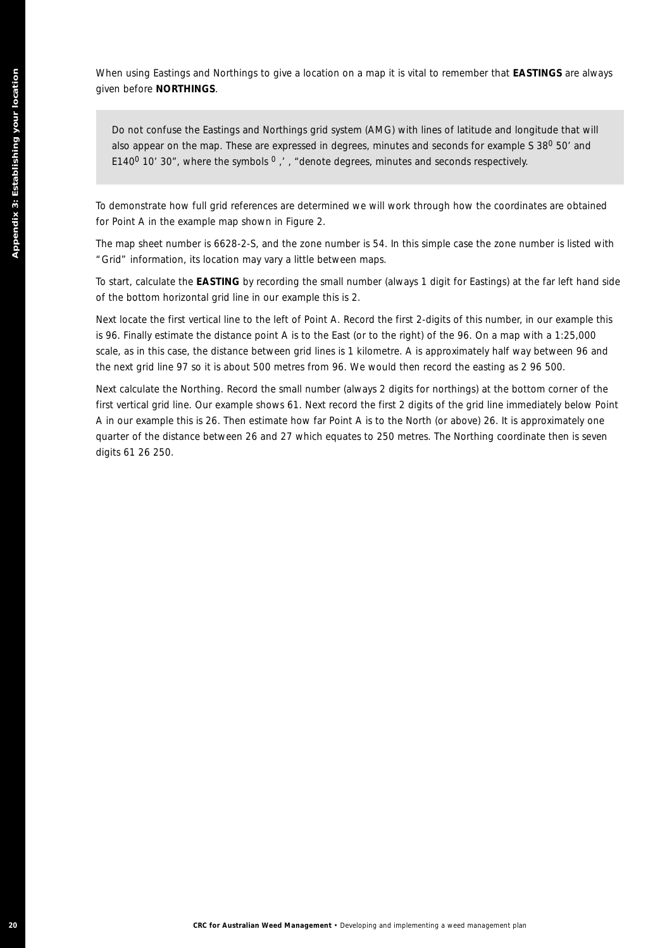When using Eastings and Northings to give a location on a map it is vital to remember that **EASTINGS** are always given before **NORTHINGS**.

*Do not confuse the Eastings and Northings grid system (AMG) with lines of latitude and longitude that will also appear on the map. These are expressed in degrees, minutes and seconds for example S 380 50' and E1400 10' 30", where the symbols 0 ,' , "denote degrees, minutes and seconds respectively.*

To demonstrate how full grid references are determined we will work through how the coordinates are obtained for Point A in the example map shown in Figure 2.

The map sheet number is 6628-2-S, and the zone number is 54. In this simple case the zone number is listed with "Grid" information, its location may vary a little between maps.

To start, calculate the **EASTING** by recording the small number (always 1 digit for Eastings) at the far left hand side of the bottom horizontal grid line in our example this is 2.

Next locate the first vertical line to the left of Point A. Record the first 2-digits of this number, in our example this is 96. Finally estimate the distance point A is to the East (or to the right) of the 96. On a map with a 1:25,000 scale, as in this case, the distance between grid lines is 1 kilometre. A is approximately half way between 96 and the next grid line 97 so it is about 500 metres from 96. We would then record the easting as 2 96 500.

**200 CRC for AUSTRALIAN CHANGE CONSULTS AND CONSULTS AND CONSULTS AND ACCORD CONSULTS AND ACCORD CONSULTS AND ACCORD CONSULTS AND ACCORD CONSULTS AND CONSULTS AND CONSULTS AND CONSULTS AND APPEAR ON A USE OF A USE OF AUS** Next calculate the Northing. Record the small number (always 2 digits for northings) at the bottom corner of the first vertical grid line. Our example shows 61. Next record the first 2 digits of the grid line immediately below Point A in our example this is 26. Then estimate how far Point A is to the North (or above) 26. It is approximately one quarter of the distance between 26 and 27 which equates to 250 metres. The Northing coordinate then is seven digits 61 26 250.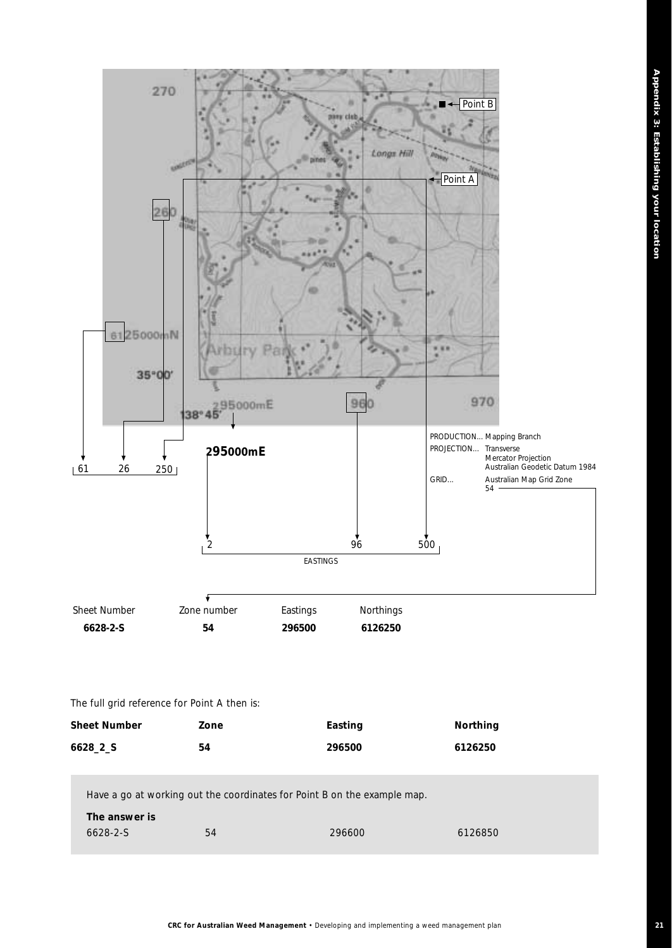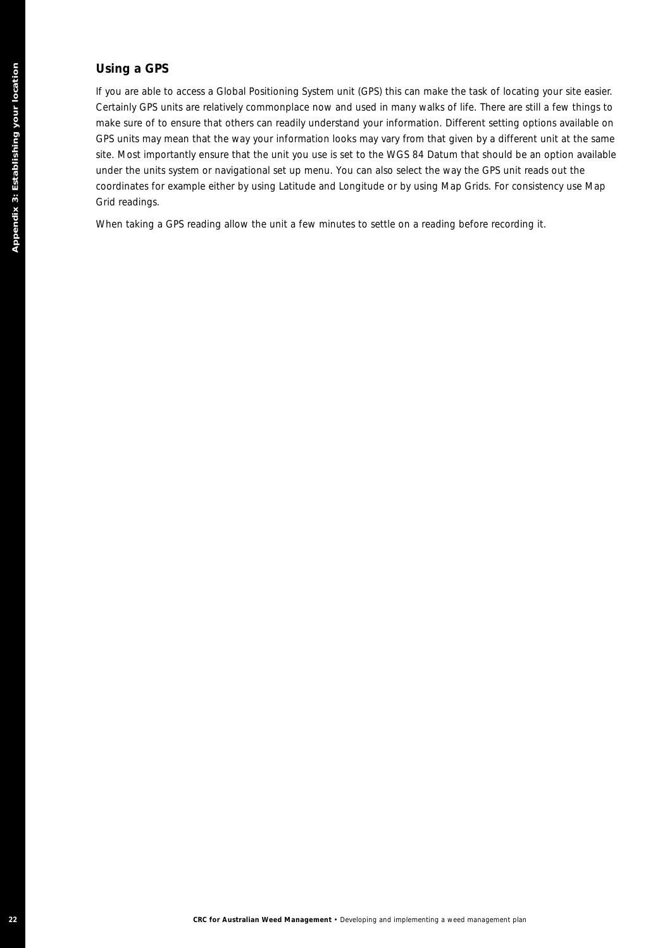### **Using a GPS**

**22 CRC for Australian Weed Management • Developing and implementation**<br>
22 CR For Australian Weed Management Power Management Plan Apple To the CR For Australian State<br>
22 CR For Australian Management Power Management Pla If you are able to access a Global Positioning System unit (GPS) this can make the task of locating your site easier. Certainly GPS units are relatively commonplace now and used in many walks of life. There are still a few things to make sure of to ensure that others can readily understand your information. Different setting options available on GPS units may mean that the way your information looks may vary from that given by a different unit at the same site. Most importantly ensure that the unit you use is set to the WGS 84 Datum that should be an option available under the units system or navigational set up menu. You can also select the way the GPS unit reads out the coordinates for example either by using Latitude and Longitude or by using Map Grids. For consistency use Map Grid readings.

When taking a GPS reading allow the unit a few minutes to settle on a reading before recording it.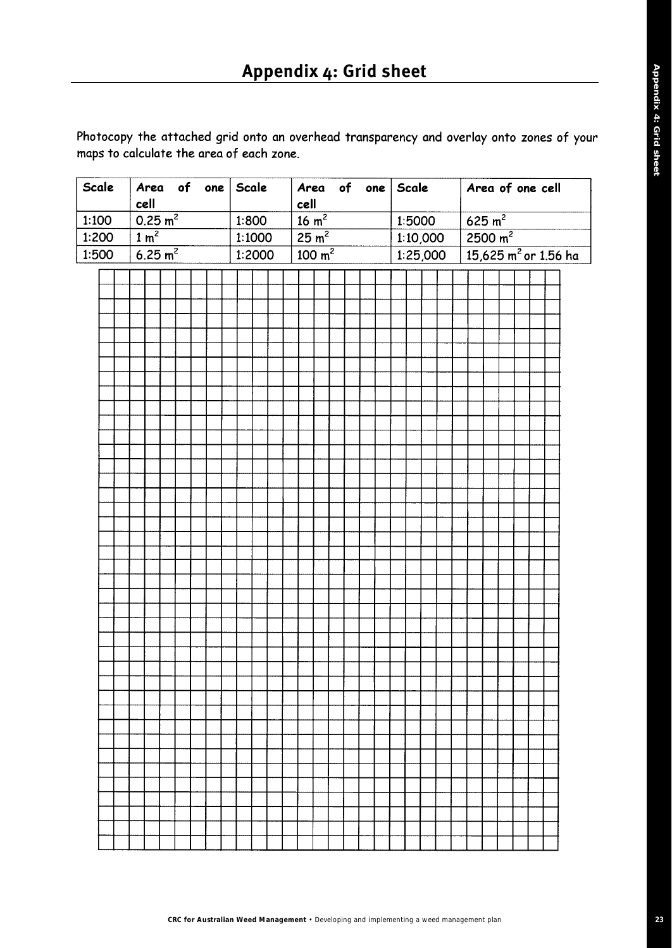Photocopy the attached grid onto an overhead transparency and overlay onto zones of your maps to calculate the area of each zone.

| Scale |  | cell                         |                     |  |  | $ $ Area of one $ $ Scale $ $ |  |  | Area of one $Scale$<br>cell<br>$\frac{16 \text{ m}^2}{\text{m}^2}$ |                                      |  |  |  |  |          | Area of one cell |        |  |                                |  |  |  |                                    |  |  |
|-------|--|------------------------------|---------------------|--|--|-------------------------------|--|--|--------------------------------------------------------------------|--------------------------------------|--|--|--|--|----------|------------------|--------|--|--------------------------------|--|--|--|------------------------------------|--|--|
| 1:100 |  |                              | 0.25 m <sup>2</sup> |  |  | 1:800                         |  |  |                                                                    |                                      |  |  |  |  |          |                  | 1:5000 |  | 625 m <sup>2</sup>             |  |  |  |                                    |  |  |
| 1:200 |  | $\frac{1}{1}$ m <sup>2</sup> |                     |  |  | 1:1000                        |  |  |                                                                    | $\frac{25 \text{ m}^2}{ }$           |  |  |  |  |          |                  |        |  | $1:10,000$ 2500 m <sup>2</sup> |  |  |  |                                    |  |  |
| 1:500 |  |                              | 6.25 m <sup>2</sup> |  |  | 1:2000                        |  |  |                                                                    | $\frac{100 \text{ m}^2}{\text{m}^2}$ |  |  |  |  | 1:25,000 |                  |        |  |                                |  |  |  | $15,625$ m <sup>2</sup> or 1.56 ha |  |  |
|       |  |                              |                     |  |  |                               |  |  |                                                                    |                                      |  |  |  |  |          |                  |        |  |                                |  |  |  |                                    |  |  |
|       |  |                              |                     |  |  |                               |  |  |                                                                    |                                      |  |  |  |  |          |                  |        |  |                                |  |  |  |                                    |  |  |
|       |  |                              |                     |  |  |                               |  |  |                                                                    |                                      |  |  |  |  |          |                  |        |  |                                |  |  |  |                                    |  |  |
|       |  |                              |                     |  |  |                               |  |  |                                                                    |                                      |  |  |  |  |          |                  |        |  |                                |  |  |  |                                    |  |  |
|       |  |                              |                     |  |  |                               |  |  |                                                                    |                                      |  |  |  |  |          |                  |        |  |                                |  |  |  |                                    |  |  |
|       |  |                              |                     |  |  |                               |  |  |                                                                    |                                      |  |  |  |  |          |                  |        |  |                                |  |  |  |                                    |  |  |
|       |  |                              |                     |  |  |                               |  |  |                                                                    |                                      |  |  |  |  |          |                  |        |  |                                |  |  |  |                                    |  |  |
|       |  |                              |                     |  |  |                               |  |  |                                                                    |                                      |  |  |  |  |          |                  |        |  |                                |  |  |  |                                    |  |  |
|       |  |                              |                     |  |  |                               |  |  |                                                                    |                                      |  |  |  |  |          |                  |        |  |                                |  |  |  |                                    |  |  |
|       |  |                              |                     |  |  |                               |  |  |                                                                    |                                      |  |  |  |  |          |                  |        |  |                                |  |  |  |                                    |  |  |
|       |  |                              |                     |  |  |                               |  |  |                                                                    |                                      |  |  |  |  |          |                  |        |  |                                |  |  |  |                                    |  |  |
|       |  |                              |                     |  |  |                               |  |  |                                                                    |                                      |  |  |  |  |          |                  |        |  |                                |  |  |  |                                    |  |  |
|       |  |                              |                     |  |  |                               |  |  |                                                                    |                                      |  |  |  |  |          |                  |        |  |                                |  |  |  |                                    |  |  |
|       |  |                              |                     |  |  |                               |  |  |                                                                    |                                      |  |  |  |  |          |                  |        |  |                                |  |  |  |                                    |  |  |
|       |  |                              |                     |  |  |                               |  |  |                                                                    |                                      |  |  |  |  |          |                  |        |  |                                |  |  |  |                                    |  |  |
|       |  |                              |                     |  |  |                               |  |  |                                                                    |                                      |  |  |  |  |          |                  |        |  |                                |  |  |  |                                    |  |  |
|       |  |                              |                     |  |  |                               |  |  |                                                                    |                                      |  |  |  |  |          |                  |        |  |                                |  |  |  |                                    |  |  |
|       |  |                              |                     |  |  |                               |  |  |                                                                    |                                      |  |  |  |  |          |                  |        |  |                                |  |  |  |                                    |  |  |
|       |  |                              |                     |  |  |                               |  |  |                                                                    |                                      |  |  |  |  |          |                  |        |  |                                |  |  |  |                                    |  |  |
|       |  |                              |                     |  |  |                               |  |  |                                                                    |                                      |  |  |  |  |          |                  |        |  |                                |  |  |  |                                    |  |  |
|       |  |                              |                     |  |  |                               |  |  |                                                                    |                                      |  |  |  |  |          |                  |        |  |                                |  |  |  |                                    |  |  |
|       |  |                              |                     |  |  |                               |  |  |                                                                    |                                      |  |  |  |  |          |                  |        |  |                                |  |  |  |                                    |  |  |
|       |  |                              |                     |  |  |                               |  |  |                                                                    |                                      |  |  |  |  |          |                  |        |  |                                |  |  |  |                                    |  |  |
|       |  |                              |                     |  |  |                               |  |  |                                                                    |                                      |  |  |  |  |          |                  |        |  |                                |  |  |  |                                    |  |  |
|       |  |                              |                     |  |  |                               |  |  |                                                                    |                                      |  |  |  |  |          |                  |        |  |                                |  |  |  |                                    |  |  |
|       |  |                              |                     |  |  |                               |  |  |                                                                    |                                      |  |  |  |  |          |                  |        |  |                                |  |  |  |                                    |  |  |
|       |  |                              |                     |  |  |                               |  |  |                                                                    |                                      |  |  |  |  |          |                  |        |  |                                |  |  |  |                                    |  |  |
|       |  |                              |                     |  |  |                               |  |  |                                                                    |                                      |  |  |  |  |          |                  |        |  |                                |  |  |  |                                    |  |  |
|       |  |                              |                     |  |  |                               |  |  |                                                                    |                                      |  |  |  |  |          |                  |        |  |                                |  |  |  |                                    |  |  |
|       |  |                              |                     |  |  |                               |  |  |                                                                    |                                      |  |  |  |  |          |                  |        |  |                                |  |  |  |                                    |  |  |
|       |  |                              |                     |  |  |                               |  |  |                                                                    |                                      |  |  |  |  |          |                  |        |  |                                |  |  |  |                                    |  |  |
|       |  |                              |                     |  |  |                               |  |  |                                                                    |                                      |  |  |  |  |          |                  |        |  |                                |  |  |  |                                    |  |  |
|       |  |                              |                     |  |  |                               |  |  |                                                                    |                                      |  |  |  |  |          |                  |        |  |                                |  |  |  |                                    |  |  |
|       |  |                              |                     |  |  |                               |  |  |                                                                    |                                      |  |  |  |  |          |                  |        |  |                                |  |  |  |                                    |  |  |
|       |  |                              |                     |  |  |                               |  |  |                                                                    |                                      |  |  |  |  |          |                  |        |  |                                |  |  |  |                                    |  |  |
|       |  |                              |                     |  |  |                               |  |  |                                                                    |                                      |  |  |  |  |          |                  |        |  |                                |  |  |  |                                    |  |  |
|       |  |                              |                     |  |  |                               |  |  |                                                                    |                                      |  |  |  |  |          |                  |        |  |                                |  |  |  |                                    |  |  |
|       |  |                              |                     |  |  |                               |  |  |                                                                    |                                      |  |  |  |  |          |                  |        |  |                                |  |  |  |                                    |  |  |
|       |  |                              |                     |  |  |                               |  |  |                                                                    |                                      |  |  |  |  |          |                  |        |  |                                |  |  |  |                                    |  |  |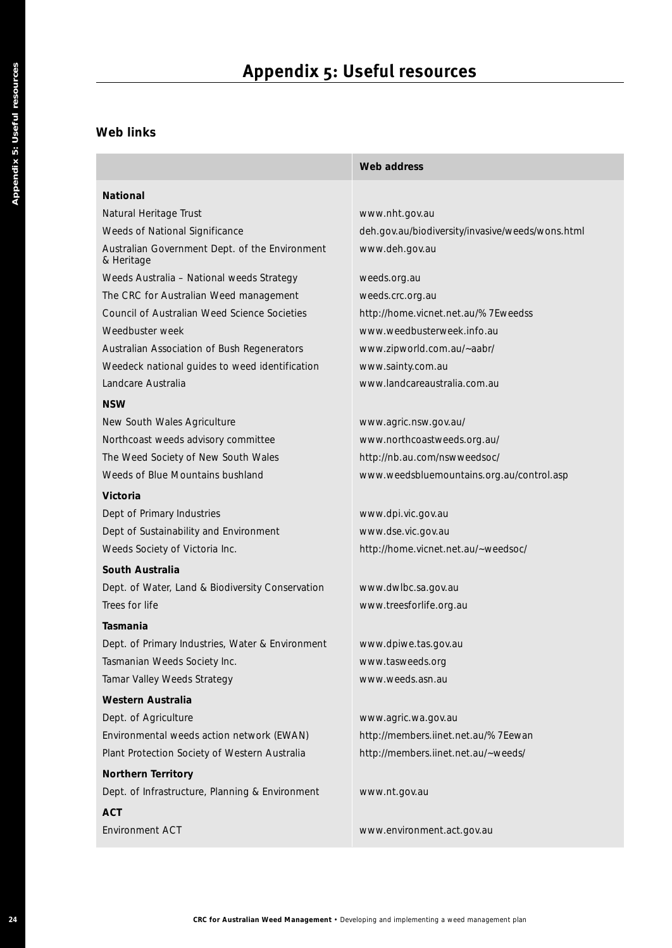# **Appendix 5: Useful resources**

### **Web links**

|                                                                       | Web address                                      |
|-----------------------------------------------------------------------|--------------------------------------------------|
| <b>National</b>                                                       |                                                  |
| Natural Heritage Trust                                                | www.nht.gov.au                                   |
| Weeds of National Significance                                        | deh.gov.au/biodiversity/invasive/weeds/wons.html |
| Australian Government Dept. of the Environment<br>& Heritage          | www.deh.gov.au                                   |
| Weeds Australia - National weeds Strategy                             | weeds.org.au                                     |
| The CRC for Australian Weed management                                | weeds.crc.org.au                                 |
| Council of Australian Weed Science Societies                          | http://home.vicnet.net.au/%7Eweedss              |
| Weedbuster week                                                       | www.weedbusterweek.info.au                       |
| Australian Association of Bush Regenerators                           | www.zipworld.com.au/~aabr/                       |
| Weedeck national guides to weed identification                        | www.sainty.com.au                                |
| Landcare Australia                                                    | www.landcareaustralia.com.au                     |
| <b>NSW</b>                                                            |                                                  |
| New South Wales Agriculture                                           | www.agric.nsw.gov.au/                            |
| Northcoast weeds advisory committee                                   | www.northcoastweeds.org.au/                      |
| The Weed Society of New South Wales                                   | http://nb.au.com/nswweedsoc/                     |
| Weeds of Blue Mountains bushland                                      | www.weedsbluemountains.org.au/control.asp        |
| Victoria                                                              |                                                  |
| Dept of Primary Industries                                            | www.dpi.vic.gov.au                               |
| Dept of Sustainability and Environment                                | www.dse.vic.gov.au                               |
| Weeds Society of Victoria Inc.                                        | http://home.vicnet.net.au/~weedsoc/              |
| South Australia                                                       |                                                  |
| Dept. of Water, Land & Biodiversity Conservation                      | www.dwlbc.sa.gov.au                              |
| Trees for life                                                        | www.treesforlife.org.au                          |
| Tasmania                                                              |                                                  |
| Dept. of Primary Industries, Water & Environment                      | www.dpiwe.tas.gov.au                             |
| Tasmanian Weeds Society Inc.                                          | www.tasweeds.org                                 |
| Tamar Valley Weeds Strategy                                           | www.weeds.asn.au                                 |
| <b>Western Australia</b>                                              |                                                  |
| Dept. of Agriculture                                                  | www.agric.wa.gov.au                              |
| Environmental weeds action network (EWAN)                             | http://members.iinet.net.au/%7Eewan              |
| Plant Protection Society of Western Australia                         | http://members.iinet.net.au/~weeds/              |
|                                                                       |                                                  |
| Northern Territory<br>Dept. of Infrastructure, Planning & Environment | www.nt.gov.au                                    |
| <b>ACT</b>                                                            |                                                  |
| Environment ACT                                                       | www.environment.act.gov.au                       |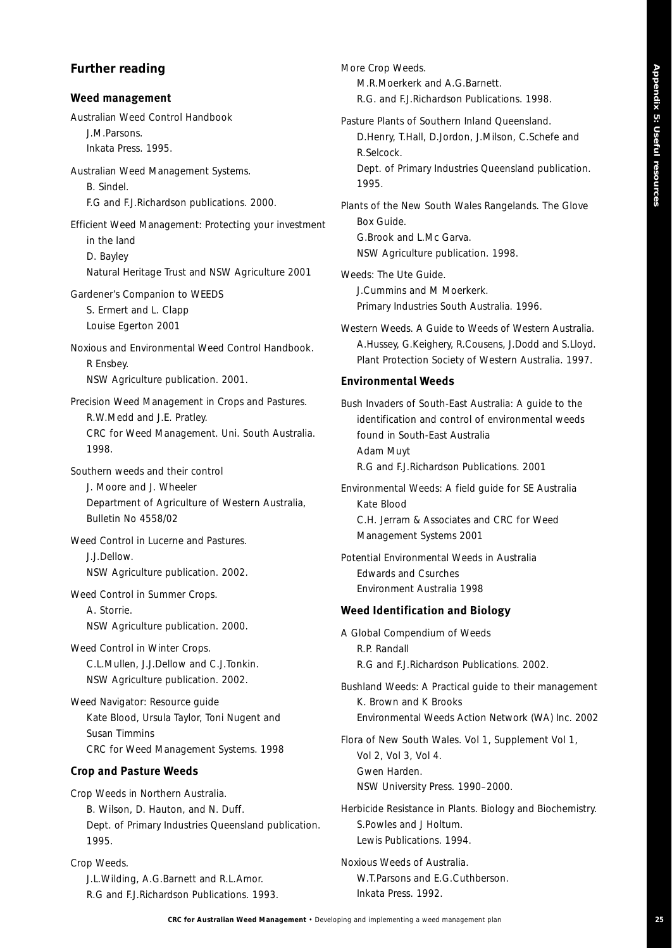### **Further reading**

#### **Weed management**

*Australian Weed Control Handbook* J.M.Parsons.

Inkata Press. 1995. *Australian Weed Management Systems.* 

B. Sindel. F.G and F.J.Richardson publications. 2000.

*Efficient Weed Management: Protecting your investment in the land* D. Bayley Natural Heritage Trust and NSW Agriculture 2001

*Gardener's Companion to WEEDS* S. Ermert and L. Clapp Louise Egerton 2001

*Noxious and Environmental Weed Control Handbook.* R Ensbey. NSW Agriculture publication. 2001.

*Precision Weed Management in Crops and Pastures.*  R.W.Medd and J.E. Pratley. CRC for Weed Management. Uni. South Australia. 1998.

*Southern weeds and their control*

J. Moore and J. Wheeler Department of Agriculture of Western Australia, Bulletin No 4558/02

*Weed Control in Lucerne and Pastures.*  J.J.Dellow. NSW Agriculture publication. 2002.

*Weed Control in Summer Crops.*  A. Storrie. NSW Agriculture publication. 2000.

*Weed Control in Winter Crops.*  C.L.Mullen, J.J.Dellow and C.J.Tonkin. NSW Agriculture publication. 2002.

*Weed Navigator: Resource guide* Kate Blood, Ursula Taylor, Toni Nugent and Susan Timmins CRC for Weed Management Systems. 1998

#### **Crop and Pasture Weeds**

*Crop Weeds in Northern Australia.*  B. Wilson, D. Hauton, and N. Duff. Dept. of Primary Industries Queensland publication. 1995.

*Crop Weeds.*  J.L.Wilding, A.G.Barnett and R.L.Amor. R.G and F.J.Richardson Publications. 1993. *More Crop Weeds.*  M.R.Moerkerk and A.G.Barnett. R.G. and F.J.Richardson Publications. 1998.

*Pasture Plants of Southern Inland Queensland.*  D.Henry, T.Hall, D.Jordon, J.Milson, C.Schefe and R.Selcock. Dept. of Primary Industries Queensland publication. 1995.

*Plants of the New South Wales Rangelands. The Glove Box Guide.*  G.Brook and L.Mc Garva. NSW Agriculture publication. 1998.

*Weeds: The Ute Guide.*  J.Cummins and M Moerkerk. Primary Industries South Australia. 1996.

*Western Weeds. A Guide to Weeds of Western Australia.*  A.Hussey, G.Keighery, R.Cousens, J.Dodd and S.Lloyd. Plant Protection Society of Western Australia. 1997.

#### **Environmental Weeds**

*Bush Invaders of South-East Australia: A guide to the identification and control of environmental weeds found in South-East Australia* Adam Muyt R.G and F.J.Richardson Publications. 2001

*Environmental Weeds: A field guide for SE Australia* Kate Blood C.H. Jerram & Associates and CRC for Weed Management Systems 2001

*Potential Environmental Weeds in Australia* Edwards and Csurches Environment Australia 1998

#### **Weed Identification and Biology**

*A Global Compendium of Weeds* R.P. Randall R.G and F.J.Richardson Publications. 2002.

*Bushland Weeds: A Practical guide to their management*  K. Brown and K Brooks Environmental Weeds Action Network (WA) Inc. 2002

*Flora of New South Wales. Vol 1, Supplement Vol 1, Vol 2, Vol 3, Vol 4.* 

Gwen Harden. NSW University Press. 1990–2000.

*Herbicide Resistance in Plants. Biology and Biochemistry.*  S.Powles and J Holtum. Lewis Publications. 1994.

*Noxious Weeds of Australia.*  W.T.Parsons and E.G.Cuthberson. Inkata Press. 1992.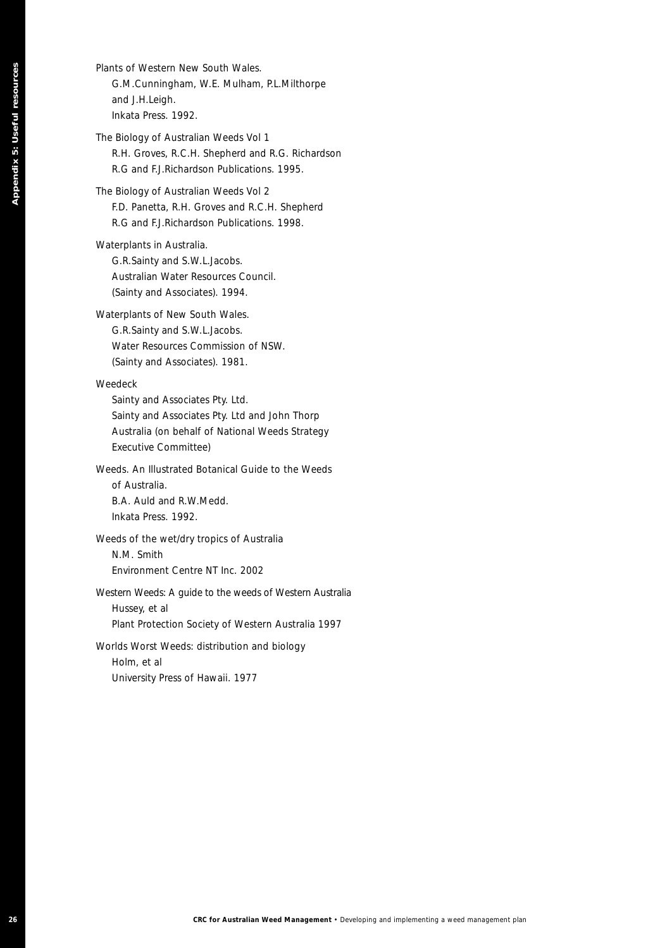### *Plants of Western New South Wales.*  G.M.Cunningham, W.E. Mulham, P.L.Milthorpe and J.H.Leigh. Inkata Press. 1992.

*The Biology of Australian Weeds Vol 1* R.H. Groves, R.C.H. Shepherd and R.G. Richardson R.G and F.J.Richardson Publications. 1995.

#### *The Biology of Australian Weeds Vol 2*

F.D. Panetta, R.H. Groves and R.C.H. Shepherd R.G and F.J.Richardson Publications. 1998.

#### *Waterplants in Australia.*

G.R.Sainty and S.W.L.Jacobs. Australian Water Resources Council. (Sainty and Associates). 1994.

#### *Waterplants of New South Wales.*

G.R.Sainty and S.W.L.Jacobs. Water Resources Commission of NSW. (Sainty and Associates). 1981.

#### *Weedeck*

**26 CRC** for Australian *Developing Appendix* **CRC** (USE) and *CRC* for Australian Weed Management **CRC for Australian CRC for Australian Weed Management <b>CRC** (CRC For Australian Weed Management plan Appendix 5: Useful Sainty and Associates Pty. Ltd. Sainty and Associates Pty. Ltd and John Thorp Australia (on behalf of National Weeds Strategy Executive Committee)

*Weeds. An Illustrated Botanical Guide to the Weeds of Australia.* B.A. Auld and R.W.Medd. Inkata Press. 1992.

*Weeds of the wet/dry tropics of Australia* N.M. Smith Environment Centre NT Inc. 2002

## *Western Weeds: A guide to the weeds of Western Australia* Hussey, et al

Plant Protection Society of Western Australia 1997

#### *Worlds Worst Weeds: distribution and biology* Holm, et al University Press of Hawaii. 1977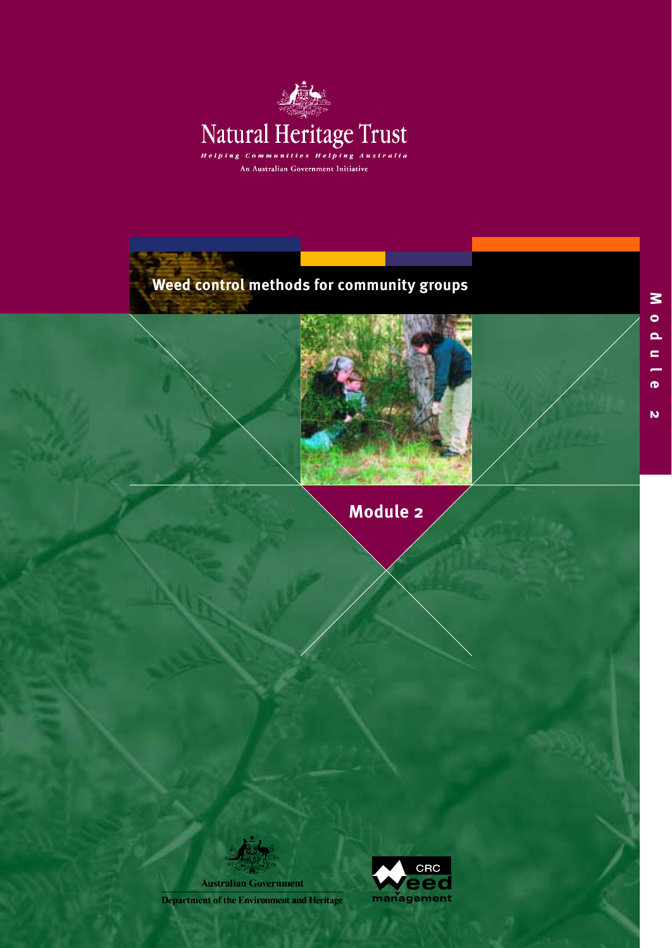

# **Weed control methods for community groups**



**Module 2**

**Australian Government** 

**Department of the Environment and Heritage** 

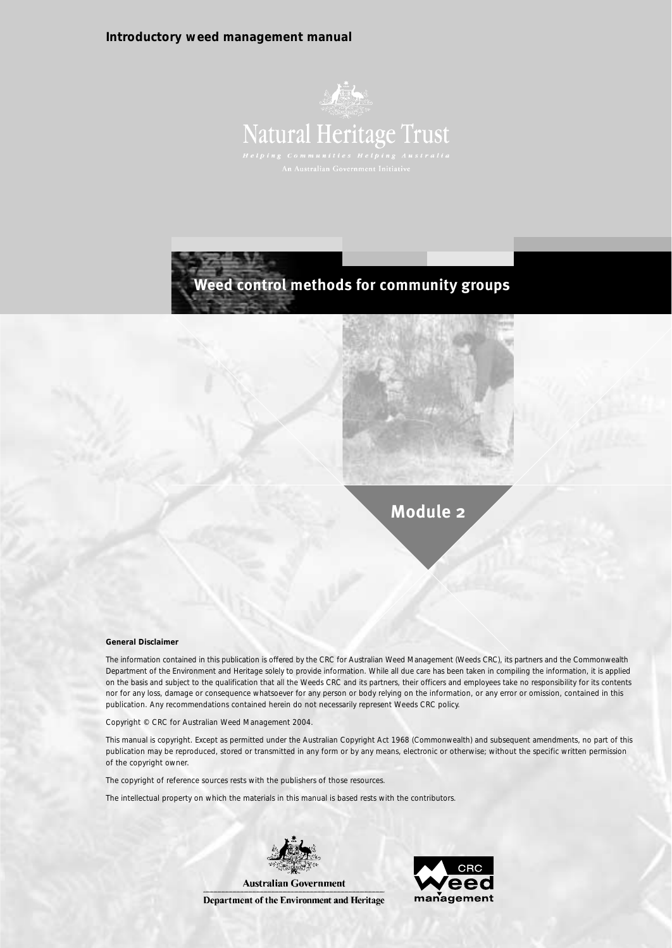#### **Introductory weed management manual**





**Module 2**

#### **General Disclaimer**

The information contained in this publication is offered by the CRC for Australian Weed Management (Weeds CRC), its partners and the Commonwealth Department of the Environment and Heritage solely to provide information. While all due care has been taken in compiling the information, it is applied on the basis and subject to the qualification that all the Weeds CRC and its partners, their officers and employees take no responsibility for its contents nor for any loss, damage or consequence whatsoever for any person or body relying on the information, or any error or omission, contained in this publication. Any recommendations contained herein do not necessarily represent Weeds CRC policy.

Copyright © CRC for Australian Weed Management 2004.

This manual is copyright. Except as permitted under the Australian Copyright Act 1968 (Commonwealth) and subsequent amendments, no part of this publication may be reproduced, stored or transmitted in any form or by any means, electronic or otherwise; without the specific written permission of the copyright owner.

The copyright of reference sources rests with the publishers of those resources.

The intellectual property on which the materials in this manual is based rests with the contributors.



Department of the Environment and Heritage

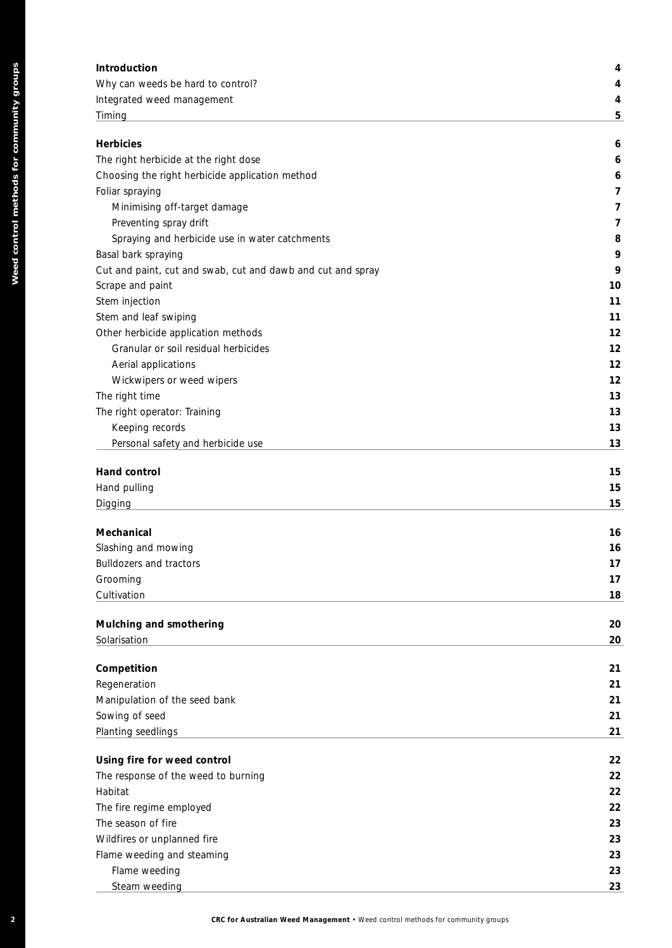| <b>Introduction</b>                   | 4 |
|---------------------------------------|---|
| Why can weeds be hard to control?     | 4 |
| Integrated weed management            | 4 |
| Timing                                | 5 |
|                                       |   |
| <b>Herbicies</b>                      | 6 |
| The right herbicide at the right dose | 6 |
|                                       |   |

| Choosing the right herbicide application method             | 6  |
|-------------------------------------------------------------|----|
| Foliar spraying                                             | 7  |
| Minimising off-target damage                                | 7  |
| Preventing spray drift                                      | 7  |
| Spraying and herbicide use in water catchments              | 8  |
| Basal bark spraying                                         | 9  |
| Cut and paint, cut and swab, cut and dawb and cut and spray | 9  |
| Scrape and paint                                            | 10 |
| Stem injection                                              | 11 |
| Stem and leaf swiping                                       | 11 |
| Other herbicide application methods                         | 12 |
| Granular or soil residual herbicides                        | 12 |
| Aerial applications                                         | 12 |
| Wickwipers or weed wipers                                   | 12 |
| The right time                                              | 13 |
| The right operator: Training                                | 13 |
| Keeping records                                             | 13 |
| Personal safety and herbicide use                           | 13 |

| Introduction                                                |  |
|-------------------------------------------------------------|--|
| Why can weeds be hard to control?                           |  |
| Integrated weed management                                  |  |
| Timing                                                      |  |
| <b>Herbicies</b>                                            |  |
| The right herbicide at the right dose                       |  |
| Choosing the right herbicide application method             |  |
| Foliar spraying                                             |  |
| Minimising off-target damage                                |  |
| Preventing spray drift                                      |  |
| Spraying and herbicide use in water catchments              |  |
| Basal bark spraying                                         |  |
| Cut and paint, cut and swab, cut and dawb and cut and spray |  |
| Scrape and paint                                            |  |
| Stem injection                                              |  |
| Stem and leaf swiping                                       |  |
| Other herbicide application methods                         |  |
| Granular or soil residual herbicides                        |  |
| Aerial applications                                         |  |
| Wickwipers or weed wipers                                   |  |
| The right time                                              |  |
| The right operator: Training                                |  |
| Keeping records                                             |  |
| Personal safety and herbicide use                           |  |
| Hand control                                                |  |
| Hand pulling                                                |  |
| Digging                                                     |  |
| Mechanical                                                  |  |
| Slashing and mowing                                         |  |
| <b>Bulldozers and tractors</b>                              |  |
| Grooming                                                    |  |
| Cultivation                                                 |  |
|                                                             |  |
| Mulching and smothering<br>Solarisation                     |  |
|                                                             |  |
| Competition                                                 |  |
| Regeneration                                                |  |
| Manipulation of the seed bank                               |  |
| Sowing of seed                                              |  |
| Planting seedlings                                          |  |
| Using fire for weed control                                 |  |
| The response of the weed to burning                         |  |
| Habitat                                                     |  |
| The fire regime employed                                    |  |
| The season of fire                                          |  |
| Wildfires or unplanned fire                                 |  |
| Flame weeding and steaming                                  |  |
| Flame weeding                                               |  |
| Steam weeding                                               |  |

|  | <b>CRC for Australian Weed Management • Weed control</b> |  |  |
|--|----------------------------------------------------------|--|--|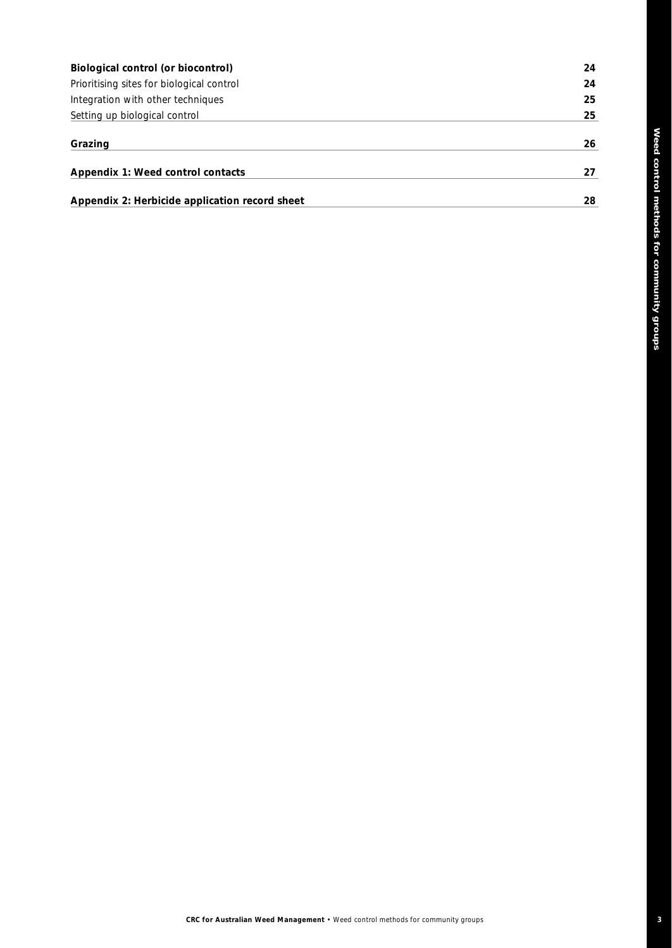| Biological control (or biocontrol)             | 24 |
|------------------------------------------------|----|
| Prioritising sites for biological control      | 24 |
| Integration with other techniques              | 25 |
| Setting up biological control                  | 25 |
| Grazing                                        | 26 |
| Appendix 1: Weed control contacts              | 27 |
| Appendix 2: Herbicide application record sheet | 28 |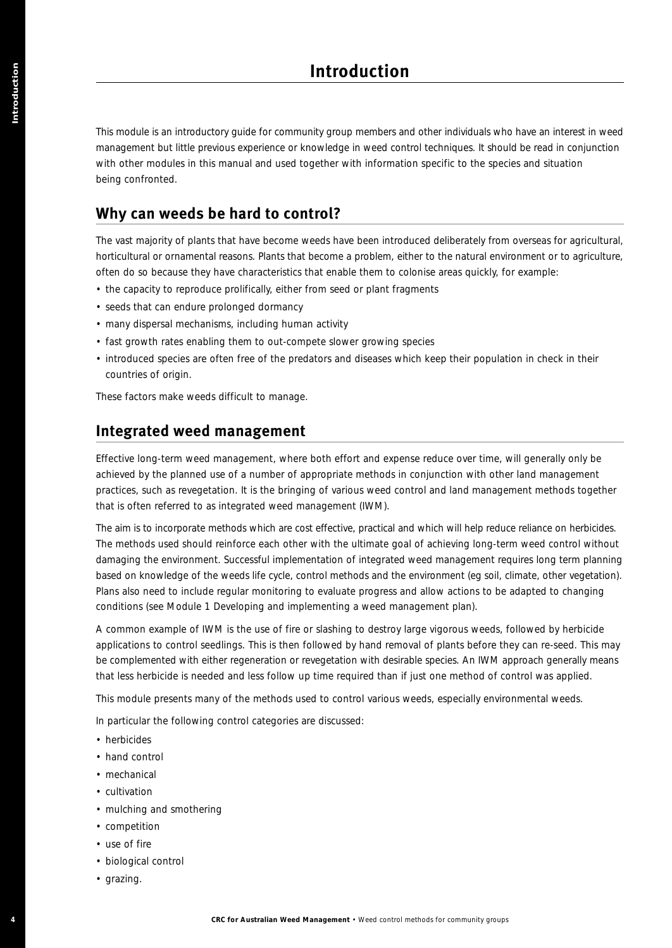This module is an introductory guide for community group members and other individuals who have an interest in weed management but little previous experience or knowledge in weed control techniques. It should be read in conjunction with other modules in this manual and used together with information specific to the species and situation being confronted.

## **Why can weeds be hard to control?**

The vast majority of plants that have become weeds have been introduced deliberately from overseas for agricultural, horticultural or ornamental reasons. Plants that become a problem, either to the natural environment or to agriculture, often do so because they have characteristics that enable them to colonise areas quickly, for example:

- the capacity to reproduce prolifically, either from seed or plant fragments
- seeds that can endure prolonged dormancy
- many dispersal mechanisms, including human activity
- fast growth rates enabling them to out-compete slower growing species
- introduced species are often free of the predators and diseases which keep their population in check in their countries of origin.

These factors make weeds difficult to manage.

#### **Integrated weed management**

Effective long-term weed management, where both effort and expense reduce over time, will generally only be achieved by the planned use of a number of appropriate methods in conjunction with other land management practices, such as revegetation. It is the bringing of various weed control and land management methods together that is often referred to as *integrated weed management* (IWM).

The aim is to incorporate methods which are cost effective, practical and which will help reduce reliance on herbicides. The methods used should reinforce each other with the ultimate goal of achieving long-term weed control without damaging the environment. Successful implementation of integrated weed management requires long term planning based on knowledge of the weeds life cycle, control methods and the environment (eg soil, climate, other vegetation). Plans also need to include regular monitoring to evaluate progress and allow actions to be adapted to changing conditions (see Module 1 *Developing and implementing a weed management plan*). **4 Excel Excel in the gradient of the stress of the stress of the stress and the stress of the stress and the groups and the stress and the stress and the stress and the stress and the stress and the stress and the str** 

A common example of IWM is the use of fire or slashing to destroy large vigorous weeds, followed by herbicide applications to control seedlings. This is then followed by hand removal of plants before they can re-seed. This may be complemented with either regeneration or revegetation with desirable species. An IWM approach generally means that less herbicide is needed and less follow up time required than if just one method of control was applied.

This module presents many of the methods used to control various weeds, especially environmental weeds.

In particular the following control categories are discussed:

- herbicides
- hand control
- mechanical
- cultivation
- mulching and smothering
- competition
- use of fire
- biological control
- grazing.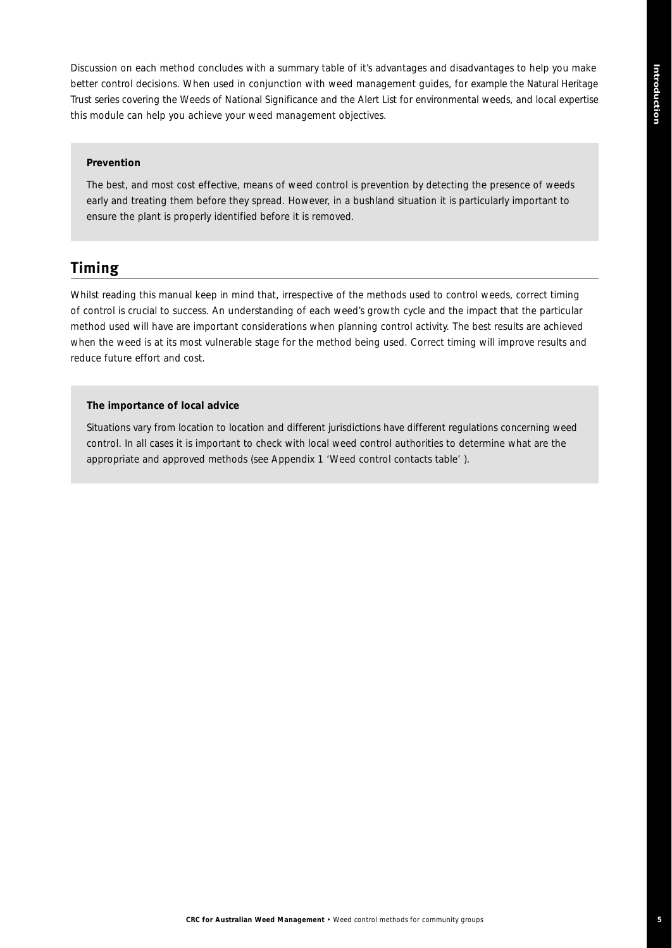Discussion on each method concludes with a summary table of it's advantages and disadvantages to help you make better control decisions. When used in conjunction with weed management guides, for example the Natural Heritage Trust series covering the *Weeds of National Significance* and the *Alert List* for environmental weeds, and local expertise this module can help you achieve your weed management objectives.

#### *Prevention*

*The best, and most cost effective, means of weed control is prevention by detecting the presence of weeds early and treating them before they spread. However, in a bushland situation it is particularly important to ensure the plant is properly identified before it is removed.*

## **Timing**

Whilst reading this manual keep in mind that, irrespective of the methods used to control weeds, correct timing of control is crucial to success. An understanding of each weed's growth cycle and the impact that the particular method used will have are important considerations when planning control activity. The best results are achieved when the weed is at its most vulnerable stage for the method being used. Correct timing will improve results and reduce future effort and cost.

#### *The importance of local advice*

*Situations vary from location to location and different jurisdictions have different regulations concerning weed control. In all cases it is important to check with local weed control authorities to determine what are the appropriate and approved methods (see Appendix 1 'Weed control contacts table' ).*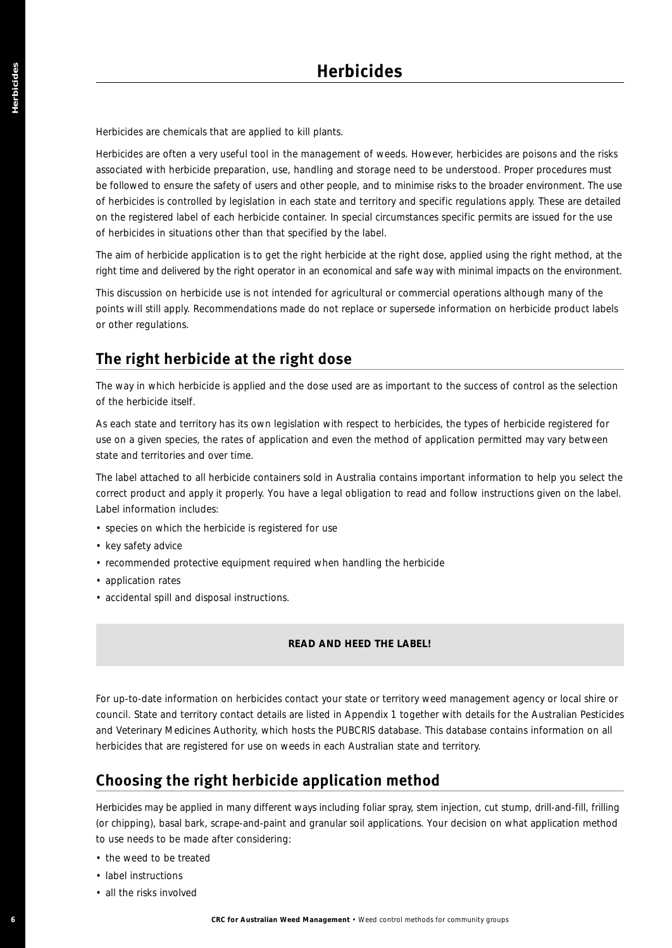Herbicides are chemicals that are applied to kill plants.

Herbicides are often a very useful tool in the management of weeds. However, herbicides are poisons and the risks associated with herbicide preparation, use, handling and storage need to be understood. Proper procedures must be followed to ensure the safety of users and other people, and to minimise risks to the broader environment. The use of herbicides is controlled by legislation in each state and territory and specific regulations apply. These are detailed on the registered label of each herbicide container. In special circumstances specific permits are issued for the use of herbicides in situations other than that specified by the label. **Excelsion** and the main of the state of the control methods for the state of the management of the state of the state of the state of the management of the state of the state of the state of the state of the state of the

The aim of herbicide application is to get the right herbicide at the right dose, applied using the right method, at the right time and delivered by the right operator in an economical and safe way with minimal impacts on the environment.

This discussion on herbicide use is not intended for agricultural or commercial operations although many of the points will still apply. Recommendations made do not replace or supersede information on herbicide product labels or other regulations.

# **The right herbicide at the right dose**

The way in which herbicide is applied and the dose used are as important to the success of control as the selection of the herbicide itself.

As each state and territory has its own legislation with respect to herbicides, the types of herbicide registered for use on a given species, the rates of application and even the method of application permitted may vary between state and territories and over time.

The label attached to all herbicide containers sold in Australia contains important information to help you select the correct product and apply it properly. You have a legal obligation to read and follow instructions given on the label. Label information includes:

- species on which the herbicide is registered for use
- key safety advice
- recommended protective equipment required when handling the herbicide
- application rates
- accidental spill and disposal instructions.

#### *READ AND HEED THE LABEL!*

For up-to-date information on herbicides contact your state or territory weed management agency or local shire or council. State and territory contact details are listed in Appendix 1 together with details for the Australian Pesticides and Veterinary Medicines Authority, which hosts the PUBCRIS database. This database contains information on all herbicides that are registered for use on weeds in each Australian state and territory.

# **Choosing the right herbicide application method**

Herbicides may be applied in many different ways including foliar spray, stem injection, cut stump, drill-and-fill, frilling (or chipping), basal bark, scrape-and-paint and granular soil applications. Your decision on what application method to use needs to be made after considering:

- the weed to be treated
- label instructions
- all the risks involved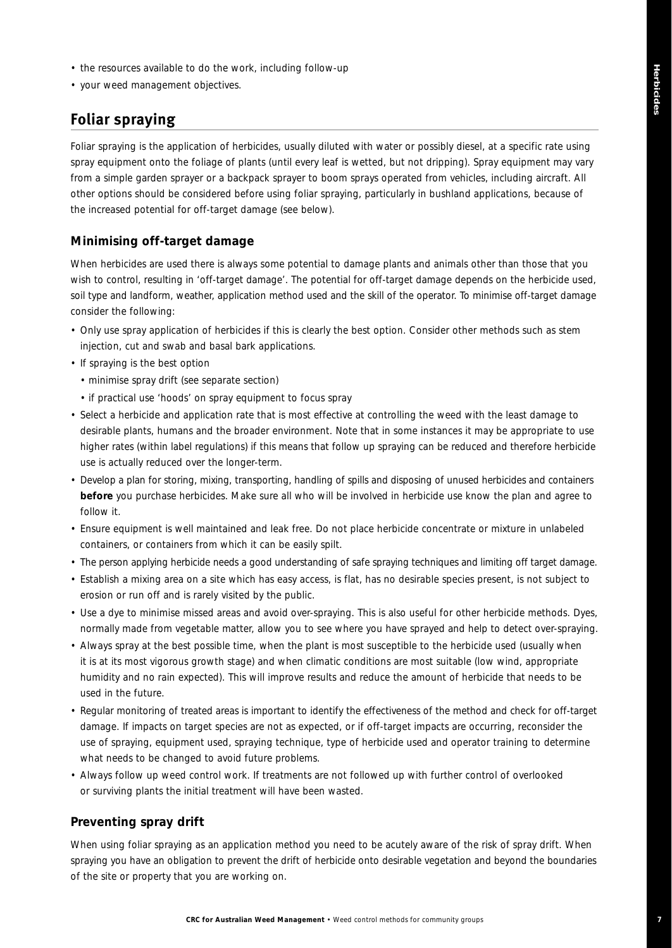**7**

- the resources available to do the work, including follow-up
- your weed management objectives.

# **Foliar spraying**

Foliar spraying is the application of herbicides, usually diluted with water or possibly diesel, at a specific rate using spray equipment onto the foliage of plants (until every leaf is wetted, but not dripping). Spray equipment may vary from a simple garden sprayer or a backpack sprayer to boom sprays operated from vehicles, including aircraft. All other options should be considered before using foliar spraying, particularly in bushland applications, because of the increased potential for off-target damage (see below).

#### **Minimising off-target damage**

When herbicides are used there is always some potential to damage plants and animals other than those that you wish to control, resulting in 'off-target damage'. The potential for off-target damage depends on the herbicide used, soil type and landform, weather, application method used and the skill of the operator. To minimise off-target damage consider the following:

- Only use spray application of herbicides if this is clearly the best option. Consider other methods such as stem injection, cut and swab and basal bark applications.
- If spraying is the best option
	- minimise spray drift (see separate section)
	- if practical use 'hoods' on spray equipment to focus spray
- Select a herbicide and application rate that is most effective at controlling the weed with the least damage to desirable plants, humans and the broader environment. Note that in some instances it may be appropriate to use higher rates (within label regulations) if this means that follow up spraying can be reduced and therefore herbicide use is actually reduced over the longer-term.
- Develop a plan for storing, mixing, transporting, handling of spills and disposing of unused herbicides and containers **before** you purchase herbicides. Make sure all who will be involved in herbicide use know the plan and agree to follow it.
- Ensure equipment is well maintained and leak free. Do not place herbicide concentrate or mixture in unlabeled containers, or containers from which it can be easily spilt.
- The person applying herbicide needs a good understanding of safe spraying techniques and limiting off target damage.
- Establish a mixing area on a site which has easy access, is flat, has no desirable species present, is not subject to erosion or run off and is rarely visited by the public.
- Use a dye to minimise missed areas and avoid over-spraying. This is also useful for other herbicide methods. Dyes, normally made from vegetable matter, allow you to see where you have sprayed and help to detect over-spraying.
- Always spray at the best possible time, when the plant is most susceptible to the herbicide used (usually when it is at its most vigorous growth stage) and when climatic conditions are most suitable (low wind, appropriate humidity and no rain expected). This will improve results and reduce the amount of herbicide that needs to be used in the future.
- Regular monitoring of treated areas is important to identify the effectiveness of the method and check for off-target damage. If impacts on target species are not as expected, or if off-target impacts are occurring, reconsider the use of spraying, equipment used, spraying technique, type of herbicide used and operator training to determine what needs to be changed to avoid future problems.
- Always follow up weed control work. If treatments are not followed up with further control of overlooked or surviving plants the initial treatment will have been wasted.

#### **Preventing spray drift**

When using foliar spraying as an application method you need to be acutely aware of the risk of spray drift. When spraying you have an obligation to prevent the drift of herbicide onto desirable vegetation and beyond the boundaries of the site or property that you are working on.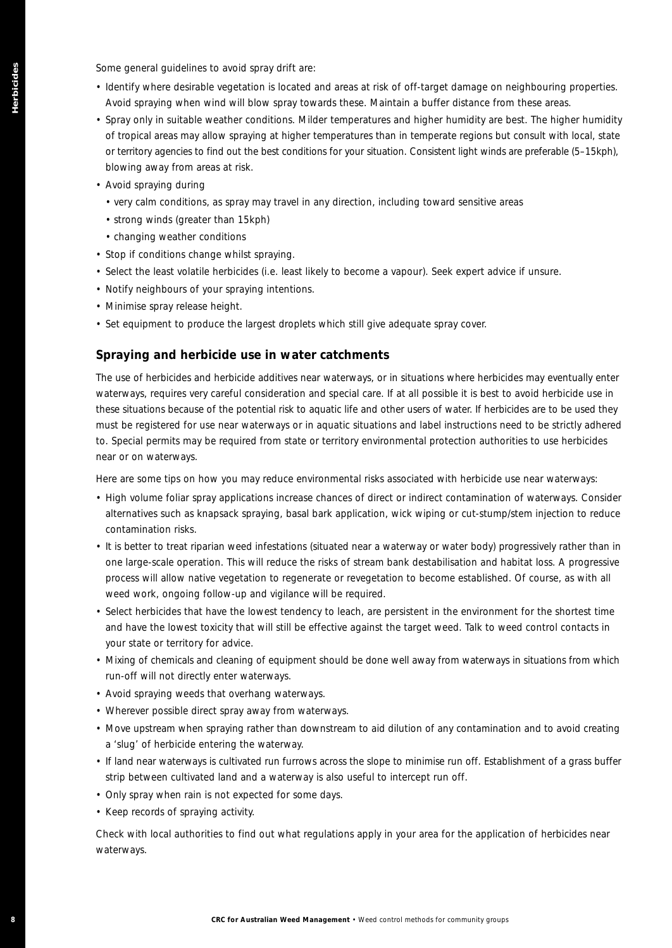Some general guidelines to avoid spray drift are:

- Identify where desirable vegetation is located and areas at risk of off-target damage on neighbouring properties. Avoid spraying when wind will blow spray towards these. Maintain a buffer distance from these areas.
- Spray only in suitable weather conditions. Milder temperatures and higher humidity are best. The higher humidity of tropical areas may allow spraying at higher temperatures than in temperate regions but consult with local, state or territory agencies to find out the best conditions for your situation. Consistent light winds are preferable (5–15kph), blowing away from areas at risk.
- Avoid spraying during
	- very calm conditions, as spray may travel in any direction, including toward sensitive areas
	- strong winds (greater than 15kph)
	- changing weather conditions
- Stop if conditions change whilst spraying.
- Select the least volatile herbicides (i.e. least likely to become a vapour). Seek expert advice if unsure.
- Notify neighbours of your spraying intentions.
- Minimise spray release height.
- Set equipment to produce the largest droplets which still give adequate spray cover.

#### **Spraying and herbicide use in water catchments**

The use of herbicides and herbicide additives near waterways, or in situations where herbicides may eventually enter waterways, requires very careful consideration and special care. If at all possible it is best to avoid herbicide use in these situations because of the potential risk to aquatic life and other users of water. If herbicides are to be used they must be registered for use near waterways or in aquatic situations and label instructions need to be strictly adhered to. Special permits may be required from state or territory environmental protection authorities to use herbicides near or on waterways. **Some procedure of the properties of the australian Weed Management of the system of the system of the australian Weed Control methods for community and a system of the australian Control methods for community groups the s** 

Here are some tips on how you may reduce environmental risks associated with herbicide use near waterways:

- High volume foliar spray applications increase chances of direct or indirect contamination of waterways. Consider alternatives such as knapsack spraying, basal bark application, wick wiping or cut-stump/stem injection to reduce contamination risks.
- It is better to treat riparian weed infestations (situated near a waterway or water body) progressively rather than in one large-scale operation. This will reduce the risks of stream bank destabilisation and habitat loss. A progressive process will allow native vegetation to regenerate or revegetation to become established. Of course, as with all weed work, ongoing follow-up and vigilance will be required.
- Select herbicides that have the lowest tendency to leach, are persistent in the environment for the shortest time and have the lowest toxicity that will still be effective against the target weed. Talk to weed control contacts in your state or territory for advice.
- Mixing of chemicals and cleaning of equipment should be done well away from waterways in situations from which run-off will not directly enter waterways.
- Avoid spraying weeds that overhang waterways.
- Wherever possible direct spray away from waterways.
- Move upstream when spraying rather than downstream to aid dilution of any contamination and to avoid creating a 'slug' of herbicide entering the waterway.
- If land near waterways is cultivated run furrows across the slope to minimise run off. Establishment of a grass buffer strip between cultivated land and a waterway is also useful to intercept run off.
- Only spray when rain is not expected for some days.
- Keep records of spraying activity.

Check with local authorities to find out what regulations apply in your area for the application of herbicides near waterways.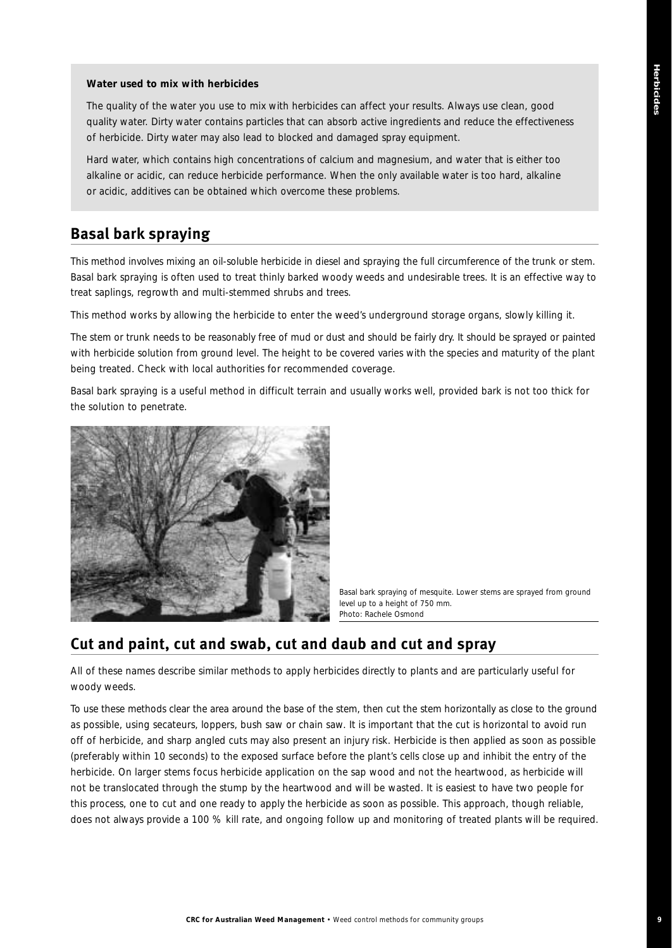#### *Water used to mix with herbicides*

*The quality of the water you use to mix with herbicides can affect your results. Always use clean, good quality water. Dirty water contains particles that can absorb active ingredients and reduce the effectiveness of herbicide. Dirty water may also lead to blocked and damaged spray equipment.* 

*Hard water, which contains high concentrations of calcium and magnesium, and water that is either too alkaline or acidic, can reduce herbicide performance. When the only available water is too hard, alkaline or acidic, additives can be obtained which overcome these problems.*

## **Basal bark spraying**

This method involves mixing an oil-soluble herbicide in diesel and spraying the full circumference of the trunk or stem. Basal bark spraying is often used to treat thinly barked woody weeds and undesirable trees. It is an effective way to treat saplings, regrowth and multi-stemmed shrubs and trees.

This method works by allowing the herbicide to enter the weed's underground storage organs, slowly killing it.

The stem or trunk needs to be reasonably free of mud or dust and should be fairly dry. It should be sprayed or painted with herbicide solution from ground level. The height to be covered varies with the species and maturity of the plant being treated. Check with local authorities for recommended coverage.

Basal bark spraying is a useful method in difficult terrain and usually works well, provided bark is not too thick for the solution to penetrate.



*Basal bark spraying of mesquite. Lower stems are sprayed from ground level up to a height of 750 mm. Photo: Rachele Osmond*

# **Cut and paint, cut and swab, cut and daub and cut and spray**

All of these names describe similar methods to apply herbicides directly to plants and are particularly useful for woody weeds.

To use these methods clear the area around the base of the stem, then cut the stem horizontally as close to the ground as possible, using secateurs, loppers, bush saw or chain saw. It is important that the cut is horizontal to avoid run off of herbicide, and sharp angled cuts may also present an injury risk. Herbicide is then applied as soon as possible (preferably within 10 seconds) to the exposed surface before the plant's cells close up and inhibit the entry of the herbicide. On larger stems focus herbicide application on the sap wood and not the heartwood, as herbicide will not be translocated through the stump by the heartwood and will be wasted. It is easiest to have two people for this process, one to cut and one ready to apply the herbicide as soon as possible. This approach, though reliable, does not always provide a 100 % kill rate, and ongoing follow up and monitoring of treated plants will be required.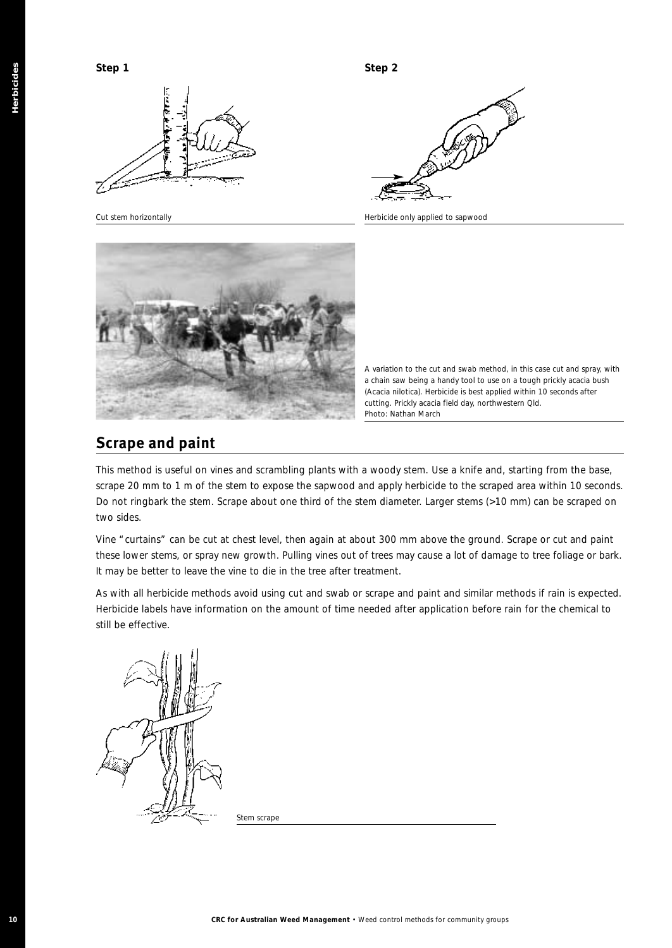



*Cut stem horizontally Herbicide only applied to sapwood*

*A variation to the cut and swab method, in this case cut and spray, with a chain saw being a handy tool to use on a tough prickly acacia bush (Acacia nilotica). Herbicide is best applied within 10 seconds after cutting. Prickly acacia field day, northwestern Qld. Photo: Nathan March*

# **Scrape and paint**

This method is useful on vines and scrambling plants with a woody stem. Use a knife and, starting from the base, scrape 20 mm to 1 m of the stem to expose the sapwood and apply herbicide to the scraped area within 10 seconds. Do not ringbark the stem. Scrape about one third of the stem diameter. Larger stems (>10 mm) can be scraped on two sides.

Vine "curtains" can be cut at chest level, then again at about 300 mm above the ground. Scrape or cut and paint these lower stems, or spray new growth. Pulling vines out of trees may cause a lot of damage to tree foliage or bark. It may be better to leave the vine to die in the tree after treatment.

As with all herbicide methods avoid using cut and swab or scrape and paint and similar methods if rain is expected. Herbicide labels have information on the amount of time needed after application before rain for the chemical to still be effective.



*Stem scrape*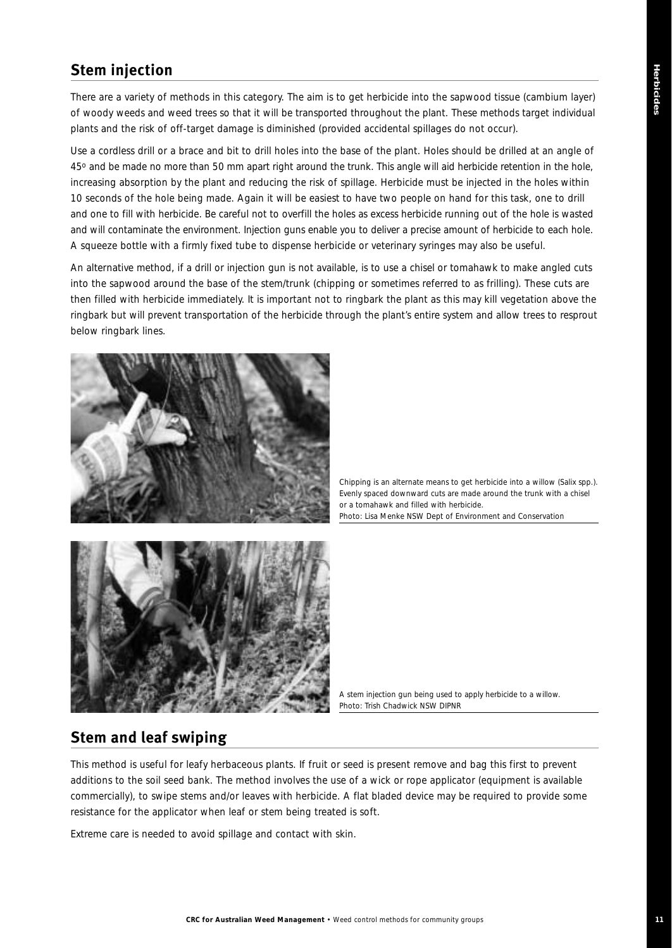# **Stem injection**

There are a variety of methods in this category. The aim is to get herbicide into the sapwood tissue (cambium layer) of woody weeds and weed trees so that it will be transported throughout the plant. These methods target individual plants and the risk of off-target damage is diminished (provided accidental spillages do not occur).

Use a cordless drill or a brace and bit to drill holes into the base of the plant. Holes should be drilled at an angle of 45o and be made no more than 50 mm apart right around the trunk. This angle will aid herbicide retention in the hole, increasing absorption by the plant and reducing the risk of spillage. Herbicide must be injected in the holes within 10 seconds of the hole being made. Again it will be easiest to have two people on hand for this task, one to drill and one to fill with herbicide. Be careful not to overfill the holes as excess herbicide running out of the hole is wasted and will contaminate the environment. Injection guns enable you to deliver a precise amount of herbicide to each hole. A squeeze bottle with a firmly fixed tube to dispense herbicide or veterinary syringes may also be useful.

An alternative method, if a drill or injection gun is not available, is to use a chisel or tomahawk to make angled cuts into the sapwood around the base of the stem/trunk (chipping or sometimes referred to as frilling). These cuts are then filled with herbicide immediately. It is important not to ringbark the plant as this may kill vegetation above the ringbark but will prevent transportation of the herbicide through the plant's entire system and allow trees to resprout below ringbark lines.



*Chipping is an alternate means to get herbicide into a willow (Salix spp.). Evenly spaced downward cuts are made around the trunk with a chisel or a tomahawk and filled with herbicide. Photo: Lisa Menke NSW Dept of Environment and Conservation* 



*A stem injection gun being used to apply herbicide to a willow. Photo: Trish Chadwick NSW DIPNR*

# **Stem and leaf swiping**

This method is useful for leafy herbaceous plants. If fruit or seed is present remove and bag this first to prevent additions to the soil seed bank. The method involves the use of a wick or rope applicator (equipment is available commercially), to swipe stems and/or leaves with herbicide. A flat bladed device may be required to provide some resistance for the applicator when leaf or stem being treated is soft.

Extreme care is needed to avoid spillage and contact with skin.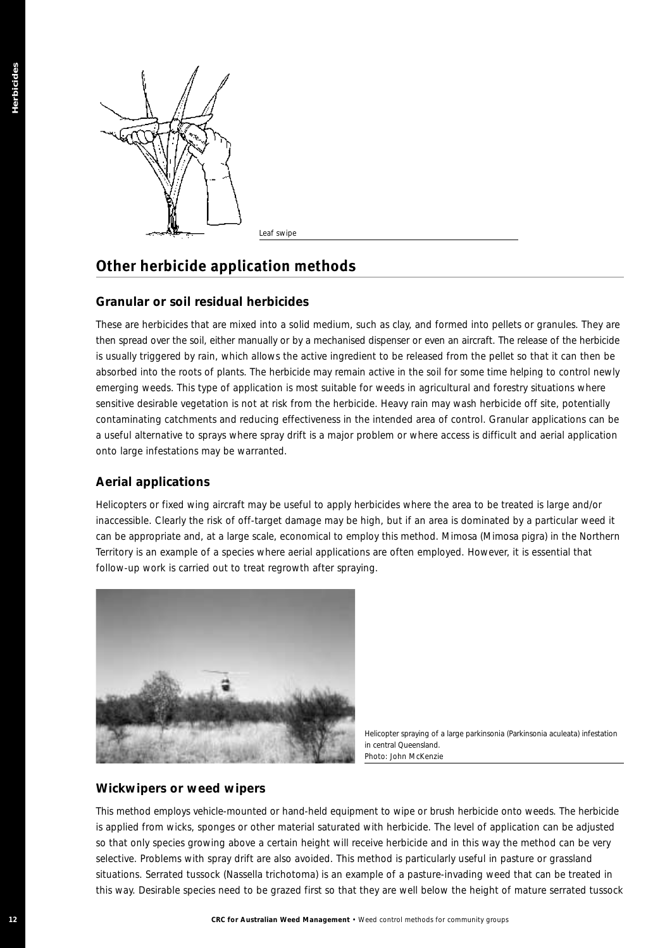

*Leaf swipe*

# **Other herbicide application methods**

#### **Granular or soil residual herbicides**

These are herbicides that are mixed into a solid medium, such as clay, and formed into pellets or granules. They are then spread over the soil, either manually or by a mechanised dispenser or even an aircraft. The release of the herbicide is usually triggered by rain, which allows the active ingredient to be released from the pellet so that it can then be absorbed into the roots of plants. The herbicide may remain active in the soil for some time helping to control newly emerging weeds. This type of application is most suitable for weeds in agricultural and forestry situations where sensitive desirable vegetation is not at risk from the herbicide. Heavy rain may wash herbicide off site, potentially contaminating catchments and reducing effectiveness in the intended area of control. Granular applications can be a useful alternative to sprays where spray drift is a major problem or where access is difficult and aerial application onto large infestations may be warranted. **12 CRC for Australian Weed Control methods**<br> **12 CRC for Australian Management Control methods**<br> **12 CRC australian Weed Management Control methods**<br> **12 CRC australian Weed Control methods** for community groups (

#### **Aerial applications**

Helicopters or fixed wing aircraft may be useful to apply herbicides where the area to be treated is large and/or inaccessible. Clearly the risk of off-target damage may be high, but if an area is dominated by a particular weed it can be appropriate and, at a large scale, economical to employ this method. Mimosa (*Mimosa pigra*) in the Northern Territory is an example of a species where aerial applications are often employed. However, it is essential that follow-up work is carried out to treat regrowth after spraying.



*Helicopter spraying of a large parkinsonia (Parkinsonia aculeata) infestation in central Queensland. Photo: John McKenzie*

#### **Wickwipers or weed wipers**

This method employs vehicle-mounted or hand-held equipment to wipe or brush herbicide onto weeds. The herbicide is applied from wicks, sponges or other material saturated with herbicide. The level of application can be adjusted so that only species growing above a certain height will receive herbicide and in this way the method can be very selective. Problems with spray drift are also avoided. This method is particularly useful in pasture or grassland situations. Serrated tussock (*Nassella trichotoma*) is an example of a pasture-invading weed that can be treated in this way. Desirable species need to be grazed first so that they are well below the height of mature serrated tussock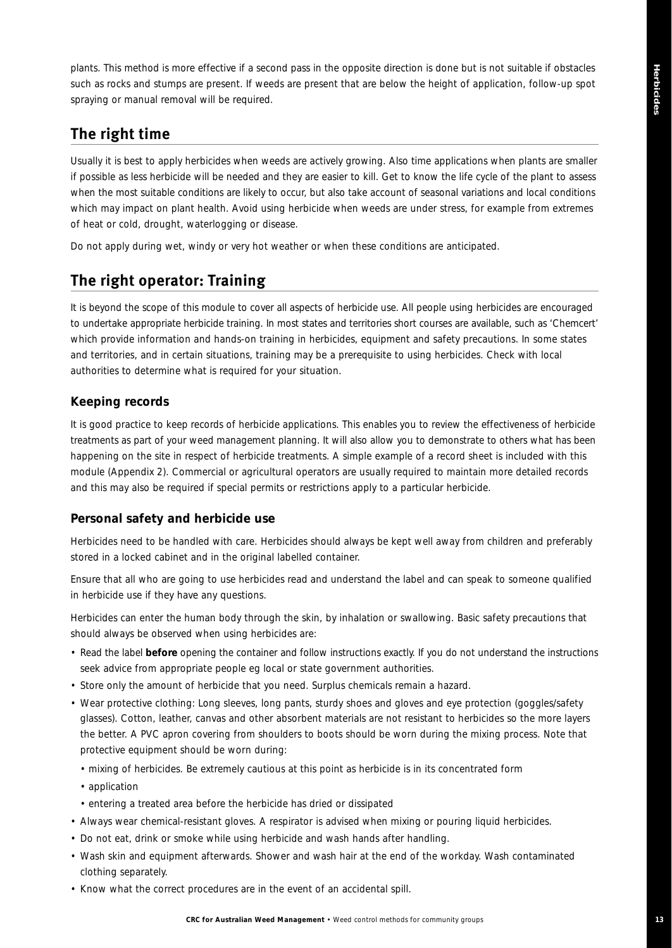plants. This method is more effective if a second pass in the opposite direction is done but is not suitable if obstacles such as rocks and stumps are present. If weeds are present that are below the height of application, follow-up spot spraying or manual removal will be required.

# **The right time**

Usually it is best to apply herbicides when weeds are actively growing. Also time applications when plants are smaller if possible as less herbicide will be needed and they are easier to kill. Get to know the life cycle of the plant to assess when the most suitable conditions are likely to occur, but also take account of seasonal variations and local conditions which may impact on plant health. Avoid using herbicide when weeds are under stress, for example from extremes of heat or cold, drought, waterlogging or disease.

Do not apply during wet, windy or very hot weather or when these conditions are anticipated.

# **The right operator: Training**

It is beyond the scope of this module to cover all aspects of herbicide use. All people using herbicides are encouraged to undertake appropriate herbicide training. In most states and territories short courses are available, such as 'Chemcert' which provide information and hands-on training in herbicides, equipment and safety precautions. In some states and territories, and in certain situations, training may be a prerequisite to using herbicides. Check with local authorities to determine what is required for your situation.

#### **Keeping records**

It is good practice to keep records of herbicide applications. This enables you to review the effectiveness of herbicide treatments as part of your weed management planning. It will also allow you to demonstrate to others what has been happening on the site in respect of herbicide treatments. A simple example of a record sheet is included with this module (Appendix 2). Commercial or agricultural operators are usually required to maintain more detailed records and this may also be required if special permits or restrictions apply to a particular herbicide.

#### **Personal safety and herbicide use**

Herbicides need to be handled with care. Herbicides should always be kept well away from children and preferably stored in a locked cabinet and in the original labelled container.

Ensure that all who are going to use herbicides read and understand the label and can speak to someone qualified in herbicide use if they have any questions.

Herbicides can enter the human body through the skin, by inhalation or swallowing. Basic safety precautions that should always be observed when using herbicides are:

- Read the label **before** opening the container and follow instructions exactly. If you do not understand the instructions seek advice from appropriate people eg local or state government authorities.
- Store only the amount of herbicide that you need. Surplus chemicals remain a hazard.
- Wear protective clothing: Long sleeves, long pants, sturdy shoes and gloves and eye protection (goggles/safety glasses). Cotton, leather, canvas and other absorbent materials are not resistant to herbicides so the more layers the better. A PVC apron covering from shoulders to boots should be worn during the mixing process. Note that protective equipment should be worn during:
	- mixing of herbicides. Be extremely cautious at this point as herbicide is in its concentrated form
	- application
	- entering a treated area before the herbicide has dried or dissipated
- Always wear chemical-resistant gloves. A respirator is advised when mixing or pouring liquid herbicides.
- Do not eat, drink or smoke while using herbicide and wash hands after handling.
- Wash skin and equipment afterwards. Shower and wash hair at the end of the workday. Wash contaminated clothing separately.
- Know what the correct procedures are in the event of an accidental spill.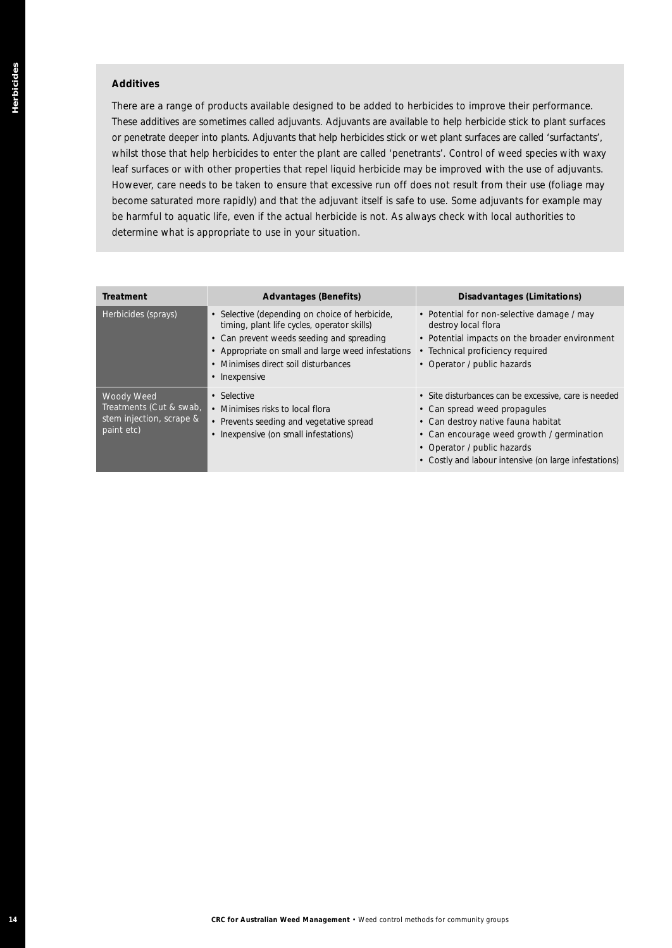#### *Additives*

| whilst those that help herbicides to enter the plant are called 'penetrants'. Control of weed species with waxy<br>leaf surfaces or with other properties that repel liquid herbicide may be improved with the use of adjuvants.<br>However, care needs to be taken to ensure that excessive run off does not result from their use (foliage may<br>become saturated more rapidly) and that the adjuvant itself is safe to use. Some adjuvants for example may<br>be harmful to aquatic life, even if the actual herbicide is not. As always check with local authorities to<br>determine what is appropriate to use in your situation. | There are a range of products available designed to be added to herbicides to improve their performance.<br>These additives are sometimes called adjuvants. Adjuvants are available to help herbicide stick to plant surfaces<br>or penetrate deeper into plants. Adjuvants that help herbicides stick or wet plant surfaces are called 'surfactants', |
|-----------------------------------------------------------------------------------------------------------------------------------------------------------------------------------------------------------------------------------------------------------------------------------------------------------------------------------------------------------------------------------------------------------------------------------------------------------------------------------------------------------------------------------------------------------------------------------------------------------------------------------------|--------------------------------------------------------------------------------------------------------------------------------------------------------------------------------------------------------------------------------------------------------------------------------------------------------------------------------------------------------|
| <b>Advantages (Benefits)</b><br><b>Treatment</b>                                                                                                                                                                                                                                                                                                                                                                                                                                                                                                                                                                                        | <b>Disadvantages (Limitations)</b>                                                                                                                                                                                                                                                                                                                     |
| • Selective (depending on choice of herbicide,<br>Herbicides (sprays)<br>timing, plant life cycles, operator skills)<br>• Can prevent weeds seeding and spreading<br>• Appropriate on small and large weed infestations<br>• Minimises direct soil disturbances<br>• Inexpensive                                                                                                                                                                                                                                                                                                                                                        | • Potential for non-selective damage / may<br>destroy local flora<br>• Potential impacts on the broader environment<br>• Technical proficiency required<br>• Operator / public hazards                                                                                                                                                                 |
| Woody Weed<br>• Selective<br>Treatments (Cut & swab)<br>• Minimises risks to local flora<br>stem injection, scrape &<br>• Prevents seeding and vegetative spread<br>paint etc)<br>• Inexpensive (on small infestations)                                                                                                                                                                                                                                                                                                                                                                                                                 | · Site disturbances can be excessive, care is needed<br>• Can spread weed propagules<br>• Can destroy native fauna habitat<br>• Can encourage weed growth / germination<br>• Operator / public hazards<br>• Costly and labour intensive (on large infestations)                                                                                        |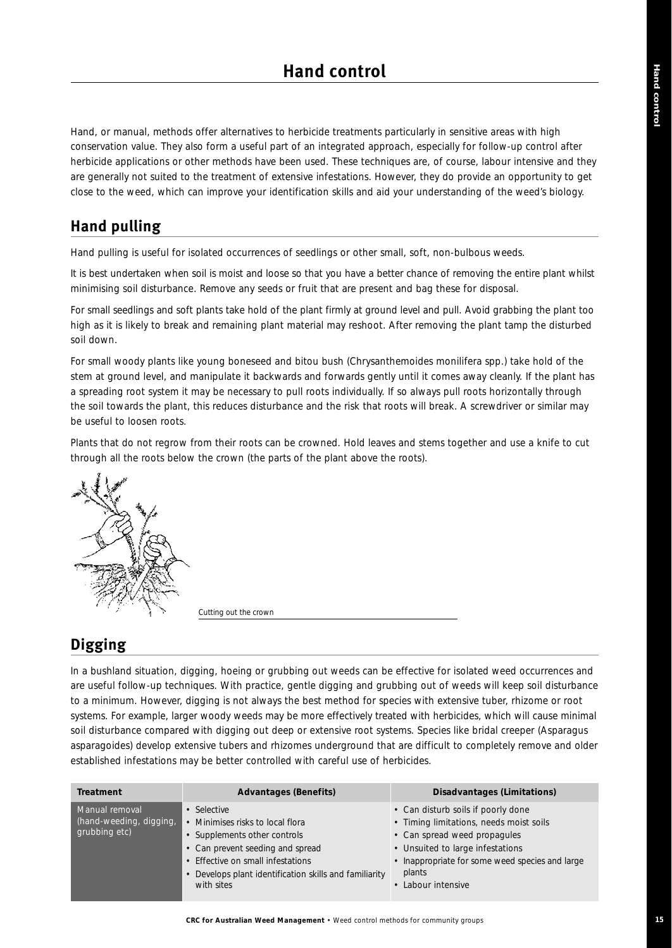Hand, or manual, methods offer alternatives to herbicide treatments particularly in sensitive areas with high conservation value. They also form a useful part of an integrated approach, especially for follow-up control after herbicide applications or other methods have been used. These techniques are, of course, labour intensive and they are generally not suited to the treatment of extensive infestations. However, they do provide an opportunity to get close to the weed, which can improve your identification skills and aid your understanding of the weed's biology.

# **Hand pulling**

Hand pulling is useful for isolated occurrences of seedlings or other small, soft, non-bulbous weeds.

It is best undertaken when soil is moist and loose so that you have a better chance of removing the entire plant whilst minimising soil disturbance. Remove any seeds or fruit that are present and bag these for disposal.

For small seedlings and soft plants take hold of the plant firmly at ground level and pull. Avoid grabbing the plant too high as it is likely to break and remaining plant material may reshoot. After removing the plant tamp the disturbed soil down.

For small woody plants like young boneseed and bitou bush (*Chrysanthemoides monilifera* spp.) take hold of the stem at ground level, and manipulate it backwards and forwards gently until it comes away cleanly. If the plant has a spreading root system it may be necessary to pull roots individually. If so always pull roots horizontally through the soil towards the plant, this reduces disturbance and the risk that roots will break. A screwdriver or similar may be useful to loosen roots.

Plants that do not regrow from their roots can be crowned. Hold leaves and stems together and use a knife to cut through all the roots below the crown (the parts of the plant above the roots).



*Cutting out the crown*

# **Digging**

In a bushland situation, digging, hoeing or grubbing out weeds can be effective for isolated weed occurrences and are useful follow-up techniques. With practice, gentle digging and grubbing out of weeds will keep soil disturbance to a minimum. However, digging is not always the best method for species with extensive tuber, rhizome or root systems. For example, larger woody weeds may be more effectively treated with herbicides, which will cause minimal soil disturbance compared with digging out deep or extensive root systems. Species like bridal creeper (*Asparagus asparagoides*) develop extensive tubers and rhizomes underground that are difficult to completely remove and older established infestations may be better controlled with careful use of herbicides.

| Treatment                                                  | <b>Advantages (Benefits)</b>                                                                                                                                                                                                   | Disadvantages (Limitations)                                                                                                                                                                                                          |
|------------------------------------------------------------|--------------------------------------------------------------------------------------------------------------------------------------------------------------------------------------------------------------------------------|--------------------------------------------------------------------------------------------------------------------------------------------------------------------------------------------------------------------------------------|
| Manual removal<br>(hand-weeding, digging,<br>grubbing etc) | • Selective<br>• Minimises risks to local flora<br>• Supplements other controls<br>• Can prevent seeding and spread<br>• Effective on small infestations<br>Develops plant identification skills and familiarity<br>with sites | • Can disturb soils if poorly done<br>• Timing limitations, needs moist soils<br>• Can spread weed propagules<br>• Unsuited to large infestations<br>• Inappropriate for some weed species and large<br>plants<br>• Labour intensive |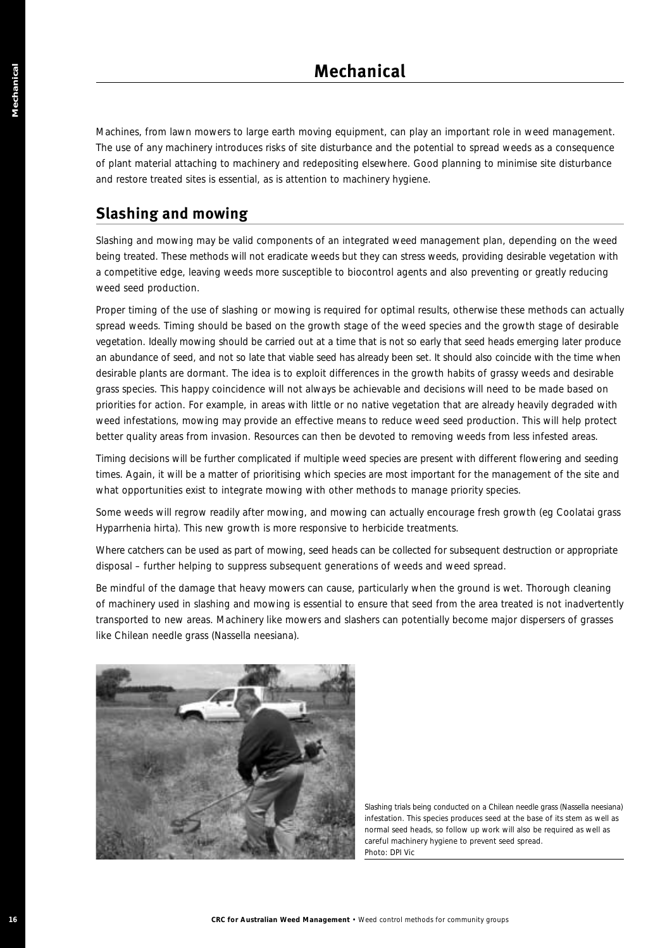Machines, from lawn mowers to large earth moving equipment, can play an important role in weed management. The use of any machinery introduces risks of site disturbance and the potential to spread weeds as a consequence of plant material attaching to machinery and redepositing elsewhere. Good planning to minimise site disturbance and restore treated sites is essential, as is attention to machinery hygiene.

# **Slashing and mowing**

Slashing and mowing may be valid components of an integrated weed management plan, depending on the weed being treated. These methods will not eradicate weeds but they can stress weeds, providing desirable vegetation with a competitive edge, leaving weeds more susceptible to biocontrol agents and also preventing or greatly reducing weed seed production.

Proper timing of the use of slashing or mowing is required for optimal results, otherwise these methods can actually spread weeds. Timing should be based on the growth stage of the weed species and the growth stage of desirable vegetation. Ideally mowing should be carried out at a time that is not so early that seed heads emerging later produce an abundance of seed, and not so late that viable seed has already been set. It should also coincide with the time when desirable plants are dormant. The idea is to exploit differences in the growth habits of grassy weeds and desirable grass species. This happy coincidence will not always be achievable and decisions will need to be made based on priorities for action. For example, in areas with little or no native vegetation that are already heavily degraded with weed infestations, mowing may provide an effective means to reduce weed seed production. This will help protect better quality areas from invasion. Resources can then be devoted to removing weeds from less infested areas.

Timing decisions will be further complicated if multiple weed species are present with different flowering and seeding times. Again, it will be a matter of prioritising which species are most important for the management of the site and what opportunities exist to integrate mowing with other methods to manage priority species.

Some weeds will regrow readily after mowing, and mowing can actually encourage fresh growth (eg Coolatai grass *Hyparrhenia hirta*). This new growth is more responsive to herbicide treatments.

Where catchers can be used as part of mowing, seed heads can be collected for subsequent destruction or appropriate disposal – further helping to suppress subsequent generations of weeds and weed spread.

Be mindful of the damage that heavy mowers can cause, particularly when the ground is wet. Thorough cleaning of machinery used in slashing and mowing is essential to ensure that seed from the area treated is not inadvertently transported to new areas. Machinery like mowers and slashers can potentially become major dispersers of grasses like Chilean needle grass (*Nassella neesiana*).



*Slashing trials being conducted on a Chilean needle grass (Nassella neesiana) infestation. This species produces seed at the base of its stem as well as normal seed heads, so follow up work will also be required as well as careful machinery hygiene to prevent seed spread. Photo: DPI Vic*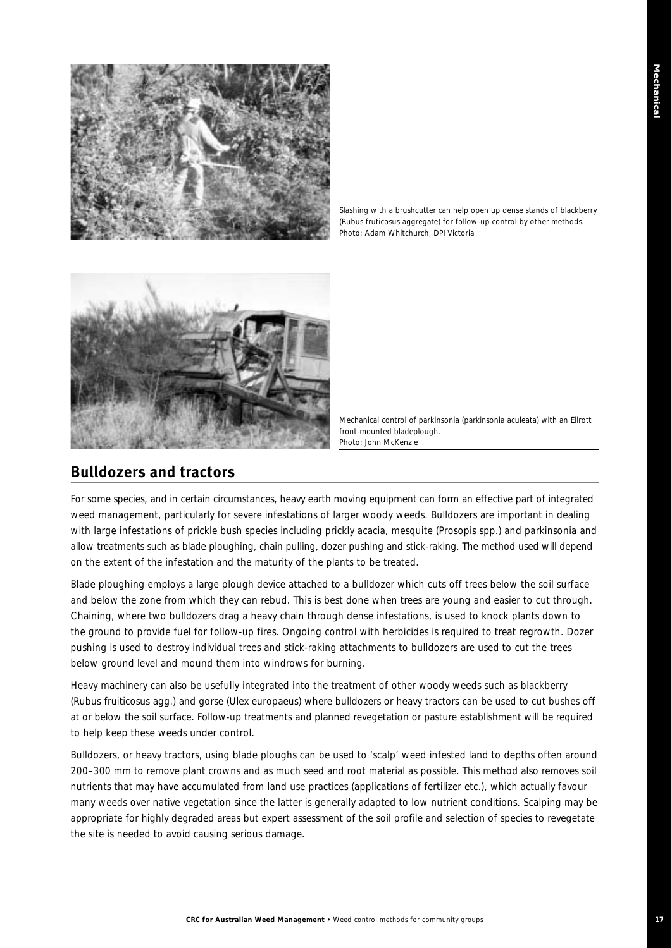

*Slashing with a brushcutter can help open up dense stands of blackberry (Rubus fruticosus aggregate) for follow-up control by other methods. Photo: Adam Whitchurch, DPI Victoria*



*Mechanical control of parkinsonia (parkinsonia aculeata) with an Ellrott front-mounted bladeplough. Photo: John McKenzie*

## **Bulldozers and tractors**

For some species, and in certain circumstances, heavy earth moving equipment can form an effective part of integrated weed management, particularly for severe infestations of larger woody weeds. Bulldozers are important in dealing with large infestations of prickle bush species including prickly acacia, mesquite (*Prosopis* spp.) and parkinsonia and allow treatments such as blade ploughing, chain pulling, dozer pushing and stick-raking. The method used will depend on the extent of the infestation and the maturity of the plants to be treated.

Blade ploughing employs a large plough device attached to a bulldozer which cuts off trees below the soil surface and below the zone from which they can rebud. This is best done when trees are young and easier to cut through. Chaining, where two bulldozers drag a heavy chain through dense infestations, is used to knock plants down to the ground to provide fuel for follow-up fires. Ongoing control with herbicides is required to treat regrowth. Dozer pushing is used to destroy individual trees and stick-raking attachments to bulldozers are used to cut the trees below ground level and mound them into windrows for burning.

Heavy machinery can also be usefully integrated into the treatment of other woody weeds such as blackberry (*Rubus fruiticosus* agg.) and gorse (*Ulex europaeus*) where bulldozers or heavy tractors can be used to cut bushes off at or below the soil surface. Follow-up treatments and planned revegetation or pasture establishment will be required to help keep these weeds under control.

Bulldozers, or heavy tractors, using blade ploughs can be used to 'scalp' weed infested land to depths often around 200–300 mm to remove plant crowns and as much seed and root material as possible. This method also removes soil nutrients that may have accumulated from land use practices (applications of fertilizer etc.), which actually favour many weeds over native vegetation since the latter is generally adapted to low nutrient conditions. Scalping may be appropriate for highly degraded areas but expert assessment of the soil profile and selection of species to revegetate the site is needed to avoid causing serious damage.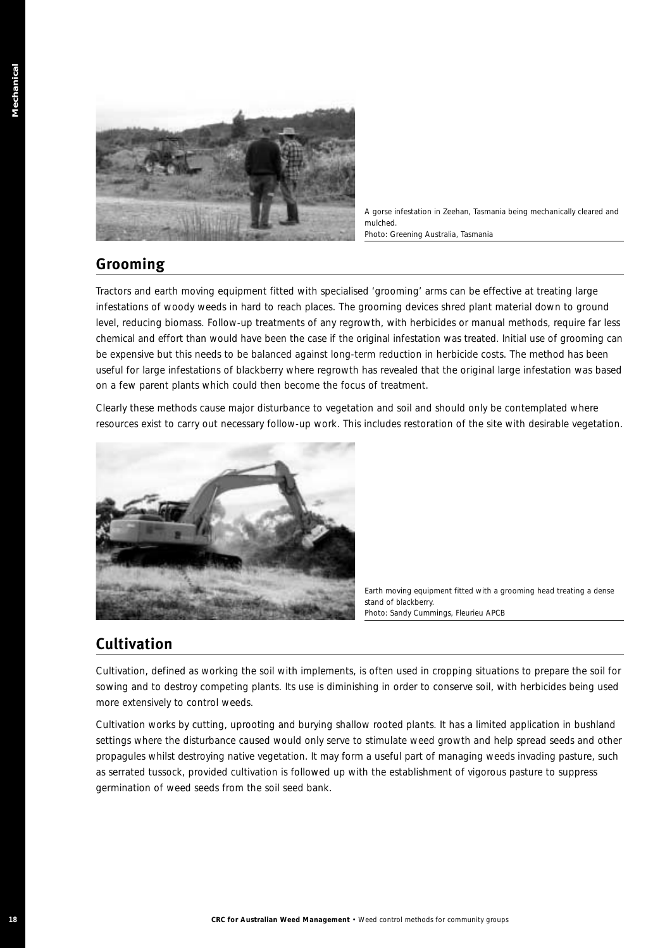

*A gorse infestation in Zeehan, Tasmania being mechanically cleared and mulched. Photo: Greening Australia, Tasmania*

# **Grooming**

Tractors and earth moving equipment fitted with specialised 'grooming' arms can be effective at treating large infestations of woody weeds in hard to reach places. The grooming devices shred plant material down to ground level, reducing biomass. Follow-up treatments of any regrowth, with herbicides or manual methods, require far less chemical and effort than would have been the case if the original infestation was treated. Initial use of grooming can be expensive but this needs to be balanced against long-term reduction in herbicide costs. The method has been useful for large infestations of blackberry where regrowth has revealed that the original large infestation was based on a few parent plants which could then become the focus of treatment.

Clearly these methods cause major disturbance to vegetation and soil and should only be contemplated where resources exist to carry out necessary follow-up work. This includes restoration of the site with desirable vegetation.



*Earth moving equipment fitted with a grooming head treating a dense stand of blackberry. Photo: Sandy Cummings, Fleurieu APCB* 

# **Cultivation**

Cultivation, defined as working the soil with implements, is often used in cropping situations to prepare the soil for sowing and to destroy competing plants. Its use is diminishing in order to conserve soil, with herbicides being used more extensively to control weeds.

Cultivation works by cutting, uprooting and burying shallow rooted plants. It has a limited application in bushland settings where the disturbance caused would only serve to stimulate weed growth and help spread seeds and other propagules whilst destroying native vegetation. It may form a useful part of managing weeds invading pasture, such as serrated tussock, provided cultivation is followed up with the establishment of vigorous pasture to suppress germination of weed seeds from the soil seed bank.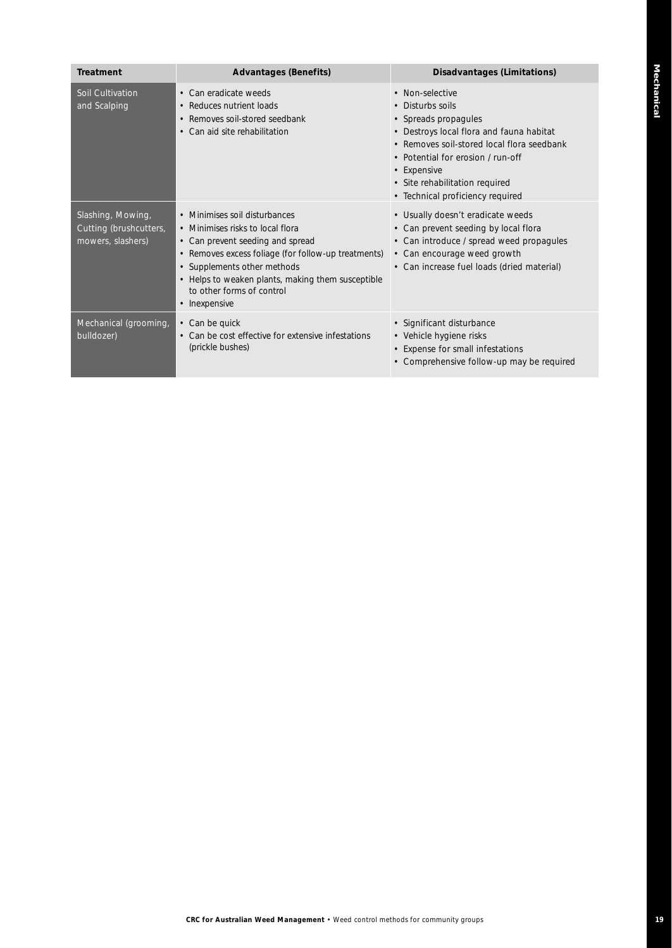| <b>Treatment</b>                                                 | <b>Advantages (Benefits)</b>                                                                                                                                                                                                                                                                   | Disadvantages (Limitations)                                                                                                                                                                                                                                                     |
|------------------------------------------------------------------|------------------------------------------------------------------------------------------------------------------------------------------------------------------------------------------------------------------------------------------------------------------------------------------------|---------------------------------------------------------------------------------------------------------------------------------------------------------------------------------------------------------------------------------------------------------------------------------|
| Soil Cultivation<br>and Scalping                                 | • Can eradicate weeds<br>• Reduces nutrient loads<br>• Removes soil-stored seedbank<br>• Can aid site rehabilitation                                                                                                                                                                           | • Non-selective<br>• Disturbs soils<br>• Spreads propagules<br>• Destroys local flora and fauna habitat<br>• Removes soil-stored local flora seedbank<br>• Potential for erosion / run-off<br>• Expensive<br>• Site rehabilitation required<br>• Technical proficiency required |
| Slashing, Mowing,<br>Cutting (brushcutters,<br>mowers, slashers) | • Minimises soil disturbances<br>• Minimises risks to local flora<br>• Can prevent seeding and spread<br>• Removes excess foliage (for follow-up treatments)<br>• Supplements other methods<br>• Helps to weaken plants, making them susceptible<br>to other forms of control<br>• Inexpensive | • Usually doesn't eradicate weeds<br>• Can prevent seeding by local flora<br>• Can introduce / spread weed propagules<br>• Can encourage weed growth<br>• Can increase fuel loads (dried material)                                                                              |
| Mechanical (grooming,<br>bulldozer)                              | • Can be quick<br>• Can be cost effective for extensive infestations<br>(prickle bushes)                                                                                                                                                                                                       | • Significant disturbance<br>• Vehicle hygiene risks<br>• Expense for small infestations<br>• Comprehensive follow-up may be required                                                                                                                                           |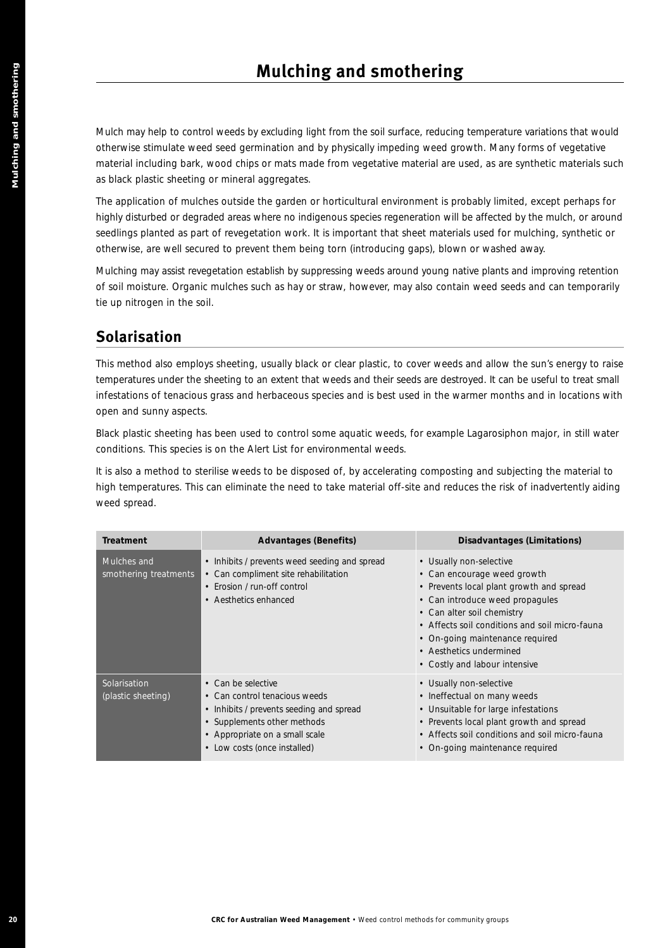# **Solarisation**

|                                      | <b>Mulching and smothering</b>                                                                                                                                                               |                                                                                                                                                                                                                                                                                                                                                                       |
|--------------------------------------|----------------------------------------------------------------------------------------------------------------------------------------------------------------------------------------------|-----------------------------------------------------------------------------------------------------------------------------------------------------------------------------------------------------------------------------------------------------------------------------------------------------------------------------------------------------------------------|
|                                      | as black plastic sheeting or mineral aggregates.                                                                                                                                             | Mulch may help to control weeds by excluding light from the soil surface, reducing temperature variations that would<br>otherwise stimulate weed seed germination and by physically impeding weed growth. Many forms of vegetative<br>material including bark, wood chips or mats made from vegetative material are used, as are synthetic materials such             |
|                                      | otherwise, are well secured to prevent them being torn (introducing gaps), blown or washed away.                                                                                             | The application of mulches outside the garden or horticultural environment is probably limited, except perhaps for<br>highly disturbed or degraded areas where no indigenous species regeneration will be affected by the mulch, or around<br>seedlings planted as part of revegetation work. It is important that sheet materials used for mulching, synthetic or    |
| tie up nitrogen in the soil.         |                                                                                                                                                                                              | Mulching may assist revegetation establish by suppressing weeds around young native plants and improving retention<br>of soil moisture. Organic mulches such as hay or straw, however, may also contain weed seeds and can temporarily                                                                                                                                |
| <b>Solarisation</b>                  |                                                                                                                                                                                              |                                                                                                                                                                                                                                                                                                                                                                       |
| open and sunny aspects.              |                                                                                                                                                                                              | This method also employs sheeting, usually black or clear plastic, to cover weeds and allow the sun's energy to raise<br>temperatures under the sheeting to an extent that weeds and their seeds are destroyed. It can be useful to treat small<br>infestations of tenacious grass and herbaceous species and is best used in the warmer months and in locations with |
|                                      |                                                                                                                                                                                              |                                                                                                                                                                                                                                                                                                                                                                       |
|                                      | Black plastic sheeting has been used to control some aquatic weeds, for example Lagarosiphon major, in still water<br>conditions. This species is on the Alert List for environmental weeds. |                                                                                                                                                                                                                                                                                                                                                                       |
| weed spread.<br><b>Treatment</b>     | <b>Advantages (Benefits)</b>                                                                                                                                                                 | It is also a method to sterilise weeds to be disposed of, by accelerating composting and subjecting the material to<br>high temperatures. This can eliminate the need to take material off-site and reduces the risk of inadvertently aiding<br><b>Disadvantages (Limitations)</b>                                                                                    |
| Mulches and<br>smothering treatments | • Inhibits / prevents weed seeding and spread<br>• Can compliment site rehabilitation<br>• Erosion / run-off control<br>• Aesthetics enhanced                                                | • Usually non-selective<br>• Can encourage weed growth<br>• Prevents local plant growth and spread<br>• Can introduce weed propagules<br>• Can alter soil chemistry<br>• Affects soil conditions and soil micro-fauna<br>• On-going maintenance required<br>• Aesthetics undermined<br>• Costly and labour intensive                                                  |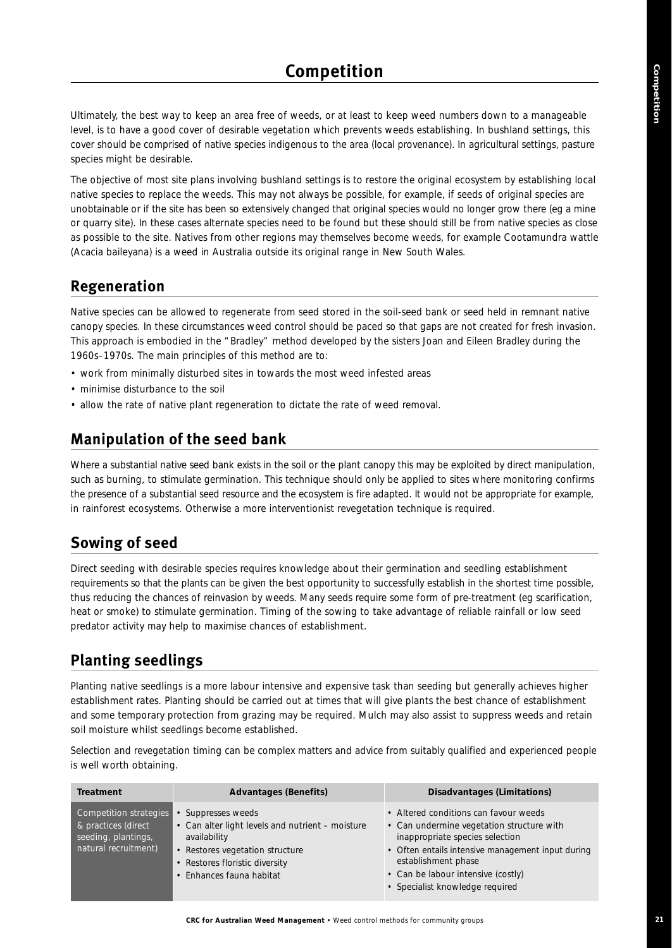Ultimately, the best way to keep an area free of weeds, or at least to keep weed numbers down to a manageable level, is to have a good cover of desirable vegetation which prevents weeds establishing. In bushland settings, this cover should be comprised of native species indigenous to the area (local provenance). In agricultural settings, pasture species might be desirable.

The objective of most site plans involving bushland settings is to restore the original ecosystem by establishing local native species to replace the weeds. This may not always be possible, for example, if seeds of original species are unobtainable or if the site has been so extensively changed that original species would no longer grow there (eg a mine or quarry site). In these cases alternate species need to be found but these should still be from native species as close as possible to the site. Natives from other regions may themselves become weeds, for example Cootamundra wattle (*Acacia baileyana*) is a weed in Australia outside its original range in New South Wales.

# **Regeneration**

Native species can be allowed to regenerate from seed stored in the soil-seed bank or seed held in remnant native canopy species. In these circumstances weed control should be paced so that gaps are not created for fresh invasion. This approach is embodied in the "Bradley" method developed by the sisters Joan and Eileen Bradley during the 1960s–1970s. The main principles of this method are to:

- work from minimally disturbed sites in towards the most weed infested areas
- minimise disturbance to the soil
- allow the rate of native plant regeneration to dictate the rate of weed removal.

# **Manipulation of the seed bank**

Where a substantial native seed bank exists in the soil or the plant canopy this may be exploited by direct manipulation, such as burning, to stimulate germination. This technique should only be applied to sites where monitoring confirms the presence of a substantial seed resource and the ecosystem is fire adapted. It would not be appropriate for example, in rainforest ecosystems. Otherwise a more interventionist revegetation technique is required.

# **Sowing of seed**

Direct seeding with desirable species requires knowledge about their germination and seedling establishment requirements so that the plants can be given the best opportunity to successfully establish in the shortest time possible, thus reducing the chances of reinvasion by weeds. Many seeds require some form of pre-treatment (eg scarification, heat or smoke) to stimulate germination. Timing of the sowing to take advantage of reliable rainfall or low seed predator activity may help to maximise chances of establishment.

# **Planting seedlings**

Planting native seedlings is a more labour intensive and expensive task than seeding but generally achieves higher establishment rates. Planting should be carried out at times that will give plants the best chance of establishment and some temporary protection from grazing may be required. Mulch may also assist to suppress weeds and retain soil moisture whilst seedlings become established.

Selection and revegetation timing can be complex matters and advice from suitably qualified and experienced people is well worth obtaining.

| <b>Treatment</b>                                                                             | <b>Advantages (Benefits)</b>                                                                                                                                                            | Disadvantages (Limitations)                                                                                                                                                                                                                                                |
|----------------------------------------------------------------------------------------------|-----------------------------------------------------------------------------------------------------------------------------------------------------------------------------------------|----------------------------------------------------------------------------------------------------------------------------------------------------------------------------------------------------------------------------------------------------------------------------|
| Competition strategies<br>& practices (direct<br>seeding, plantings,<br>natural recruitment) | • Suppresses weeds<br>• Can alter light levels and nutrient - moisture<br>availability<br>• Restores vegetation structure<br>• Restores floristic diversity<br>• Enhances fauna habitat | • Altered conditions can favour weeds<br>• Can undermine vegetation structure with<br>inappropriate species selection<br>• Often entails intensive management input during<br>establishment phase<br>• Can be labour intensive (costly)<br>• Specialist knowledge required |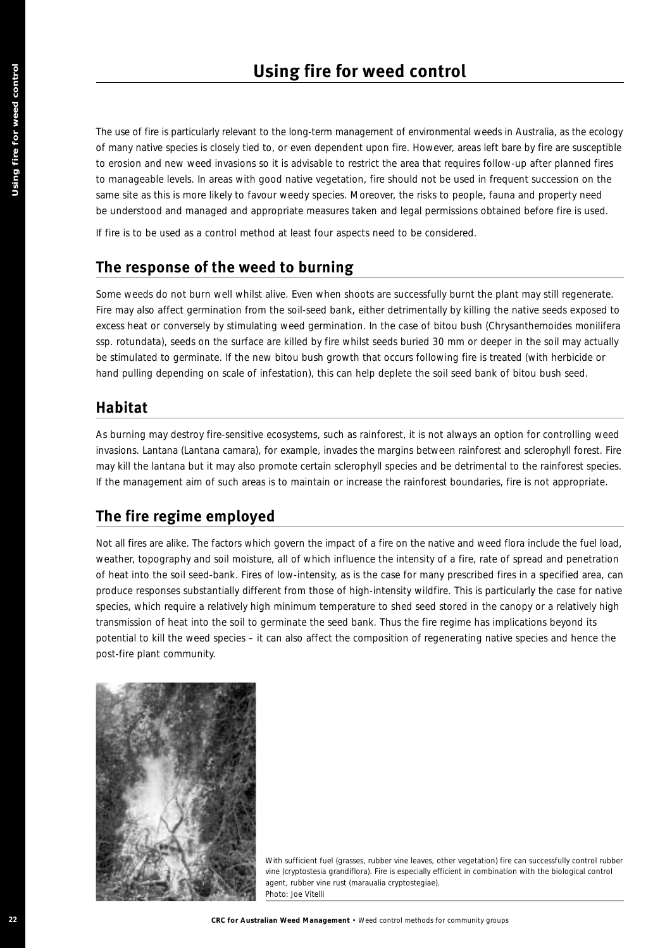The use of fire is particularly relevant to the long-term management of environmental weeds in Australia, as the ecology of many native species is closely tied to, or even dependent upon fire. However, areas left bare by fire are susceptible to erosion and new weed invasions so it is advisable to restrict the area that requires follow-up after planned fires to manageable levels. In areas with good native vegetation, fire should not be used in frequent succession on the same site as this is more likely to favour weedy species. Moreover, the risks to people, fauna and property need be understood and managed and appropriate measures taken and legal permissions obtained before fire is used.

If fire is to be used as a control method at least four aspects need to be considered.

## **The response of the weed to burning**

Some weeds do not burn well whilst alive. Even when shoots are successfully burnt the plant may still regenerate. Fire may also affect germination from the soil-seed bank, either detrimentally by killing the native seeds exposed to excess heat or conversely by stimulating weed germination. In the case of bitou bush (*Chrysanthemoides monilifera* ssp. *rotundata*), seeds on the surface are killed by fire whilst seeds buried 30 mm or deeper in the soil may actually be stimulated to germinate. If the new bitou bush growth that occurs following fire is treated (with herbicide or hand pulling depending on scale of infestation), this can help deplete the soil seed bank of bitou bush seed.

# **Habitat**

As burning may destroy fire-sensitive ecosystems, such as rainforest, it is not always an option for controlling weed invasions. Lantana (*Lantana camara*), for example, invades the margins between rainforest and sclerophyll forest. Fire may kill the lantana but it may also promote certain sclerophyll species and be detrimental to the rainforest species. If the management aim of such areas is to maintain or increase the rainforest boundaries, fire is not appropriate.

# **The fire regime employed**

**22 CRC** for Australian Weed Management + Weed Control methods for a state of the state of the state of the state of the state of the state of the state of the state of the state of the state of the state of the state of Not all fires are alike. The factors which govern the impact of a fire on the native and weed flora include the fuel load, weather, topography and soil moisture, all of which influence the intensity of a fire, rate of spread and penetration of heat into the soil seed-bank. Fires of low-intensity, as is the case for many prescribed fires in a specified area, can produce responses substantially different from those of high-intensity wildfire. This is particularly the case for native species, which require a relatively high minimum temperature to shed seed stored in the canopy or a relatively high transmission of heat into the soil to germinate the seed bank. Thus the fire regime has implications beyond its potential to kill the weed species – it can also affect the composition of regenerating native species and hence the post-fire plant community.



*With sufficient fuel (grasses, rubber vine leaves, other vegetation) fire can successfully control rubber vine (cryptostesia grandiflora). Fire is especially efficient in combination with the biological control agent, rubber vine rust (maraualia cryptostegiae). Photo: Joe Vitelli*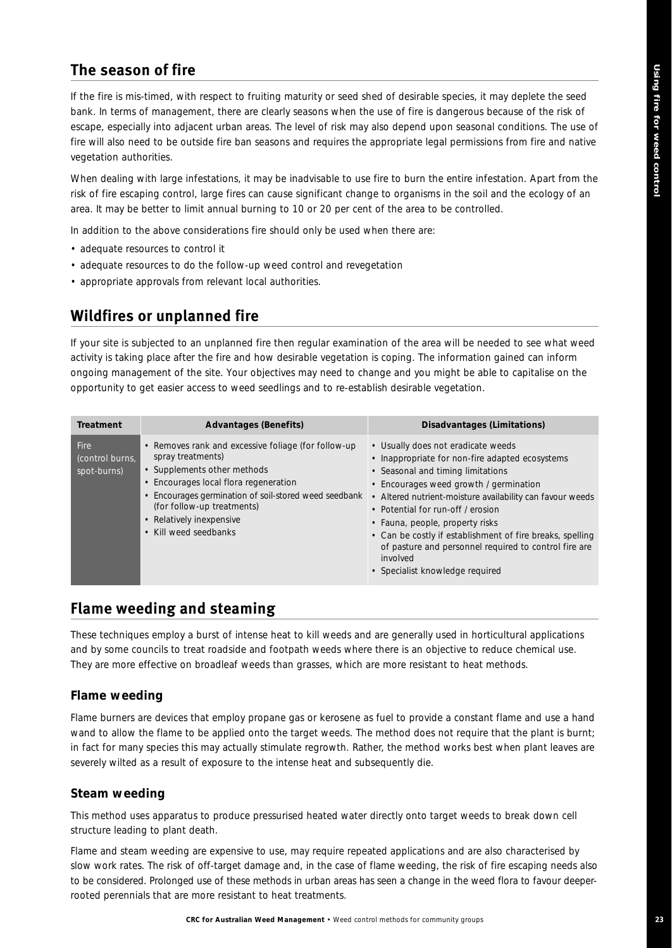# **The season of fire**

If the fire is mis-timed, with respect to fruiting maturity or seed shed of desirable species, it may deplete the seed bank. In terms of management, there are clearly seasons when the use of fire is dangerous because of the risk of escape, especially into adjacent urban areas. The level of risk may also depend upon seasonal conditions. The use of fire will also need to be outside fire ban seasons and requires the appropriate legal permissions from fire and native vegetation authorities.

When dealing with large infestations, it may be inadvisable to use fire to burn the entire infestation. Apart from the risk of fire escaping control, large fires can cause significant change to organisms in the soil and the ecology of an area. It may be better to limit annual burning to 10 or 20 per cent of the area to be controlled.

In addition to the above considerations fire should only be used when there are:

- adequate resources to control it
- adequate resources to do the follow-up weed control and revegetation
- appropriate approvals from relevant local authorities.

# **Wildfires or unplanned fire**

If your site is subjected to an unplanned fire then regular examination of the area will be needed to see what weed activity is taking place after the fire and how desirable vegetation is coping. The information gained can inform ongoing management of the site. Your objectives may need to change and you might be able to capitalise on the opportunity to get easier access to weed seedlings and to re-establish desirable vegetation.

| <b>Treatment</b>                              | <b>Advantages (Benefits)</b>                                                                                                                                                                                                                                                             | Disadvantages (Limitations)                                                                                                                                                                                                                                                                                                                                                                                                                                                    |
|-----------------------------------------------|------------------------------------------------------------------------------------------------------------------------------------------------------------------------------------------------------------------------------------------------------------------------------------------|--------------------------------------------------------------------------------------------------------------------------------------------------------------------------------------------------------------------------------------------------------------------------------------------------------------------------------------------------------------------------------------------------------------------------------------------------------------------------------|
| <b>Fire</b><br>(control burns,<br>spot-burns) | • Removes rank and excessive foliage (for follow-up<br>spray treatments)<br>• Supplements other methods<br>• Encourages local flora regeneration<br>Encourages germination of soil-stored weed seedbank<br>(for follow-up treatments)<br>• Relatively inexpensive<br>Kill weed seedbanks | • Usually does not eradicate weeds<br>• Inappropriate for non-fire adapted ecosystems<br>• Seasonal and timing limitations<br>• Encourages weed growth / germination<br>• Altered nutrient-moisture availability can favour weeds<br>• Potential for run-off / erosion<br>• Fauna, people, property risks<br>• Can be costly if establishment of fire breaks, spelling<br>of pasture and personnel required to control fire are<br>involved<br>• Specialist knowledge required |

## **Flame weeding and steaming**

These techniques employ a burst of intense heat to kill weeds and are generally used in horticultural applications and by some councils to treat roadside and footpath weeds where there is an objective to reduce chemical use. They are more effective on broadleaf weeds than grasses, which are more resistant to heat methods.

#### **Flame weeding**

Flame burners are devices that employ propane gas or kerosene as fuel to provide a constant flame and use a hand wand to allow the flame to be applied onto the target weeds. The method does not require that the plant is burnt; in fact for many species this may actually stimulate regrowth. Rather, the method works best when plant leaves are severely wilted as a result of exposure to the intense heat and subsequently die.

#### **Steam weeding**

This method uses apparatus to produce pressurised heated water directly onto target weeds to break down cell structure leading to plant death.

Flame and steam weeding are expensive to use, may require repeated applications and are also characterised by slow work rates. The risk of off-target damage and, in the case of flame weeding, the risk of fire escaping needs also to be considered. Prolonged use of these methods in urban areas has seen a change in the weed flora to favour deeperrooted perennials that are more resistant to heat treatments.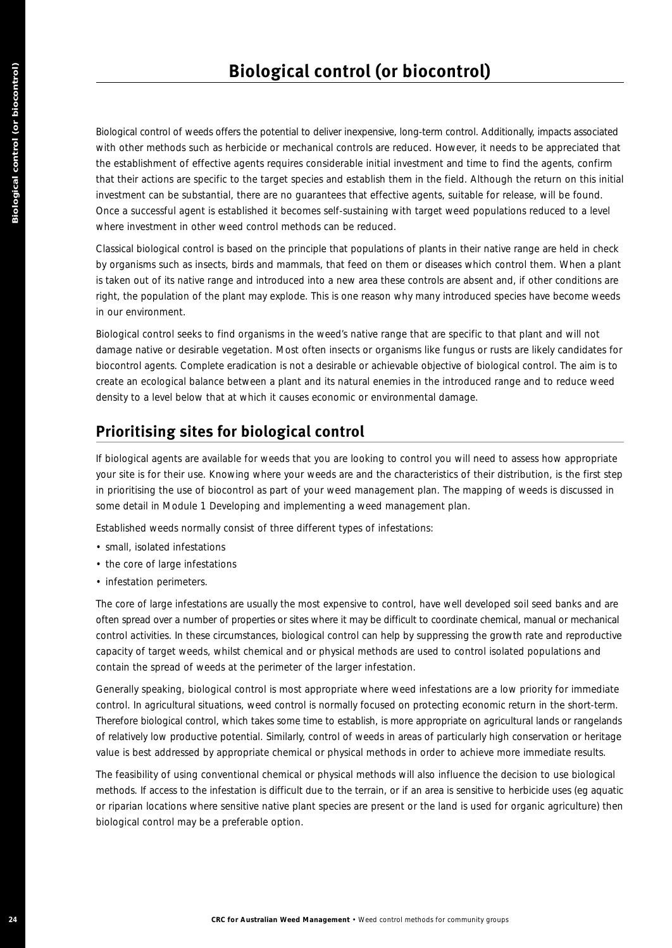**24 Example 24 CALISTER CONTROL (Or biocontrol)**<br>
24 delay a lawar methods for australian distribution and control methods for a state of the state weed control methods for a matching the state weed control methods for Biological control of weeds offers the potential to deliver inexpensive, long-term control. Additionally, impacts associated with other methods such as herbicide or mechanical controls are reduced. However, it needs to be appreciated that the establishment of effective agents requires considerable initial investment and time to find the agents, confirm that their actions are specific to the target species and establish them in the field. Although the return on this initial investment can be substantial, there are no guarantees that effective agents, suitable for release, will be found. Once a successful agent is established it becomes self-sustaining with target weed populations reduced to a level where investment in other weed control methods can be reduced.

Classical biological control is based on the principle that populations of plants in their native range are held in check by organisms such as insects, birds and mammals, that feed on them or diseases which control them. When a plant is taken out of its native range and introduced into a new area these controls are absent and, if other conditions are right, the population of the plant may explode. This is one reason why many introduced species have become weeds in our environment.

Biological control seeks to find organisms in the weed's native range that are specific to that plant and will not damage native or desirable vegetation. Most often insects or organisms like fungus or rusts are likely candidates for biocontrol agents. Complete eradication is not a desirable or achievable objective of biological control. The aim is to create an ecological balance between a plant and its natural enemies in the introduced range and to reduce weed density to a level below that at which it causes economic or environmental damage.

# **Prioritising sites for biological control**

If biological agents are available for weeds that you are looking to control you will need to assess how appropriate your site is for their use. Knowing where your weeds are and the characteristics of their distribution, is the first step in prioritising the use of biocontrol as part of your weed management plan. The mapping of weeds is discussed in some detail in Module 1 *Developing and implementing a weed management plan*.

Established weeds normally consist of three different types of infestations:

- small, isolated infestations
- the core of large infestations
- infestation perimeters.

The core of large infestations are usually the most expensive to control, have well developed soil seed banks and are often spread over a number of properties or sites where it may be difficult to coordinate chemical, manual or mechanical control activities. In these circumstances, biological control can help by suppressing the growth rate and reproductive capacity of target weeds, whilst chemical and or physical methods are used to control isolated populations and contain the spread of weeds at the perimeter of the larger infestation.

Generally speaking, biological control is most appropriate where weed infestations are a low priority for immediate control. In agricultural situations, weed control is normally focused on protecting economic return in the short-term. Therefore biological control, which takes some time to establish, is more appropriate on agricultural lands or rangelands of relatively low productive potential. Similarly, control of weeds in areas of particularly high conservation or heritage value is best addressed by appropriate chemical or physical methods in order to achieve more immediate results.

The feasibility of using conventional chemical or physical methods will also influence the decision to use biological methods. If access to the infestation is difficult due to the terrain, or if an area is sensitive to herbicide uses (eg aquatic or riparian locations where sensitive native plant species are present or the land is used for organic agriculture) then biological control may be a preferable option.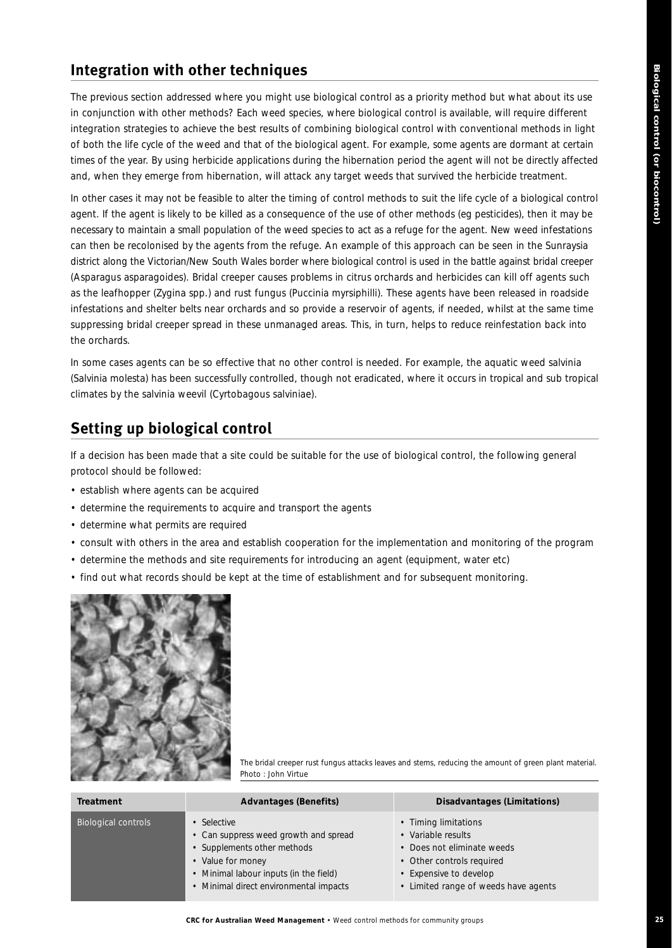# **Integration with other techniques**

The previous section addressed where you might use biological control as a priority method but what about its use in conjunction with other methods? Each weed species, where biological control is available, will require different integration strategies to achieve the best results of combining biological control with conventional methods in light of both the life cycle of the weed and that of the biological agent. For example, some agents are dormant at certain times of the year. By using herbicide applications during the hibernation period the agent will not be directly affected and, when they emerge from hibernation, will attack any target weeds that survived the herbicide treatment.

In other cases it may not be feasible to alter the timing of control methods to suit the life cycle of a biological control agent. If the agent is likely to be killed as a consequence of the use of other methods (eg pesticides), then it may be necessary to maintain a small population of the weed species to act as a refuge for the agent. New weed infestations can then be recolonised by the agents from the refuge. An example of this approach can be seen in the Sunraysia district along the Victorian/New South Wales border where biological control is used in the battle against bridal creeper (*Asparagus asparagoides*). Bridal creeper causes problems in citrus orchards and herbicides can kill off agents such as the leafhopper (*Zygina* spp.) and rust fungus (*Puccinia myrsiphilli*). These agents have been released in roadside infestations and shelter belts near orchards and so provide a reservoir of agents, if needed, whilst at the same time suppressing bridal creeper spread in these unmanaged areas. This, in turn, helps to reduce reinfestation back into the orchards.

In some cases agents can be so effective that no other control is needed. For example, the aquatic weed salvinia (*Salvinia molesta*) has been successfully controlled, though not eradicated, where it occurs in tropical and sub tropical climates by the salvinia weevil (*Cyrtobagous salviniae*).

# **Setting up biological control**

If a decision has been made that a site could be suitable for the use of biological control, the following general protocol should be followed:

- establish where agents can be acquired
- determine the requirements to acquire and transport the agents
- determine what permits are required
- consult with others in the area and establish cooperation for the implementation and monitoring of the program
- determine the methods and site requirements for introducing an agent (equipment, water etc)
- find out what records should be kept at the time of establishment and for subsequent monitoring.



*The bridal creeper rust fungus attacks leaves and stems, reducing the amount of green plant material. Photo : John Virtue*

| <b>Treatment</b>           | <b>Advantages (Benefits)</b>                                                                                                                                                                 | Disadvantages (Limitations)                                                                                                                                             |
|----------------------------|----------------------------------------------------------------------------------------------------------------------------------------------------------------------------------------------|-------------------------------------------------------------------------------------------------------------------------------------------------------------------------|
| <b>Biological controls</b> | • Selective<br>• Can suppress weed growth and spread<br>• Supplements other methods<br>• Value for money<br>• Minimal labour inputs (in the field)<br>• Minimal direct environmental impacts | • Timing limitations<br>• Variable results<br>• Does not eliminate weeds<br>• Other controls required<br>• Expensive to develop<br>• Limited range of weeds have agents |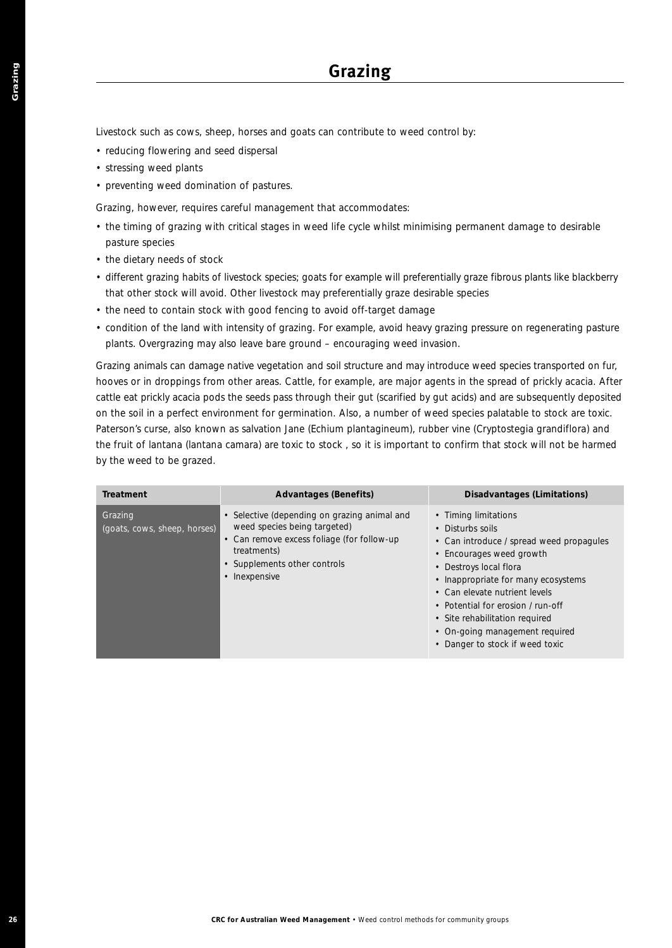- reducing flowering and seed dispersal
- stressing weed plants
- preventing weed domination of pastures.

- the timing of grazing with critical stages in weed life cycle whilst minimising permanent damage to desirable pasture species
- the dietary needs of stock
- different grazing habits of livestock species; goats for example will preferentially graze fibrous plants like blackberry that other stock will avoid. Other livestock may preferentially graze desirable species
- the need to contain stock with good fencing to avoid off-target damage
- condition of the land with intensity of grazing. For example, avoid heavy grazing pressure on regenerating pasture plants. Overgrazing may also leave bare ground – encouraging weed invasion.

| • reducing flowering and seed dispersal<br>• stressing weed plants<br>• preventing weed domination of pastures. | Livestock such as cows, sheep, horses and goats can contribute to weed control by:                                                                                                                                                                                                                                                                                                                                                                                                                                                                                                                                                                                                                                                                                                                                      |                                                                                                                                                                                                                                                                                                                                                                |
|-----------------------------------------------------------------------------------------------------------------|-------------------------------------------------------------------------------------------------------------------------------------------------------------------------------------------------------------------------------------------------------------------------------------------------------------------------------------------------------------------------------------------------------------------------------------------------------------------------------------------------------------------------------------------------------------------------------------------------------------------------------------------------------------------------------------------------------------------------------------------------------------------------------------------------------------------------|----------------------------------------------------------------------------------------------------------------------------------------------------------------------------------------------------------------------------------------------------------------------------------------------------------------------------------------------------------------|
|                                                                                                                 | Grazing, however, requires careful management that accommodates:                                                                                                                                                                                                                                                                                                                                                                                                                                                                                                                                                                                                                                                                                                                                                        |                                                                                                                                                                                                                                                                                                                                                                |
| pasture species                                                                                                 | • the timing of grazing with critical stages in weed life cycle whilst minimising permanent damage to desirable                                                                                                                                                                                                                                                                                                                                                                                                                                                                                                                                                                                                                                                                                                         |                                                                                                                                                                                                                                                                                                                                                                |
| • the dietary needs of stock                                                                                    | • different grazing habits of livestock species; goats for example will preferentially graze fibrous plants like blackberry<br>that other stock will avoid. Other livestock may preferentially graze desirable species<br>• the need to contain stock with good fencing to avoid off-target damage<br>• condition of the land with intensity of grazing. For example, avoid heavy grazing pressure on regenerating pasture                                                                                                                                                                                                                                                                                                                                                                                              |                                                                                                                                                                                                                                                                                                                                                                |
| by the weed to be grazed.                                                                                       | plants. Overgrazing may also leave bare ground - encouraging weed invasion.<br>Grazing animals can damage native vegetation and soil structure and may introduce weed species transported on fur,<br>hooves or in droppings from other areas. Cattle, for example, are major agents in the spread of prickly acacia. Afte<br>cattle eat prickly acacia pods the seeds pass through their gut (scarified by gut acids) and are subsequently deposited<br>on the soil in a perfect environment for germination. Also, a number of weed species palatable to stock are toxic.<br>Paterson's curse, also known as salvation Jane (Echium plantagineum), rubber vine (Cryptostegia grandiflora) and<br>the fruit of lantana (lantana camara) are toxic to stock, so it is important to confirm that stock will not be harmed |                                                                                                                                                                                                                                                                                                                                                                |
| <b>Treatment</b>                                                                                                | <b>Advantages (Benefits)</b>                                                                                                                                                                                                                                                                                                                                                                                                                                                                                                                                                                                                                                                                                                                                                                                            | Disadvantages (Limitations)                                                                                                                                                                                                                                                                                                                                    |
| Grazing<br>(goats, cows, sheep, horses)                                                                         | • Selective (depending on grazing animal and<br>weed species being targeted)<br>• Can remove excess foliage (for follow-up<br>treatments)<br>• Supplements other controls<br>• Inexpensive                                                                                                                                                                                                                                                                                                                                                                                                                                                                                                                                                                                                                              | • Timing limitations<br>• Disturbs soils<br>• Can introduce / spread weed propagules<br>• Encourages weed growth<br>• Destroys local flora<br>• Inappropriate for many ecosystems<br>• Can elevate nutrient levels<br>• Potential for erosion / run-off<br>· Site rehabilitation required<br>• On-going management required<br>• Danger to stock if weed toxic |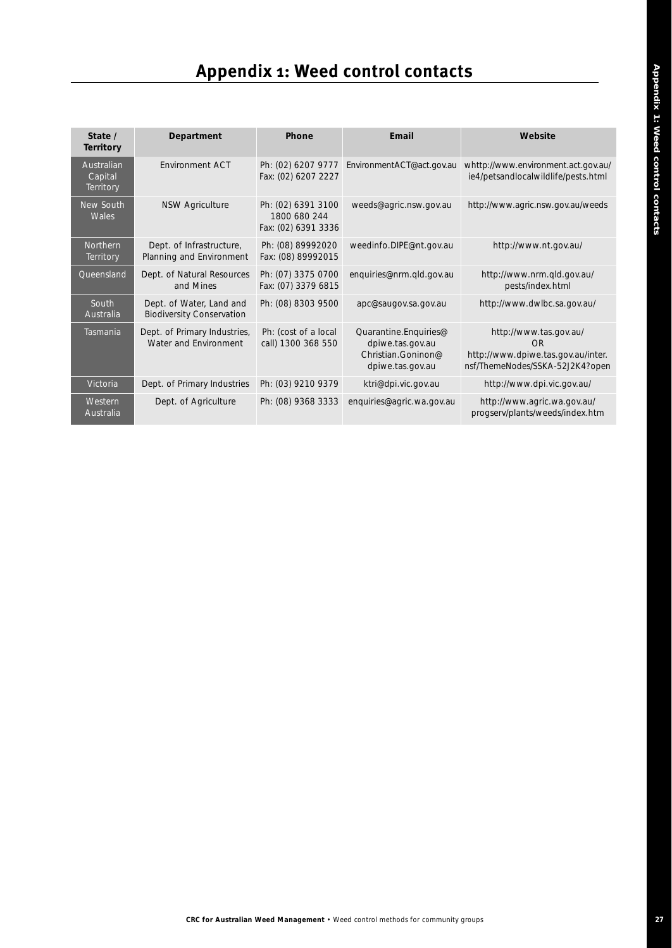# **Appendix 1: Weed control contacts**

| State /<br><b>Territory</b>        | Department                                                   | Phone                                                     | Email                                                                               | Website                                                                                               |
|------------------------------------|--------------------------------------------------------------|-----------------------------------------------------------|-------------------------------------------------------------------------------------|-------------------------------------------------------------------------------------------------------|
| Australian<br>Capital<br>Territory | <b>Fnvironment ACT</b>                                       | Ph: (02) 6207 9777<br>Fax: (02) 6207 2227                 | EnvironmentACT@act.gov.au                                                           | whttp://www.environment.act.gov.au/<br>ie4/petsandlocalwildlife/pests.html                            |
| New South<br>Wales                 | <b>NSW Agriculture</b>                                       | Ph: (02) 6391 3100<br>1800 680 244<br>Fax: (02) 6391 3336 | weeds@agric.nsw.gov.au                                                              | http://www.agric.nsw.gov.au/weeds                                                                     |
| Northern<br>Territory              | Dept. of Infrastructure,<br>Planning and Environment         | Ph: (08) 89992020<br>Fax: (08) 89992015                   | weedinfo.DIPE@nt.gov.au                                                             | http://www.nt.gov.au/                                                                                 |
| Queensland                         | Dept. of Natural Resources<br>and Mines                      | Ph: (07) 3375 0700<br>Fax: (07) 3379 6815                 | enquiries@nrm.qld.gov.au                                                            | http://www.nrm.gld.gov.au/<br>pests/index.html                                                        |
| South<br>Australia                 | Dept. of Water, Land and<br><b>Biodiversity Conservation</b> | Ph: (08) 8303 9500                                        | apc@saugov.sa.gov.au                                                                | http://www.dwlbc.sa.gov.au/                                                                           |
| Tasmania                           | Dept. of Primary Industries,<br>Water and Environment        | Ph: (cost of a local<br>call) 1300 368 550                | Quarantine.Enquiries@<br>dpiwe.tas.gov.au<br>Christian Goninon@<br>dpiwe.tas.gov.au | http://www.tas.gov.au/<br>OR<br>http://www.dpiwe.tas.gov.au/inter.<br>nsf/ThemeNodes/SSKA-52J2K4?open |
| Victoria                           | Dept. of Primary Industries                                  | Ph: (03) 9210 9379                                        | ktri@dpi.vic.gov.au                                                                 | http://www.dpi.vic.gov.au/                                                                            |
| Western<br>Australia               | Dept. of Agriculture                                         | Ph: (08) 9368 3333                                        | enquiries@agric.wa.gov.au                                                           | http://www.agric.wa.gov.au/<br>progserv/plants/weeds/index.htm                                        |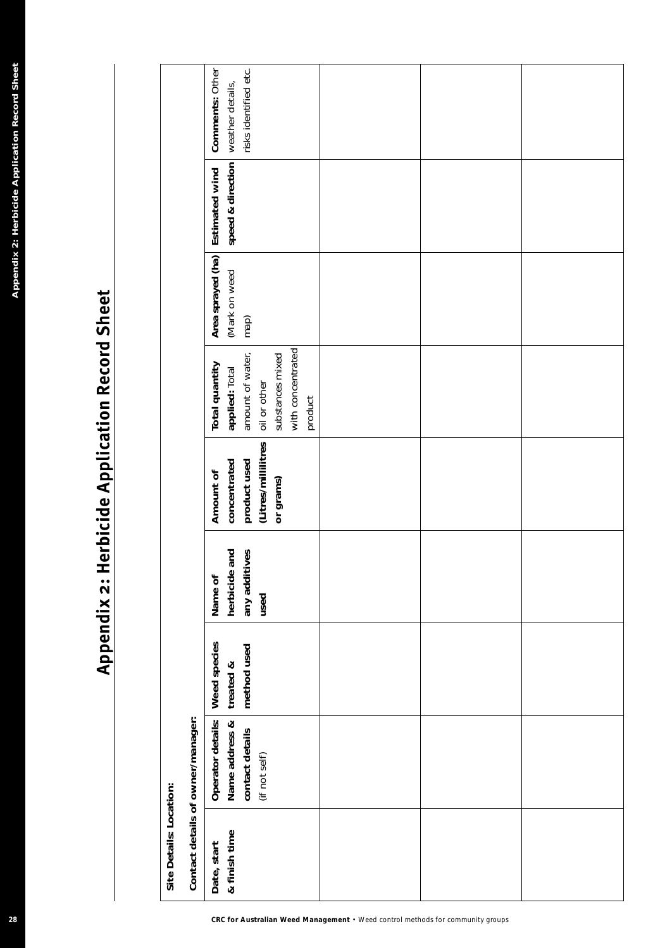# **Appendix 2: Herbicide Application Record Sheet**

|                                                |                         |                                   | risks identified etc.<br>Comments: Other<br>weather details,                                                             |
|------------------------------------------------|-------------------------|-----------------------------------|--------------------------------------------------------------------------------------------------------------------------|
|                                                |                         |                                   | speed & direction<br>Estimated wind                                                                                      |
| Appendix 2: Herbicide Application Record Sheet |                         |                                   | Area sprayed (ha)<br>(Mark on weed<br>map)                                                                               |
|                                                |                         |                                   | with concentrated<br>amount of water,<br>substances mixed<br>Total quantity<br>applied: Total<br>oil or other<br>product |
|                                                |                         |                                   | (Litres/millilitres<br>concentrated<br>product used<br>Amount of<br>or grams)                                            |
| Appendix 2: Herbicide Application Record Sheet |                         |                                   | and<br>any additives<br>herbicide<br>Name of<br>used                                                                     |
|                                                |                         |                                   | Weed species<br>method used<br>treated &                                                                                 |
|                                                |                         | Contact details of owner/manager: | Operator details:<br>Name address &<br>contact details<br>(if not self)                                                  |
|                                                | Site Details: Location: |                                   | & finish time<br>Date, start                                                                                             |
| 28                                             |                         |                                   | CRC for Australian Weed Management . Weed control methods for community groups                                           |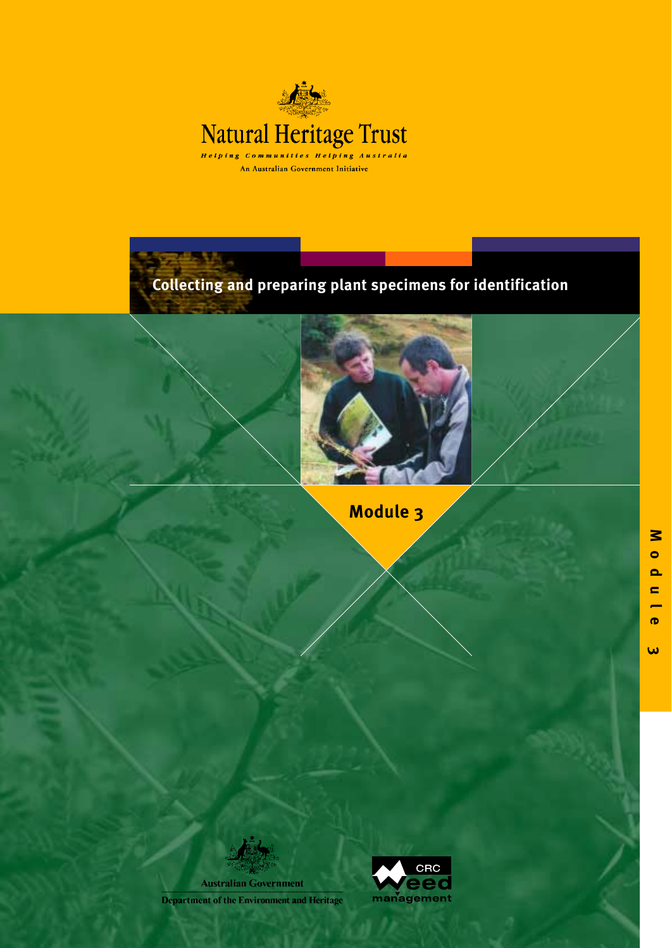

**Collecting and preparing plant specimens for identification**



**Module 3**

**Australian Government** Department of the Environment and Heritage



 $\boldsymbol{\omega}$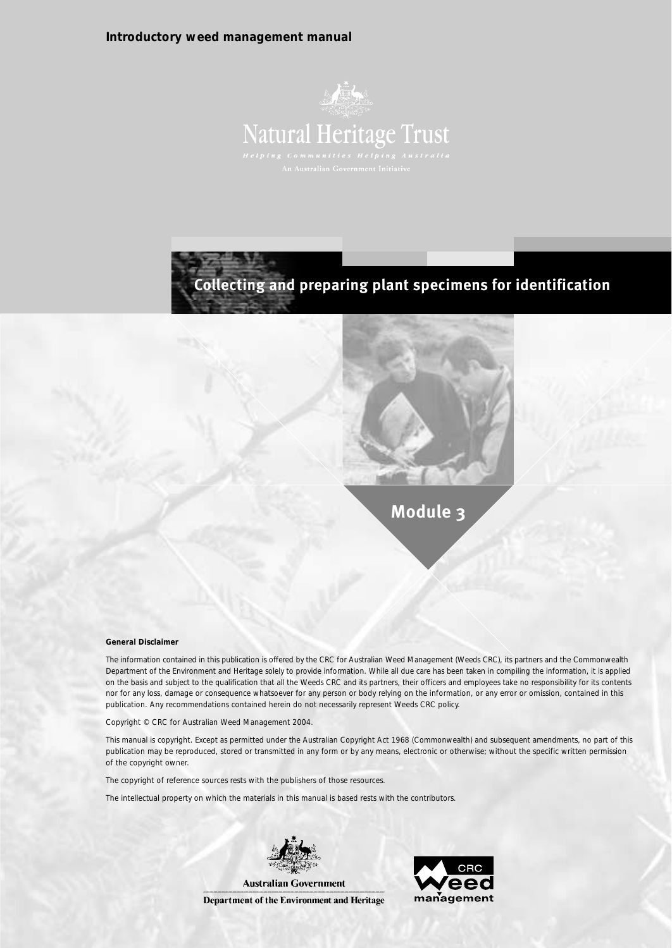#### **Introductory weed management manual**





**Module 3**

#### **General Disclaimer**

The information contained in this publication is offered by the CRC for Australian Weed Management (Weeds CRC), its partners and the Commonwealth Department of the Environment and Heritage solely to provide information. While all due care has been taken in compiling the information, it is applied on the basis and subject to the qualification that all the Weeds CRC and its partners, their officers and employees take no responsibility for its contents nor for any loss, damage or consequence whatsoever for any person or body relying on the information, or any error or omission, contained in this publication. Any recommendations contained herein do not necessarily represent Weeds CRC policy.

Copyright © CRC for Australian Weed Management 2004.

This manual is copyright. Except as permitted under the Australian Copyright Act 1968 (Commonwealth) and subsequent amendments, no part of this publication may be reproduced, stored or transmitted in any form or by any means, electronic or otherwise; without the specific written permission of the copyright owner.

The copyright of reference sources rests with the publishers of those resources.

The intellectual property on which the materials in this manual is based rests with the contributors.



Department of the Environment and Heritage

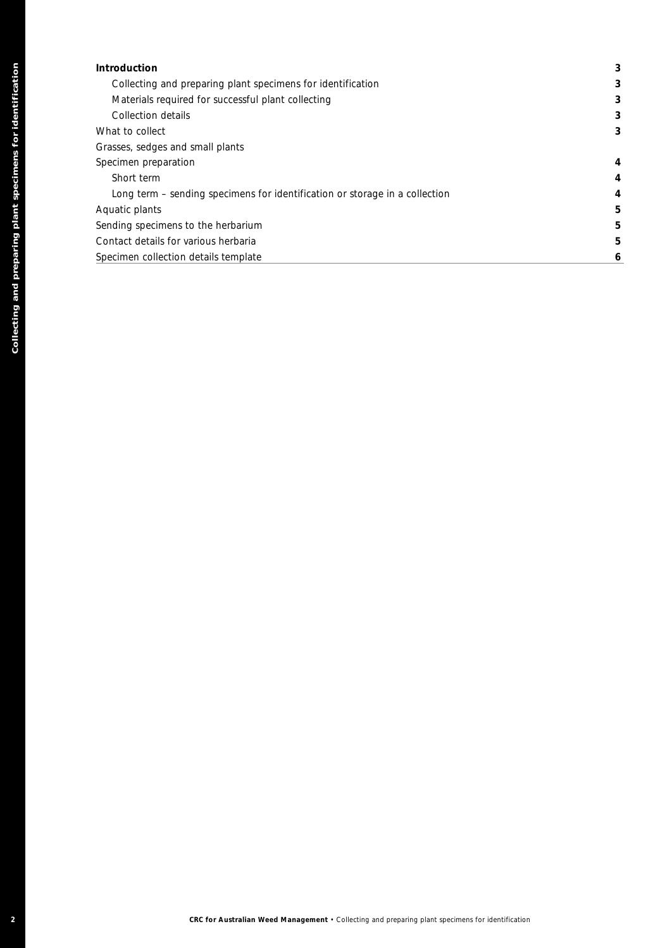| Introduction                                                                                     | 3           |
|--------------------------------------------------------------------------------------------------|-------------|
| Collecting and preparing plant specimens for identification                                      | 3           |
| Materials required for successful plant collecting                                               | $\mathbf 3$ |
| Collection details                                                                               | 3           |
|                                                                                                  |             |
| What to collect                                                                                  | 3           |
| Grasses, sedges and small plants                                                                 |             |
| Specimen preparation                                                                             | 4           |
| Short term                                                                                       | 4           |
| Long term - sending specimens for identification or storage in a collection                      | 4           |
| Aquatic plants                                                                                   | 5           |
| Sending specimens to the herbarium                                                               | 5           |
| Contact details for various herbaria                                                             | 5           |
| Specimen collection details template                                                             | 6           |
|                                                                                                  |             |
|                                                                                                  |             |
|                                                                                                  |             |
|                                                                                                  |             |
|                                                                                                  |             |
|                                                                                                  |             |
|                                                                                                  |             |
|                                                                                                  |             |
|                                                                                                  |             |
|                                                                                                  |             |
|                                                                                                  |             |
|                                                                                                  |             |
|                                                                                                  |             |
|                                                                                                  |             |
|                                                                                                  |             |
|                                                                                                  |             |
|                                                                                                  |             |
|                                                                                                  |             |
|                                                                                                  |             |
|                                                                                                  |             |
|                                                                                                  |             |
|                                                                                                  |             |
|                                                                                                  |             |
|                                                                                                  |             |
|                                                                                                  |             |
|                                                                                                  |             |
|                                                                                                  |             |
|                                                                                                  |             |
|                                                                                                  |             |
|                                                                                                  |             |
|                                                                                                  |             |
|                                                                                                  |             |
|                                                                                                  |             |
|                                                                                                  |             |
|                                                                                                  |             |
|                                                                                                  |             |
|                                                                                                  |             |
|                                                                                                  |             |
|                                                                                                  |             |
|                                                                                                  |             |
|                                                                                                  |             |
|                                                                                                  |             |
|                                                                                                  |             |
|                                                                                                  |             |
|                                                                                                  |             |
|                                                                                                  |             |
| CRC for Australian Weed Management . Collecting and preparing plant specimens for identification |             |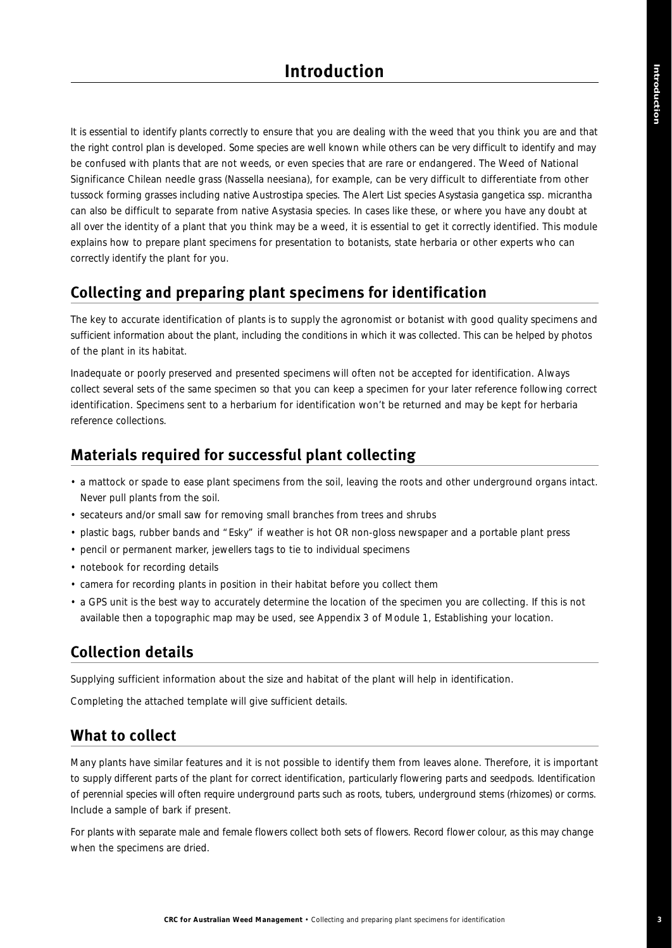It is essential to identify plants correctly to ensure that you are dealing with the weed that you think you are and that the right control plan is developed. Some species are well known while others can be very difficult to identify and may be confused with plants that are not weeds, or even species that are rare or endangered. The *Weed of National Significance* Chilean needle grass (*Nassella neesiana*), for example, can be very difficult to differentiate from other tussock forming grasses including native *Austrostipa* species. The *Alert List* species *Asystasia gangetica* ssp. *micrantha* can also be difficult to separate from native *Asystasia* species. In cases like these, or where you have any doubt at all over the identity of a plant that you think may be a weed, it is essential to get it correctly identified. This module explains how to prepare plant specimens for presentation to botanists, state herbaria or other experts who can correctly identify the plant for you.

# **Collecting and preparing plant specimens for identification**

The key to accurate identification of plants is to supply the agronomist or botanist with good quality specimens and sufficient information about the plant, including the conditions in which it was collected. This can be helped by photos of the plant in its habitat.

Inadequate or poorly preserved and presented specimens will often not be accepted for identification. Always collect several sets of the same specimen so that you can keep a specimen for your later reference following correct identification. Specimens sent to a herbarium for identification won't be returned and may be kept for herbaria reference collections.

# **Materials required for successful plant collecting**

- a mattock or spade to ease plant specimens from the soil, leaving the roots and other underground organs intact. Never pull plants from the soil.
- secateurs and/or small saw for removing small branches from trees and shrubs
- plastic bags, rubber bands and "Esky" if weather is hot OR non-gloss newspaper and a portable plant press
- pencil or permanent marker, jewellers tags to tie to individual specimens
- notebook for recording details
- camera for recording plants in position in their habitat before you collect them
- a GPS unit is the best way to accurately determine the location of the specimen you are collecting. If this is not available then a topographic map may be used, see Appendix 3 of Module 1, *Establishing your location*.

# **Collection details**

Supplying sufficient information about the size and habitat of the plant will help in identification.

Completing the attached template will give sufficient details.

# **What to collect**

Many plants have similar features and it is not possible to identify them from leaves alone. Therefore, it is important to supply different parts of the plant for correct identification, particularly flowering parts and seedpods. Identification of perennial species will often require underground parts such as roots, tubers, underground stems (rhizomes) or corms. Include a sample of bark if present.

For plants with separate male and female flowers collect both sets of flowers. Record flower colour, as this may change when the specimens are dried.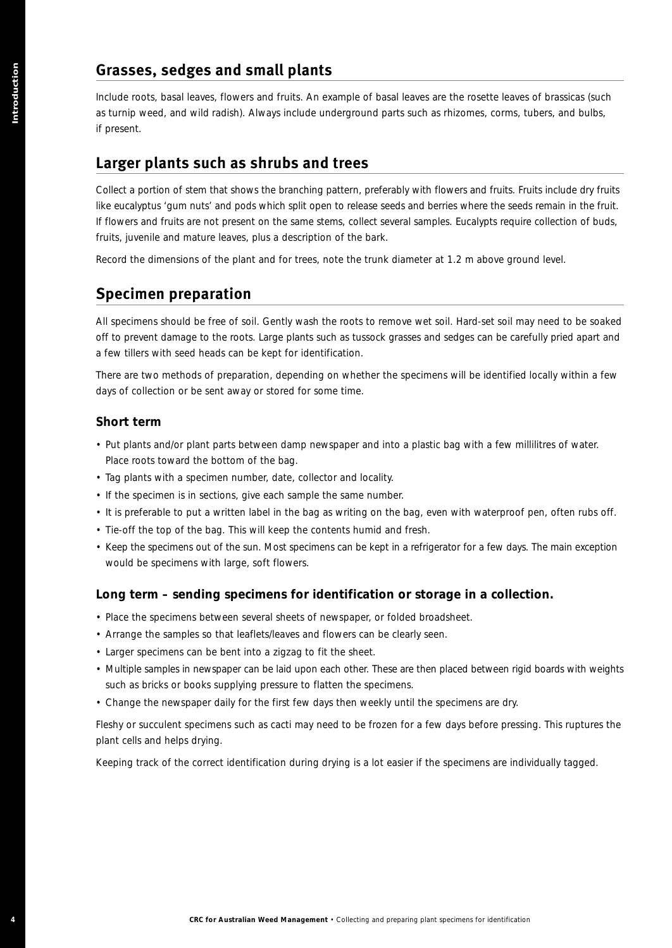# **Grasses, sedges and small plants**

Include roots, basal leaves, flowers and fruits. An example of basal leaves are the rosette leaves of brassicas (such as turnip weed, and wild radish). Always include underground parts such as rhizomes, corms, tubers, and bulbs, if present.

#### **Larger plants such as shrubs and trees**

Collect a portion of stem that shows the branching pattern, preferably with flowers and fruits. Fruits include dry fruits like eucalyptus 'gum nuts' and pods which split open to release seeds and berries where the seeds remain in the fruit. If flowers and fruits are not present on the same stems, collect several samples. Eucalypts require collection of buds, fruits, juvenile and mature leaves, plus a description of the bark. **CRESS , see States of Properties and CRC for Australian Weed Management CR (2002)**<br> **CRESS TOWER SPECIES AND AUSTRALIAN CONSULTS AND CRESS CONSULTS AND CRESS CONSULTS AND A CRESS (CRESS TOWERS AND PROPERTIES SUCH) AS SHOW** 

Record the dimensions of the plant and for trees, note the trunk diameter at 1.2 m above ground level.

#### **Specimen preparation**

All specimens should be free of soil. Gently wash the roots to remove wet soil. Hard-set soil may need to be soaked off to prevent damage to the roots. Large plants such as tussock grasses and sedges can be carefully pried apart and a few tillers with seed heads can be kept for identification.

There are two methods of preparation, depending on whether the specimens will be identified locally within a few days of collection or be sent away or stored for some time.

#### **Short term**

- Put plants and/or plant parts between damp newspaper and into a plastic bag with a few millilitres of water. Place roots toward the bottom of the bag.
- Tag plants with a specimen number, date, collector and locality.
- If the specimen is in sections, give each sample the same number.
- It is preferable to put a written label in the bag as writing on the bag, even with waterproof pen, often rubs off.
- Tie-off the top of the bag. This will keep the contents humid and fresh.
- Keep the specimens out of the sun. Most specimens can be kept in a refrigerator for a few days. The main exception would be specimens with large, soft flowers.

#### **Long term – sending specimens for identification or storage in a collection.**

- Place the specimens between several sheets of newspaper, or folded broadsheet.
- Arrange the samples so that leaflets/leaves and flowers can be clearly seen.
- Larger specimens can be bent into a zigzag to fit the sheet.
- Multiple samples in newspaper can be laid upon each other. These are then placed between rigid boards with weights such as bricks or books supplying pressure to flatten the specimens.
- Change the newspaper daily for the first few days then weekly until the specimens are dry.

Fleshy or succulent specimens such as cacti may need to be frozen for a few days before pressing. This ruptures the plant cells and helps drying.

Keeping track of the correct identification during drying is a lot easier if the specimens are individually tagged.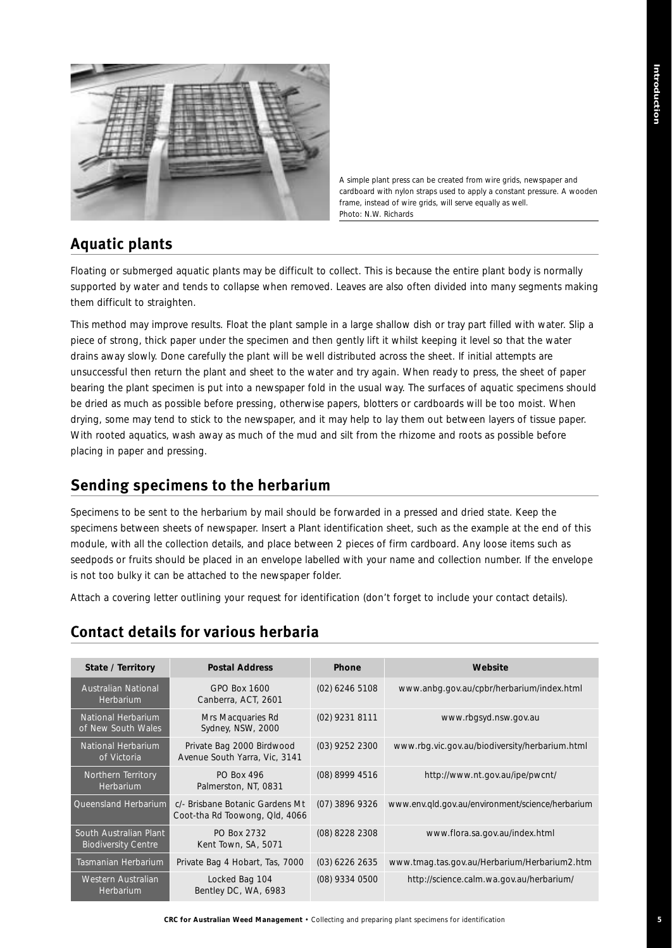

*A simple plant press can be created from wire grids, newspaper and cardboard with nylon straps used to apply a constant pressure. A wooden frame, instead of wire grids, will serve equally as well. Photo: N.W. Richards*

# **Aquatic plants**

Floating or submerged aquatic plants may be difficult to collect. This is because the entire plant body is normally supported by water and tends to collapse when removed. Leaves are also often divided into many segments making them difficult to straighten.

This method may improve results. Float the plant sample in a large shallow dish or tray part filled with water. Slip a piece of strong, thick paper under the specimen and then gently lift it whilst keeping it level so that the water drains away slowly. Done carefully the plant will be well distributed across the sheet. If initial attempts are unsuccessful then return the plant and sheet to the water and try again. When ready to press, the sheet of paper bearing the plant specimen is put into a newspaper fold in the usual way. The surfaces of aquatic specimens should be dried as much as possible before pressing, otherwise papers, blotters or cardboards will be too moist. When drying, some may tend to stick to the newspaper, and it may help to lay them out between layers of tissue paper. With rooted aquatics, wash away as much of the mud and silt from the rhizome and roots as possible before placing in paper and pressing.

# **Sending specimens to the herbarium**

Specimens to be sent to the herbarium by mail should be forwarded in a pressed and dried state. Keep the specimens between sheets of newspaper. Insert a *Plant identification* sheet, such as the example at the end of this module, with all the collection details, and place between 2 pieces of firm cardboard. Any loose items such as seedpods or fruits should be placed in an envelope labelled with your name and collection number. If the envelope is not too bulky it can be attached to the newspaper folder.

Attach a covering letter outlining your request for identification (don't forget to include your contact details).

# **Contact details for various herbaria**

| State / Territory                                    | <b>Postal Address</b>                                             | Phone            | Website                                          |
|------------------------------------------------------|-------------------------------------------------------------------|------------------|--------------------------------------------------|
| Australian National<br>Herbarium                     | GPO Box 1600<br>Canberra, ACT, 2601                               | $(02)$ 6246 5108 | www.anbg.gov.au/cpbr/herbarium/index.html        |
| National Herbarium<br>of New South Wales             | Mrs Macquaries Rd<br>Sydney, NSW, 2000                            | (02) 9231 8111   | www.rbgsyd.nsw.gov.au                            |
| National Herbarium<br>of Victoria                    | Private Bag 2000 Birdwood<br>Avenue South Yarra, Vic, 3141        | (03) 9252 2300   | www.rbg.vic.gov.au/biodiversity/herbarium.html   |
| Northern Territory<br>Herbarium                      | <b>PO Box 496</b><br>Palmerston, NT, 0831                         | (08) 8999 4516   | http://www.nt.gov.au/ipe/pwcnt/                  |
| Queensland Herbarium                                 | c/- Brisbane Botanic Gardens Mt<br>Coot-tha Rd Toowong, Qld, 4066 | (07) 3896 9326   | www.env.gld.gov.au/environment/science/herbarium |
| South Australian Plant<br><b>Biodiversity Centre</b> | PO Box 2732<br>Kent Town, SA, 5071                                | (08) 8228 2308   | www.flora.sa.gov.au/index.html                   |
| Tasmanian Herbarium                                  | Private Bag 4 Hobart, Tas, 7000                                   | $(03)$ 6226 2635 | www.tmag.tas.gov.au/Herbarium/Herbarium2.htm     |
| Western Australian<br>Herbarium                      | Locked Bag 104<br>Bentley DC, WA, 6983                            | (08) 9334 0500   | http://science.calm.wa.gov.au/herbarium/         |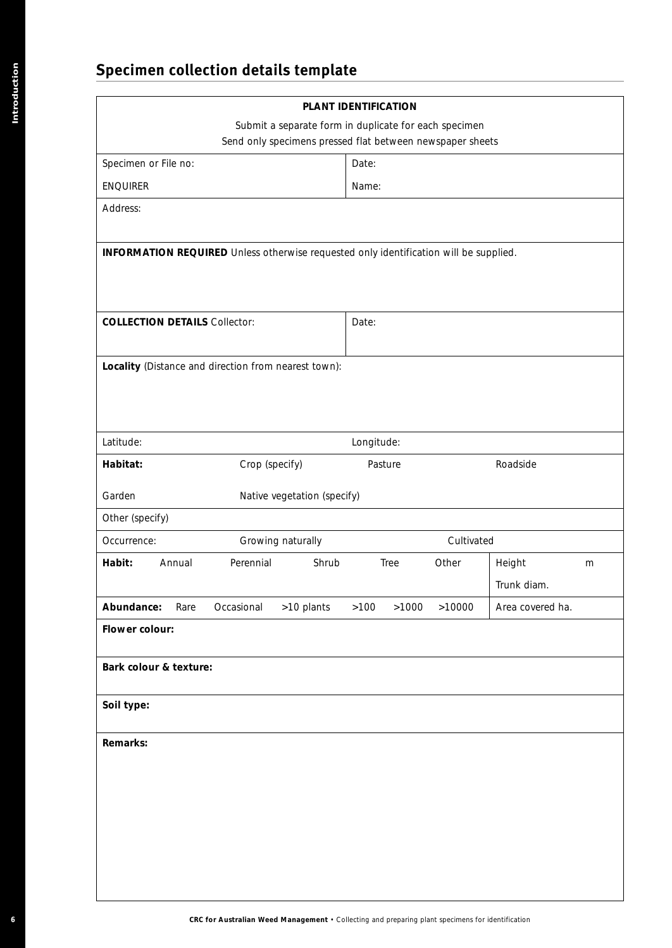# **Specimen collection details template**

| Submit a separate form in duplicate for each specimen<br>Send only specimens pressed flat between newspaper sheets<br>Date:<br>Name:<br>Date:<br>Longitude:<br>Crop (specify)<br>Roadside<br>Pasture<br>Native vegetation (specify)<br>Growing naturally<br>Cultivated<br>Perennial<br>Shrub<br>Tree<br>Height<br>Annual<br>Other<br>Trunk diam.<br>>10 plants<br>Occasional<br>$>100$<br>>1000<br>>10000<br>Rare |          | PLANT IDENTIFICATION |  |                  |
|-------------------------------------------------------------------------------------------------------------------------------------------------------------------------------------------------------------------------------------------------------------------------------------------------------------------------------------------------------------------------------------------------------------------|----------|----------------------|--|------------------|
| Specimen or File no:<br><b>ENQUIRER</b><br>Address:<br>INFORMATION REQUIRED Unless otherwise requested only identification will be supplied.<br><b>COLLECTION DETAILS Collector:</b><br>Locality (Distance and direction from nearest town):<br>Latitude:<br>Habitat:<br>Garden<br>Other (specify)<br>Occurrence:<br>Habit:<br>Abundance:<br>Flower colour:<br>Bark colour & texture:<br>Soil type:               |          |                      |  |                  |
|                                                                                                                                                                                                                                                                                                                                                                                                                   |          |                      |  |                  |
|                                                                                                                                                                                                                                                                                                                                                                                                                   |          |                      |  |                  |
|                                                                                                                                                                                                                                                                                                                                                                                                                   |          |                      |  |                  |
|                                                                                                                                                                                                                                                                                                                                                                                                                   |          |                      |  |                  |
|                                                                                                                                                                                                                                                                                                                                                                                                                   |          |                      |  |                  |
|                                                                                                                                                                                                                                                                                                                                                                                                                   |          |                      |  |                  |
|                                                                                                                                                                                                                                                                                                                                                                                                                   |          |                      |  |                  |
|                                                                                                                                                                                                                                                                                                                                                                                                                   |          |                      |  |                  |
|                                                                                                                                                                                                                                                                                                                                                                                                                   |          |                      |  |                  |
|                                                                                                                                                                                                                                                                                                                                                                                                                   |          |                      |  |                  |
|                                                                                                                                                                                                                                                                                                                                                                                                                   |          |                      |  |                  |
|                                                                                                                                                                                                                                                                                                                                                                                                                   |          |                      |  |                  |
|                                                                                                                                                                                                                                                                                                                                                                                                                   |          |                      |  |                  |
|                                                                                                                                                                                                                                                                                                                                                                                                                   |          |                      |  |                  |
|                                                                                                                                                                                                                                                                                                                                                                                                                   |          |                      |  |                  |
|                                                                                                                                                                                                                                                                                                                                                                                                                   |          |                      |  |                  |
|                                                                                                                                                                                                                                                                                                                                                                                                                   |          |                      |  | Area covered ha. |
|                                                                                                                                                                                                                                                                                                                                                                                                                   |          |                      |  |                  |
|                                                                                                                                                                                                                                                                                                                                                                                                                   |          |                      |  |                  |
|                                                                                                                                                                                                                                                                                                                                                                                                                   |          |                      |  |                  |
|                                                                                                                                                                                                                                                                                                                                                                                                                   |          |                      |  |                  |
|                                                                                                                                                                                                                                                                                                                                                                                                                   | Remarks: |                      |  |                  |
|                                                                                                                                                                                                                                                                                                                                                                                                                   |          |                      |  |                  |
|                                                                                                                                                                                                                                                                                                                                                                                                                   |          |                      |  |                  |
|                                                                                                                                                                                                                                                                                                                                                                                                                   |          |                      |  |                  |
|                                                                                                                                                                                                                                                                                                                                                                                                                   |          |                      |  |                  |
|                                                                                                                                                                                                                                                                                                                                                                                                                   |          |                      |  |                  |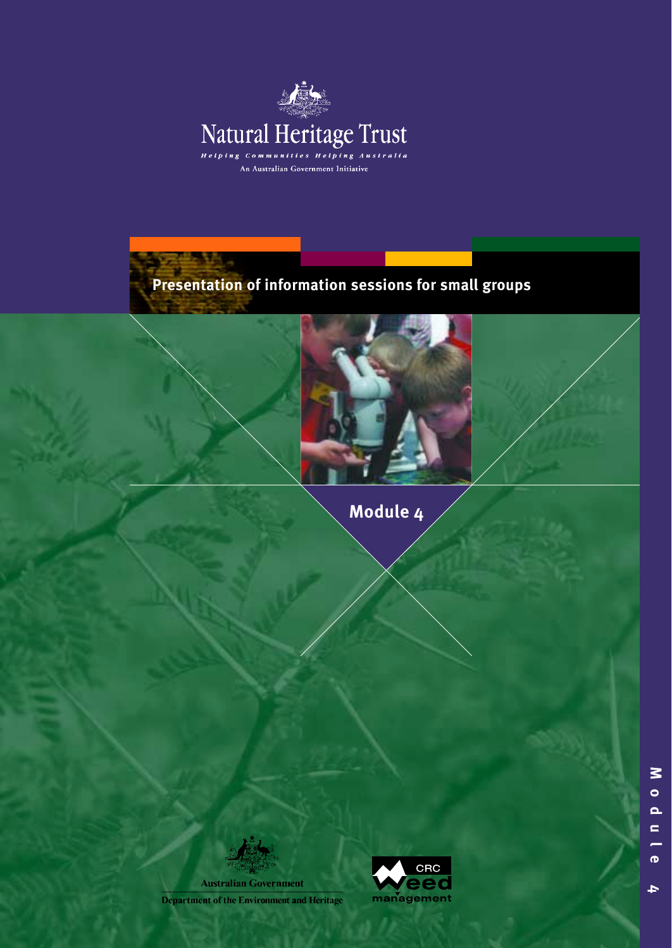

**Presentation of information sessions for small groups**



**Module 4**

**Australian Government Department of the Environment and Heritage** 

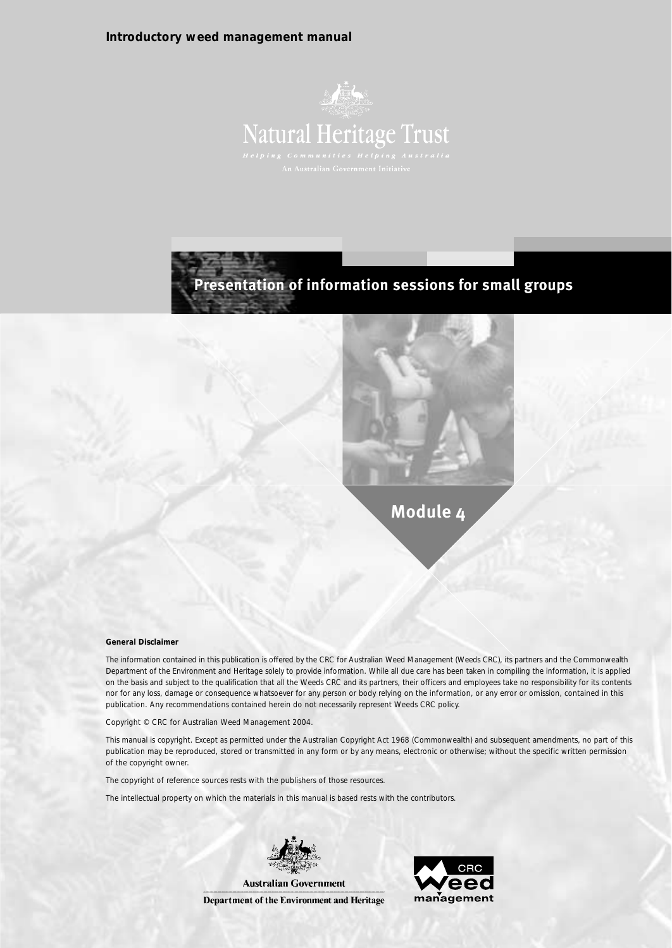#### **Introductory weed management manual**







**Module 4**

**General Disclaimer**

The information contained in this publication is offered by the CRC for Australian Weed Management (Weeds CRC), its partners and the Commonwealth Department of the Environment and Heritage solely to provide information. While all due care has been taken in compiling the information, it is applied on the basis and subject to the qualification that all the Weeds CRC and its partners, their officers and employees take no responsibility for its contents nor for any loss, damage or consequence whatsoever for any person or body relying on the information, or any error or omission, contained in this publication. Any recommendations contained herein do not necessarily represent Weeds CRC policy.

Copyright © CRC for Australian Weed Management 2004.

This manual is copyright. Except as permitted under the Australian Copyright Act 1968 (Commonwealth) and subsequent amendments, no part of this publication may be reproduced, stored or transmitted in any form or by any means, electronic or otherwise; without the specific written permission of the copyright owner.

The copyright of reference sources rests with the publishers of those resources.

The intellectual property on which the materials in this manual is based rests with the contributors.



Department of the Environment and Heritage

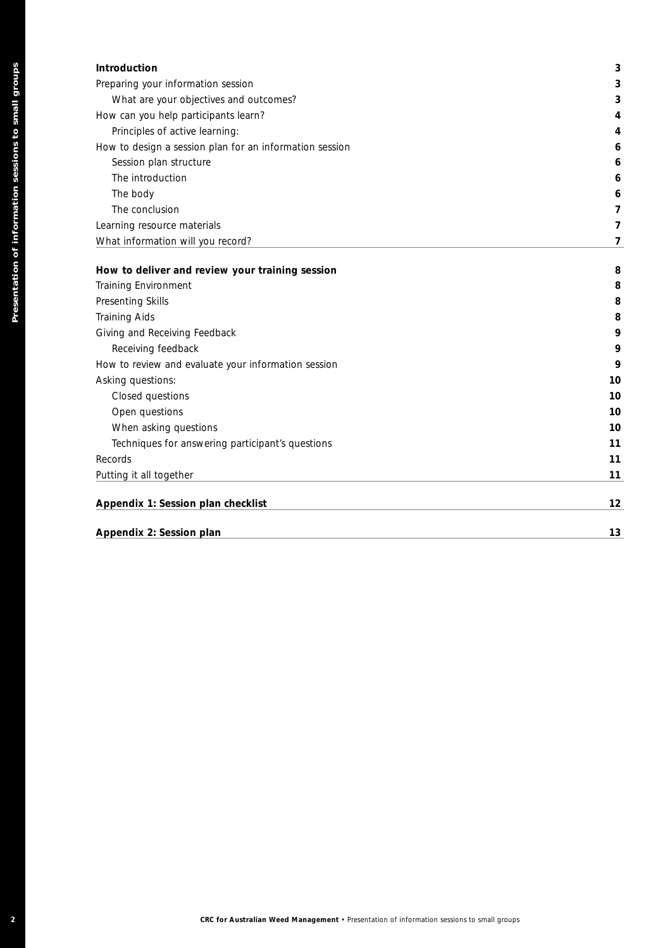| <b>Introduction</b>                                     | 3 |
|---------------------------------------------------------|---|
| Preparing your information session                      | 3 |
| What are your objectives and outcomes?                  | 3 |
| How can you help participants learn?                    | 4 |
| Principles of active learning:                          | 4 |
| How to design a session plan for an information session | 6 |
| Session plan structure                                  | 6 |
| The introduction                                        | 6 |
| The body                                                | 6 |
| The conclusion                                          |   |
| Learning resource materials                             |   |
| What information will you record?                       |   |
|                                                         |   |

| Preparing your information session                             |                |
|----------------------------------------------------------------|----------------|
|                                                                | 3              |
| What are your objectives and outcomes?                         | 3              |
| How can you help participants learn?                           | 4              |
| Principles of active learning:                                 | 4              |
| How to design a session plan for an information session        | 6              |
| Session plan structure                                         | 6              |
| The introduction                                               | 6              |
| The body                                                       | 6              |
| The conclusion                                                 | $\overline{7}$ |
| Learning resource materials                                    | $\overline{7}$ |
| What information will you record?                              | $\overline{7}$ |
|                                                                |                |
| How to deliver and review your training session                | 8              |
| Training Environment                                           | 8              |
| Presenting Skills                                              | 8              |
| <b>Training Aids</b>                                           | 8              |
| Giving and Receiving Feedback                                  | 9              |
| Receiving feedback                                             | 9              |
| How to review and evaluate your information session            | 9              |
| Asking questions:                                              | 10             |
| Closed questions                                               | 10             |
| Open questions                                                 | 10             |
| When asking questions                                          | 10             |
| Techniques for answering participant's questions               | 11             |
| Records                                                        | 11             |
| Putting it all together                                        | 11             |
|                                                                | 12             |
|                                                                |                |
| Appendix 1: Session plan checklist<br>Appendix 2: Session plan |                |
|                                                                |                |
|                                                                |                |
|                                                                |                |
|                                                                |                |
|                                                                |                |
|                                                                |                |
|                                                                |                |
|                                                                |                |
|                                                                | 13             |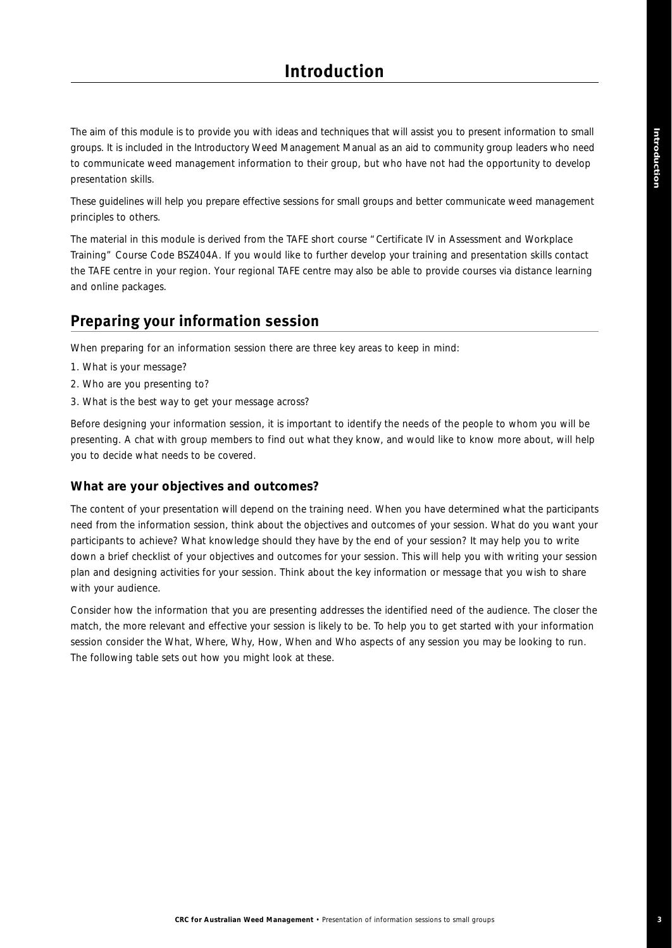The aim of this module is to provide you with ideas and techniques that will assist you to present information to small groups. It is included in the *Introductory Weed Management Manual* as an aid to community group leaders who need to communicate weed management information to their group, but who have not had the opportunity to develop presentation skills.

These guidelines will help you prepare effective sessions for small groups and better communicate weed management principles to others.

The material in this module is derived from the TAFE short course "*Certificate IV in Assessment and Workplace Training*" Course Code BSZ404A. If you would like to further develop your training and presentation skills contact the TAFE centre in your region. Your regional TAFE centre may also be able to provide courses via distance learning and online packages.

### **Preparing your information session**

When preparing for an information session there are three key areas to keep in mind:

- 1. What is your message?
- 2. Who are you presenting to?
- 3. What is the best way to get your message across?

Before designing your information session, it is important to identify the needs of the people to whom you will be presenting. A chat with group members to find out what they know, and would like to know more about, will help you to decide what needs to be covered.

#### **What are your objectives and outcomes?**

The content of your presentation will depend on the training need. When you have determined what the participants need from the information session, think about the objectives and outcomes of your session. What do you want your participants to achieve? What knowledge should they have by the end of your session? It may help you to write down a brief checklist of your objectives and outcomes for your session. This will help you with writing your session plan and designing activities for your session. Think about the key information or message that you wish to share with your audience.

Consider how the information that you are presenting addresses the identified need of the audience. The closer the match, the more relevant and effective your session is likely to be. To help you to get started with your information session consider the *What*, *Where*, *Why*, *How*, *When* and *Who* aspects of any session you may be looking to run. The following table sets out how you might look at these.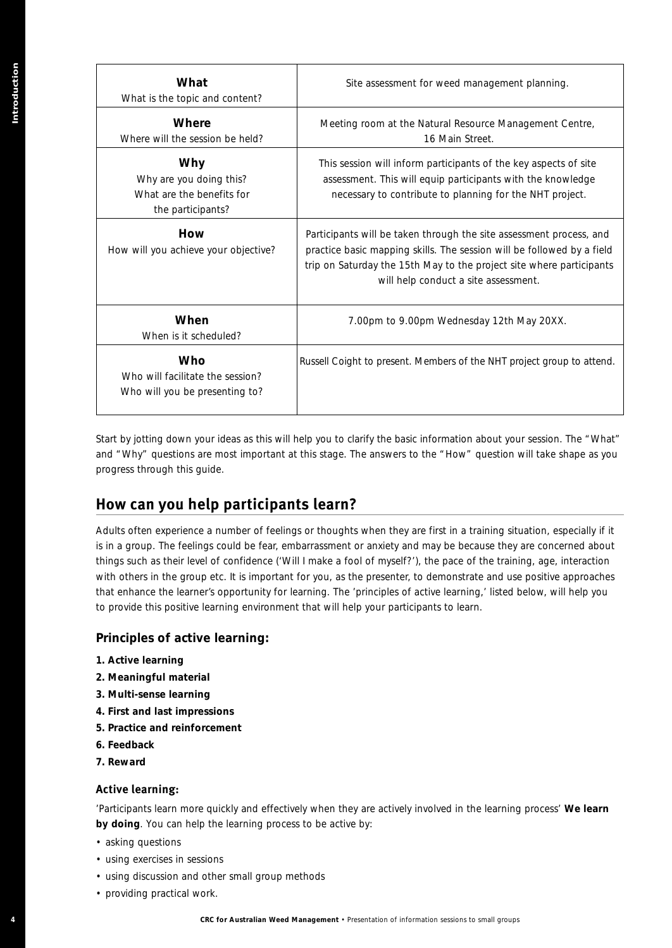| What is the topic and content?                                                                                                                                                                                                                                                                                                                                                                             | Site assessment for weed management planning.                                                                                                                                                                                                                                                                                                                                                                                                                                             |
|------------------------------------------------------------------------------------------------------------------------------------------------------------------------------------------------------------------------------------------------------------------------------------------------------------------------------------------------------------------------------------------------------------|-------------------------------------------------------------------------------------------------------------------------------------------------------------------------------------------------------------------------------------------------------------------------------------------------------------------------------------------------------------------------------------------------------------------------------------------------------------------------------------------|
| Where<br>Where will the session be held?                                                                                                                                                                                                                                                                                                                                                                   | Meeting room at the Natural Resource Management Centre,<br>16 Main Street.                                                                                                                                                                                                                                                                                                                                                                                                                |
| Why<br>Why are you doing this?<br>What are the benefits for<br>the participants?                                                                                                                                                                                                                                                                                                                           | This session will inform participants of the key aspects of site<br>assessment. This will equip participants with the knowledge<br>necessary to contribute to planning for the NHT project.                                                                                                                                                                                                                                                                                               |
| How<br>How will you achieve your objective?                                                                                                                                                                                                                                                                                                                                                                | Participants will be taken through the site assessment process, and<br>practice basic mapping skills. The session will be followed by a field<br>trip on Saturday the 15th May to the project site where participants<br>will help conduct a site assessment.                                                                                                                                                                                                                             |
| When<br>When is it scheduled?                                                                                                                                                                                                                                                                                                                                                                              | 7.00pm to 9.00pm Wednesday 12th May 20XX.                                                                                                                                                                                                                                                                                                                                                                                                                                                 |
| Who<br>Who will facilitate the session?<br>Who will you be presenting to?                                                                                                                                                                                                                                                                                                                                  | Russell Coight to present. Members of the NHT project group to attend.                                                                                                                                                                                                                                                                                                                                                                                                                    |
|                                                                                                                                                                                                                                                                                                                                                                                                            | Adults often experience a number of feelings or thoughts when they are first in a training situation, especially if it                                                                                                                                                                                                                                                                                                                                                                    |
| to provide this positive learning environment that will help your participants to learn.                                                                                                                                                                                                                                                                                                                   | is in a group. The feelings could be fear, embarrassment or anxiety and may be because they are concerned about<br>things such as their level of confidence ('Will I make a fool of myself?'), the pace of the training, age, interaction<br>with others in the group etc. It is important for you, as the presenter, to demonstrate and use positive approaches<br>that enhance the learner's opportunity for learning. The 'principles of active learning,' listed below, will help you |
| Principles of active learning:                                                                                                                                                                                                                                                                                                                                                                             |                                                                                                                                                                                                                                                                                                                                                                                                                                                                                           |
|                                                                                                                                                                                                                                                                                                                                                                                                            |                                                                                                                                                                                                                                                                                                                                                                                                                                                                                           |
| 1. Active learning<br>2. Meaningful material<br>3. Multi-sense learning<br>4. First and last impressions<br>5. Practice and reinforcement<br>6. Feedback<br>7. Reward<br><b>Active learning:</b><br>by doing. You can help the learning process to be active by:<br>• asking questions<br>• using exercises in sessions<br>• using discussion and other small group methods<br>• providing practical work. | 'Participants learn more quickly and effectively when they are actively involved in the learning process' We learn                                                                                                                                                                                                                                                                                                                                                                        |

## **How can you help participants learn?**

### **Principles of active learning:**

- **1. Active learning**
- **2. Meaningful material**
- **3. Multi-sense learning**
- **4. First and last impressions**
- **5. Practice and reinforcement**
- **6. Feedback**
- **7. Reward**

#### **Active learning:**

- asking questions
- using exercises in sessions
- using discussion and other small group methods
- providing practical work.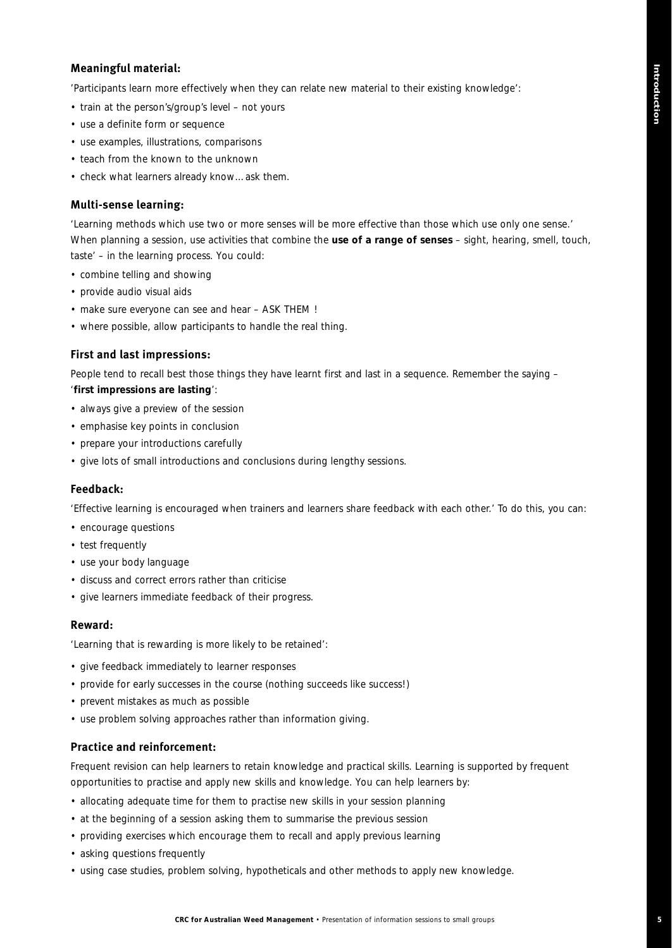#### **Meaningful material:**

'Participants learn more effectively when they can relate new material to their existing knowledge':

- train at the person's/group's level not yours
- use a definite form or sequence
- use examples, illustrations, comparisons
- teach from the known to the unknown
- check what learners already know…ask them.

#### **Multi-sense learning:**

'Learning methods which use two or more senses will be more effective than those which use only one sense.' When planning a session, use activities that combine the **use of a range of senses** – sight, hearing, smell, touch, taste' – in the learning process. You could:

- combine telling and showing
- provide audio visual aids
- make sure everyone can see and hear ASK THEM !
- where possible, allow participants to handle the real thing.

#### **First and last impressions:**

People tend to recall best those things they have learnt first and last in a sequence. Remember the saying – '**first impressions are lasting**':

- always give a preview of the session
- emphasise key points in conclusion
- prepare your introductions carefully
- give lots of small introductions and conclusions during lengthy sessions.

#### **Feedback:**

'Effective learning is encouraged when trainers and learners share feedback with each other.' To do this, you can:

- encourage questions
- test frequently
- use your body language
- discuss and correct errors rather than criticise
- give learners immediate feedback of their progress.

#### **Reward:**

'Learning that is rewarding is more likely to be retained':

- give feedback immediately to learner responses
- provide for early successes in the course (nothing succeeds like success!)
- prevent mistakes as much as possible
- use problem solving approaches rather than information giving.

#### **Practice and reinforcement:**

Frequent revision can help learners to retain knowledge and practical skills. Learning is supported by frequent opportunities to practise and apply new skills and knowledge. You can help learners by:

- allocating adequate time for them to practise new skills in your session planning
- at the beginning of a session asking them to summarise the previous session
- providing exercises which encourage them to recall and apply previous learning
- asking questions frequently
- using case studies, problem solving, hypotheticals and other methods to apply new knowledge.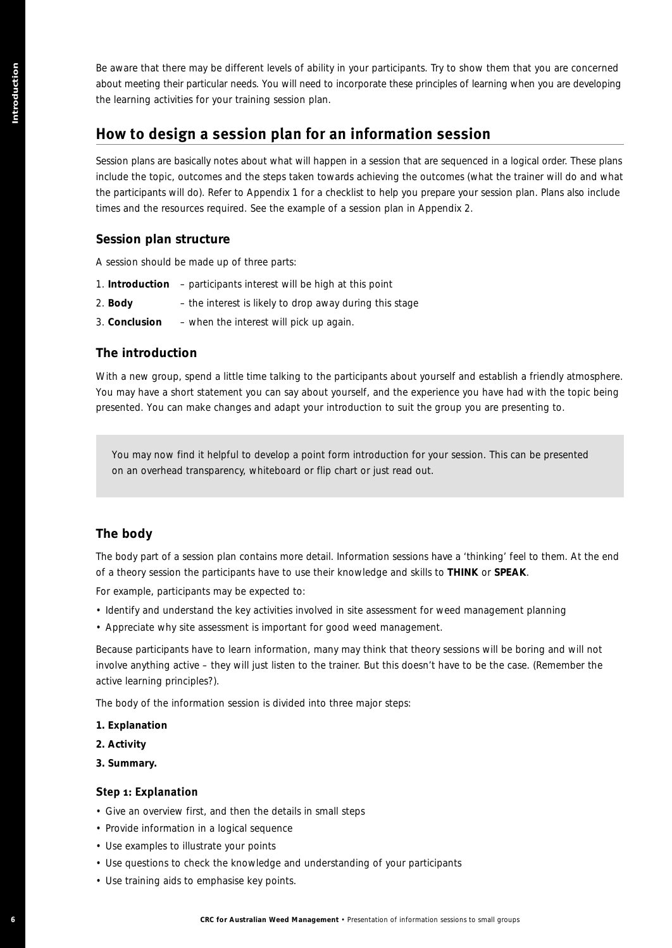Be aware that there may be different levels of ability in your participants. Try to show them that you are concerned about meeting their particular needs. You will need to incorporate these principles of learning when you are developing the learning activities for your training session plan.

## **How to design a session plan for an information session**

Session plans are basically notes about what will happen in a session that are sequenced in a logical order. These plans include the topic, outcomes and the steps taken towards achieving the outcomes (what the trainer will do and what the participants will do). Refer to Appendix 1 for a checklist to help you prepare your session plan. Plans also include times and the resources required. See the example of a session plan in Appendix 2. **Because the linear regular Different viole of individual pour spin point and to proper state the small groups of the small groups of the small groups of the small groups of the small groups of the small groups of the smal** 

### **Session plan structure**

A session should be made up of three parts:

- 1. **Introduction** participants interest will be high at this point
- 2. **Body** the interest is likely to drop away during this stage
- 3. **Conclusion**  when the interest will pick up again.

### **The introduction**

With a new group, spend a little time talking to the participants about yourself and establish a friendly atmosphere. You may have a short statement you can say about yourself, and the experience you have had with the topic being presented. You can make changes and adapt your introduction to suit the group you are presenting to.

*You may now find it helpful to develop a point form introduction for your session. This can be presented on an overhead transparency, whiteboard or flip chart or just read out.*

### **The body**

The body part of a session plan contains more detail. Information sessions have a 'thinking' feel to them. At the end of a theory session the participants have to use their knowledge and skills to **THINK** or **SPEAK**.

For example, participants may be expected to:

- Identify and understand the key activities involved in site assessment for weed management planning
- Appreciate why site assessment is important for good weed management.

Because participants have to learn information, many may think that theory sessions will be boring and will not involve anything active – they will just listen to the trainer. But this doesn't have to be the case. (Remember the active learning principles?).

The body of the information session is divided into three major steps:

- **1. Explanation**
- **2. Activity**
- **3. Summary.**

#### **Step 1: Explanation**

- Give an overview first, and then the details in small steps
- Provide information in a logical sequence
- Use examples to illustrate your points
- Use questions to check the knowledge and understanding of your participants
- Use training aids to emphasise key points.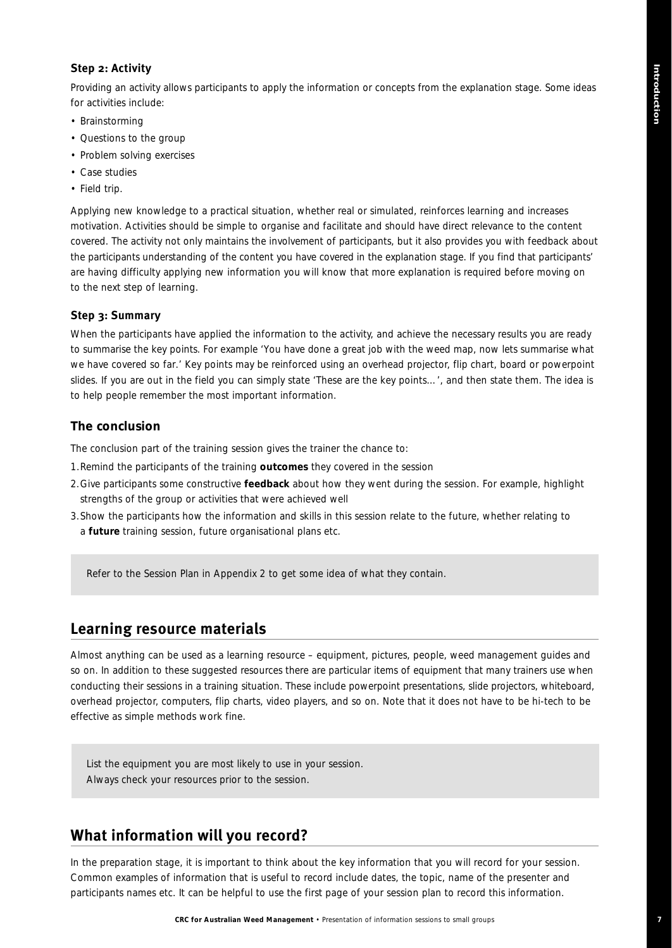#### **Step 2: Activity**

Providing an activity allows participants to apply the information or concepts from the explanation stage. Some ideas for activities include:

- Brainstorming
- Questions to the group
- Problem solving exercises
- Case studies
- Field trip.

Applying new knowledge to a practical situation, whether real or simulated, reinforces learning and increases motivation. Activities should be simple to organise and facilitate and should have direct relevance to the content covered. The activity not only maintains the involvement of participants, but it also provides you with feedback about the participants understanding of the content you have covered in the explanation stage. If you find that participants' are having difficulty applying new information you will know that more explanation is required before moving on to the next step of learning.

#### **Step 3: Summary**

When the participants have applied the information to the activity, and achieve the necessary results you are ready to summarise the key points. For example '*You have done a great job with the weed map, now lets summarise what we have covered so far*.' Key points may be reinforced using an overhead projector, flip chart, board or powerpoint slides. If you are out in the field you can simply state '*These are the key points*…', and then state them. The idea is to help people remember the most important information.

#### **The conclusion**

The conclusion part of the training session gives the trainer the chance to:

- 1.Remind the participants of the training **outcomes** they covered in the session
- 2.Give participants some constructive **feedback** about how they went during the session. For example, highlight strengths of the group or activities that were achieved well
- 3.Show the participants how the information and skills in this session relate to the future, whether relating to a **future** training session, future organisational plans etc.

*Refer to the Session Plan in Appendix 2 to get some idea of what they contain.* 

### **Learning resource materials**

Almost anything can be used as a learning resource – equipment, pictures, people, weed management guides and so on. In addition to these suggested resources there are particular items of equipment that many trainers use when conducting their sessions in a training situation. These include powerpoint presentations, slide projectors, whiteboard, overhead projector, computers, flip charts, video players, and so on. Note that it does not have to be hi-tech to be effective as simple methods work fine.

*List the equipment you are most likely to use in your session. Always check your resources prior to the session.*

### **What information will you record?**

In the preparation stage, it is important to think about the key information that you will record for your session. Common examples of information that is useful to record include dates, the topic, name of the presenter and participants names etc. It can be helpful to use the first page of your session plan to record this information.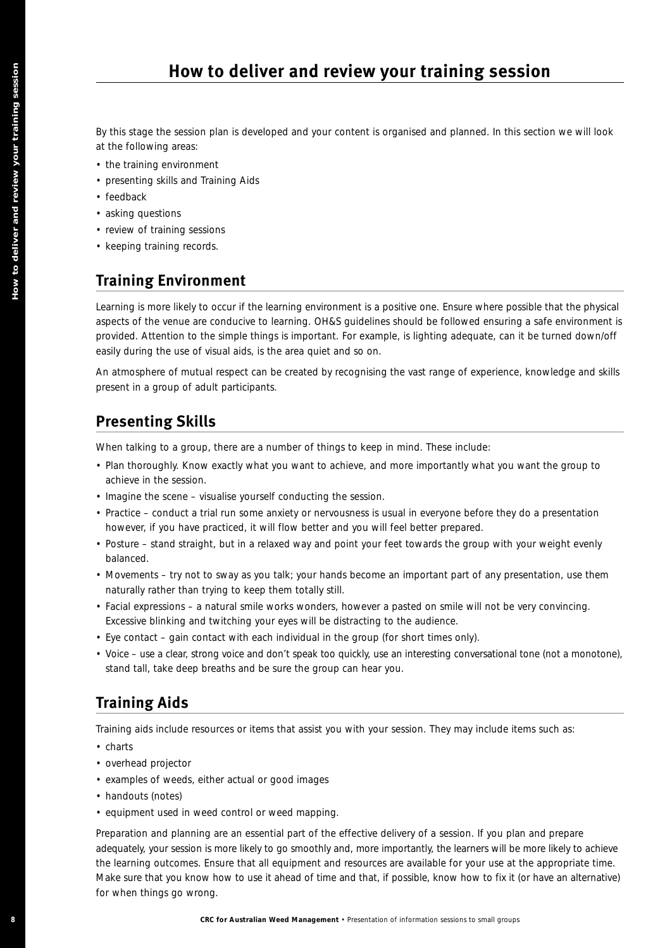By this stage the session plan is developed and your content is organised and planned. In this section we will look at the following areas:

- the training environment
- presenting skills and Training Aids
- feedback
- asking questions
- review of training sessions
- keeping training records.

## **Training Environment**

Learning is more likely to occur if the learning environment is a positive one. Ensure where possible that the physical aspects of the venue are conducive to learning. OH&S guidelines should be followed ensuring a safe environment is provided. Attention to the simple things is important. For example, is lighting adequate, can it be turned down/off easily during the use of visual aids, is the area quiet and so on.

An atmosphere of mutual respect can be created by recognising the vast range of experience, knowledge and skills present in a group of adult participants.

## **Presenting Skills**

When talking to a group, there are a number of things to keep in mind. These include:

- Plan thoroughly. Know exactly what you want to achieve, and more importantly what you want the group to achieve in the session.
- Imagine the scene visualise yourself conducting the session.
- Practice conduct a trial run some anxiety or nervousness is usual in everyone before they do a presentation however, if you have practiced, it will flow better and you will feel better prepared.
- Posture stand straight, but in a relaxed way and point your feet towards the group with your weight evenly balanced.
- Movements try not to sway as you talk; your hands become an important part of any presentation, use them naturally rather than trying to keep them totally still.
- Facial expressions a natural smile works wonders, however a pasted on smile will not be very convincing. Excessive blinking and twitching your eyes will be distracting to the audience.
- Eye contact gain contact with each individual in the group (for short times only).
- Voice use a clear, strong voice and don't speak too quickly, use an interesting conversational tone (not a monotone), stand tall, take deep breaths and be sure the group can hear you.

# **Training Aids**

Training aids include resources or items that assist you with your session. They may include items such as:

- charts
- overhead projector
- examples of weeds, either actual or good images
- handouts (notes)
- equipment used in weed control or weed mapping.

Preparation and planning are an essential part of the effective delivery of a session. If you plan and prepare adequately, your session is more likely to go smoothly and, more importantly, the learners will be more likely to achieve the learning outcomes. Ensure that all equipment and resources are available for your use at the appropriate time. Make sure that you know how to use it ahead of time and that, if possible, know how to fix it (or have an alternative) for when things go wrong. **EXECUTE 20 CRC FOR FORD CONTINUOS CONTINUOS CONTINUOS CONTINUOS CONTINUOS CONTINUOS CONTINUOS CONTINUOS CONTINUOS CONTINUOS CONTINUOS CONTINUOS CONTINUOS CONTINUOS CONTINUOS CONTINUOS CONTINUOS CONTINUOS CONTINUOS CONTINU**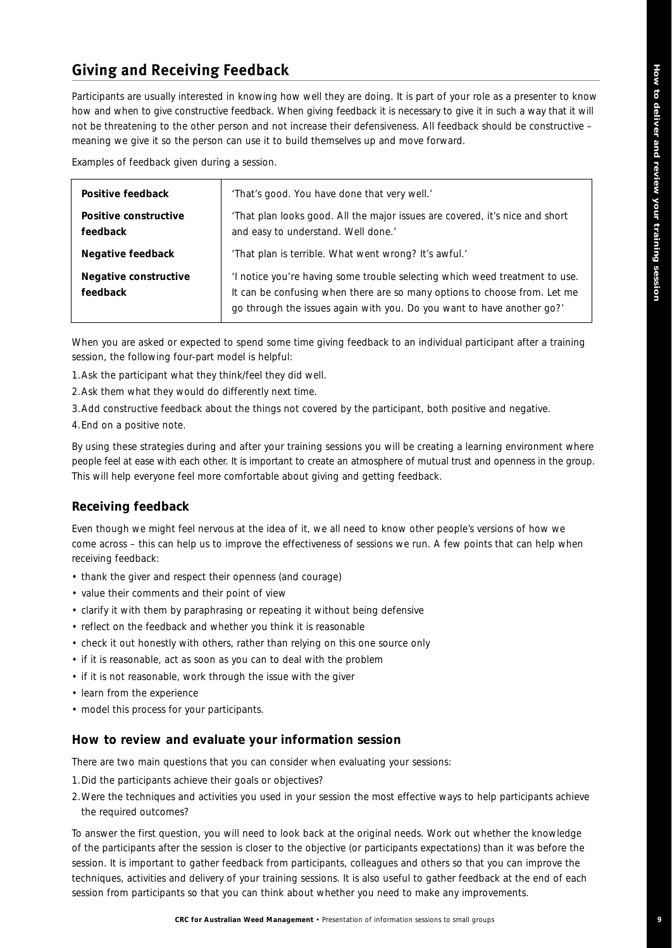## **Giving and Receiving Feedback**

Participants are usually interested in knowing how well they are doing. It is part of your role as a presenter to know how and when to give constructive feedback. When giving feedback it is necessary to give it in such a way that it will not be threatening to the other person and not increase their defensiveness. All feedback should be constructive – meaning we give it so the person can use it to build themselves up and move forward.

Examples of feedback given during a session.

| Positive feedback                 | 'That's good. You have done that very well.'                                                                                                                                                                                       |
|-----------------------------------|------------------------------------------------------------------------------------------------------------------------------------------------------------------------------------------------------------------------------------|
| Positive constructive<br>feedback | 'That plan looks good. All the major issues are covered, it's nice and short<br>and easy to understand. Well done.'                                                                                                                |
| Negative feedback                 | 'That plan is terrible. What went wrong? It's awful.'                                                                                                                                                                              |
| Negative constructive<br>feedback | 'I notice you're having some trouble selecting which weed treatment to use.<br>It can be confusing when there are so many options to choose from. Let me<br>go through the issues again with you. Do you want to have another go?' |

When you are asked or expected to spend some time giving feedback to an individual participant after a training session, the following four-part model is helpful:

1.Ask the participant what they think/feel they did well.

2.Ask them what they would do differently next time.

3.Add constructive feedback about the things not covered by the participant, both positive and negative.

4.End on a positive note.

By using these strategies during and after your training sessions you will be creating a learning environment where people feel at ease with each other. It is important to create an atmosphere of mutual trust and openness in the group. This will help everyone feel more comfortable about giving and getting feedback.

#### **Receiving feedback**

Even though we might feel nervous at the idea of it, we all need to know other people's versions of how we come across – this can help us to improve the effectiveness of sessions we run. A few points that can help when receiving feedback:

- thank the giver and respect their openness (and courage)
- value their comments and their point of view
- clarify it with them by paraphrasing or repeating it without being defensive
- reflect on the feedback and whether you think it is reasonable
- check it out honestly with others, rather than relying on this one source only
- if it is reasonable, act as soon as you can to deal with the problem
- if it is not reasonable, work through the issue with the giver
- learn from the experience
- model this process for your participants.

#### **How to review and evaluate your information session**

There are two main questions that you can consider when evaluating your sessions:

- 1.Did the participants achieve their goals or objectives?
- 2.Were the techniques and activities you used in your session the most effective ways to help participants achieve the required outcomes?

To answer the first question, you will need to look back at the original needs. Work out whether the knowledge of the participants after the session is closer to the objective (or participants expectations) than it was before the session. It is important to gather feedback from participants, colleagues and others so that you can improve the techniques, activities and delivery of your training sessions. It is also useful to gather feedback at the end of each session from participants so that you can think about whether you need to make any improvements.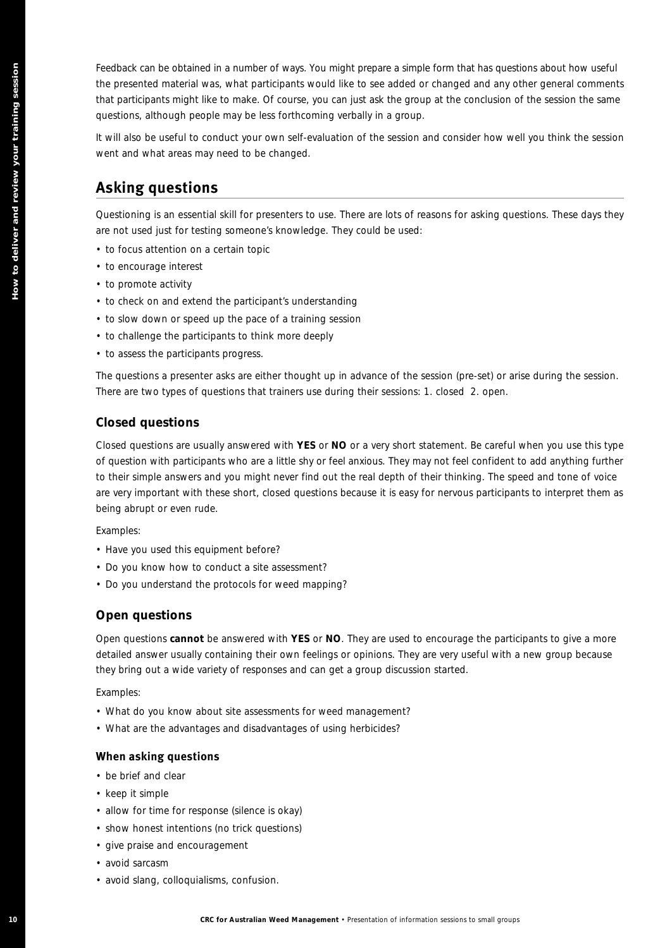Feedback can be obtained in a number of ways. You might prepare a simple form that has questions about how useful the presented material was, what participants would like to see added or changed and any other general comments that participants might like to make. Of course, you can just ask the group at the conclusion of the session the same questions, although people may be less forthcoming verbally in a group.

It will also be useful to conduct your own self-evaluation of the session and consider how well you think the session went and what areas may need to be changed.

## **Asking questions**

Questioning is an essential skill for presenters to use. There are lots of reasons for asking questions. These days they are not used just for testing someone's knowledge. They could be used:

- to focus attention on a certain topic
- to encourage interest
- to promote activity
- to check on and extend the participant's understanding
- to slow down or speed up the pace of a training session
- to challenge the participants to think more deeply
- to assess the participants progress.

The questions a presenter asks are either thought up in advance of the session (pre-set) or arise during the session. There are two types of questions that trainers use during their sessions: 1. closed 2. open.

#### **Closed questions**

Closed questions are usually answered with **YES** or **NO** or a very short statement. Be careful when you use this type of question with participants who are a little shy or feel anxious. They may not feel confident to add anything further to their simple answers and you might never find out the real depth of their thinking. The speed and tone of voice are very important with these short, closed questions because it is easy for nervous participants to interpret them as being abrupt or even rude. **In the cast of the cast of the formation of veget the rest of information of information of information of information of information of information of information sessions to the cast of information sessions to the cast** 

Examples:

- *Have you used this equipment before?*
- *Do you know how to conduct a site assessment?*
- *Do you understand the protocols for weed mapping?*

#### **Open questions**

Open questions **cannot** be answered with **YES** or **NO**. They are used to encourage the participants to give a more detailed answer usually containing their own feelings or opinions. They are very useful with a new group because they bring out a wide variety of responses and can get a group discussion started.

Examples:

- *What do you know about site assessments for weed management?*
- *What are the advantages and disadvantages of using herbicides?*

#### **When asking questions**

- be brief and clear
- keep it simple
- allow for time for response (silence is okay)
- show honest intentions (no trick questions)
- give praise and encouragement
- avoid sarcasm
- avoid slang, colloquialisms, confusion.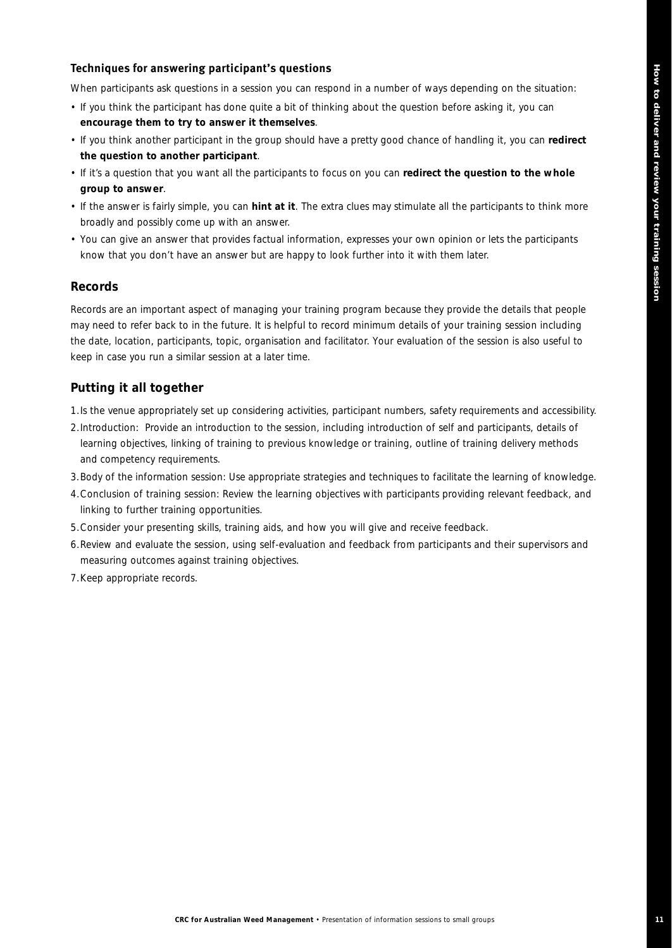#### **Techniques for answering participant's questions**

When participants ask questions in a session you can respond in a number of ways depending on the situation:

- If you think the participant has done quite a bit of thinking about the question before asking it, you can **encourage them to try to answer it themselves**.
- If you think another participant in the group should have a pretty good chance of handling it, you can **redirect the question to another participant**.
- If it's a question that you want all the participants to focus on you can **redirect the question to the whole group to answer**.
- If the answer is fairly simple, you can **hint at it**. The extra clues may stimulate all the participants to think more broadly and possibly come up with an answer.
- You can give an answer that provides factual information, expresses your own opinion or lets the participants know that you don't have an answer but are happy to look further into it with them later.

#### **Records**

Records are an important aspect of managing your training program because they provide the details that people may need to refer back to in the future. It is helpful to record minimum details of your training session including the date, location, participants, topic, organisation and facilitator. Your evaluation of the session is also useful to keep in case you run a similar session at a later time.

#### **Putting it all together**

- 1.Is the venue appropriately set up considering activities, participant numbers, safety requirements and accessibility.
- 2.Introduction: Provide an introduction to the session, including introduction of self and participants, details of learning objectives, linking of training to previous knowledge or training, outline of training delivery methods and competency requirements.
- 3.Body of the information session: Use appropriate strategies and techniques to facilitate the learning of knowledge.
- 4.Conclusion of training session: Review the learning objectives with participants providing relevant feedback, and linking to further training opportunities.
- 5.Consider your presenting skills, training aids, and how you will give and receive feedback.
- 6.Review and evaluate the session, using self-evaluation and feedback from participants and their supervisors and measuring outcomes against training objectives.
- 7.Keep appropriate records.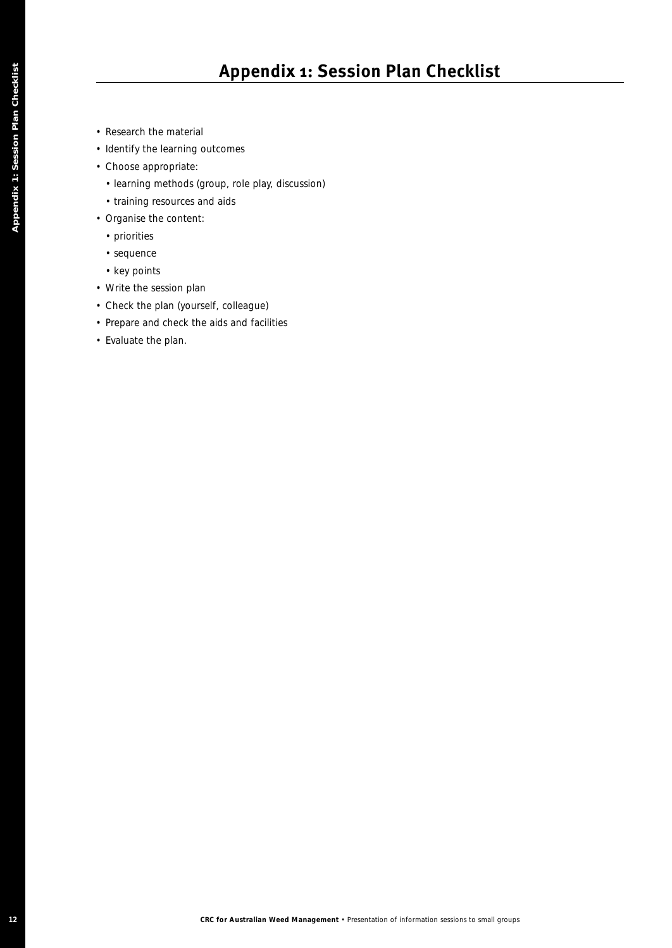- Research the material
- Identify the learning outcomes
- Choose appropriate:
	- learning methods (group, role play, discussion)
	- training resources and aids
- Organise the content:
	- priorities
	- sequence
	- key points
- Write the session plan
- Check the plan (yourself, colleague)
- Prepare and check the aids and facilities
- Evaluate the plan.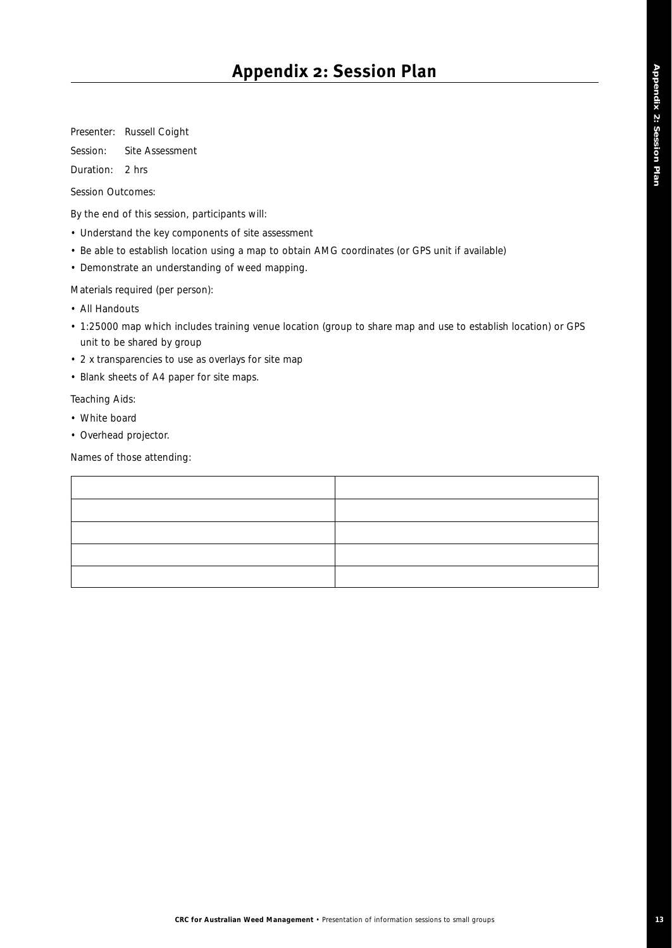Presenter: Russell Coight

Session: Site Assessment

Duration: 2 hrs

Session Outcomes:

By the end of this session, participants will:

- Understand the key components of site assessment
- Be able to establish location using a map to obtain AMG coordinates (or GPS unit if available)
- Demonstrate an understanding of weed mapping.

Materials required (per person):

- All Handouts
- 1:25000 map which includes training venue location (group to share map and use to establish location) or GPS unit to be shared by group
- 2 x transparencies to use as overlays for site map
- Blank sheets of A4 paper for site maps.

Teaching Aids:

- White board
- Overhead projector.

Names of those attending: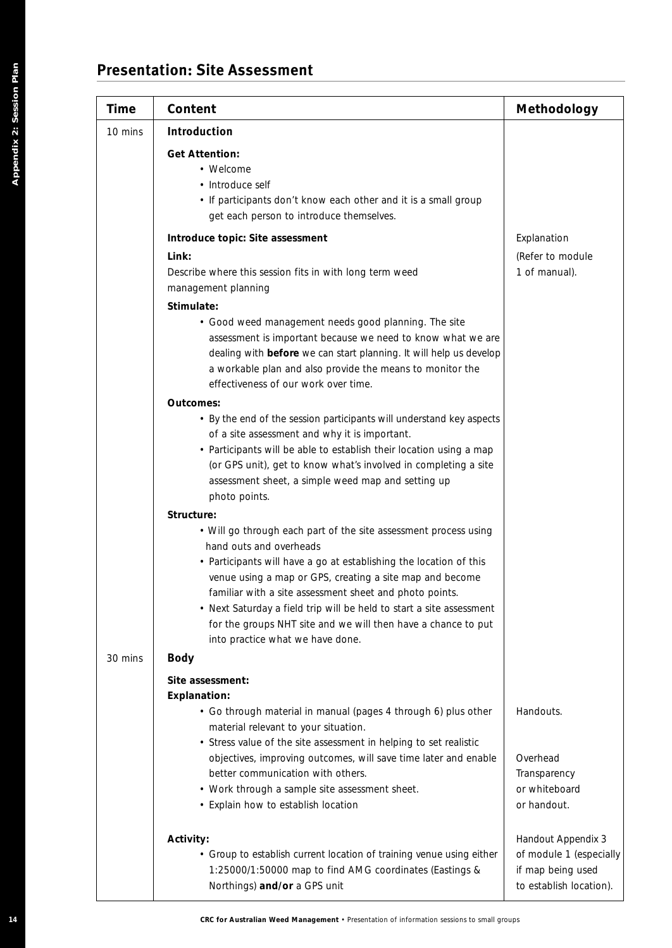## **Presentation: Site Assessment**

| Time    | Content                                                                                     | Methodology                                  |
|---------|---------------------------------------------------------------------------------------------|----------------------------------------------|
| 10 mins | Introduction                                                                                |                                              |
|         | <b>Get Attention:</b>                                                                       |                                              |
|         | • Welcome                                                                                   |                                              |
|         | • Introduce self                                                                            |                                              |
|         | • If participants don't know each other and it is a small group                             |                                              |
|         | get each person to introduce themselves.                                                    |                                              |
|         | Introduce topic: Site assessment                                                            | Explanation                                  |
|         | Link:                                                                                       | (Refer to module                             |
|         | Describe where this session fits in with long term weed<br>management planning              | 1 of manual).                                |
|         | Stimulate:                                                                                  |                                              |
|         | • Good weed management needs good planning. The site                                        |                                              |
|         | assessment is important because we need to know what we are                                 |                                              |
|         | dealing with before we can start planning. It will help us develop                          |                                              |
|         | a workable plan and also provide the means to monitor the                                   |                                              |
|         | effectiveness of our work over time.                                                        |                                              |
|         | Outcomes:                                                                                   |                                              |
|         | • By the end of the session participants will understand key aspects                        |                                              |
|         | of a site assessment and why it is important.                                               |                                              |
|         | • Participants will be able to establish their location using a map                         |                                              |
|         | (or GPS unit), get to know what's involved in completing a site                             |                                              |
|         | assessment sheet, a simple weed map and setting up<br>photo points.                         |                                              |
|         |                                                                                             |                                              |
|         | Structure:                                                                                  |                                              |
|         | • Will go through each part of the site assessment process using<br>hand outs and overheads |                                              |
|         | • Participants will have a go at establishing the location of this                          |                                              |
|         | venue using a map or GPS, creating a site map and become                                    |                                              |
|         | familiar with a site assessment sheet and photo points.                                     |                                              |
|         | • Next Saturday a field trip will be held to start a site assessment                        |                                              |
|         | for the groups NHT site and we will then have a chance to put                               |                                              |
|         | into practice what we have done.                                                            |                                              |
| 30 mins | <b>Body</b>                                                                                 |                                              |
|         | Site assessment:                                                                            |                                              |
|         | <b>Explanation:</b>                                                                         |                                              |
|         | • Go through material in manual (pages 4 through 6) plus other                              | Handouts.                                    |
|         | material relevant to your situation.                                                        |                                              |
|         | • Stress value of the site assessment in helping to set realistic                           |                                              |
|         | objectives, improving outcomes, will save time later and enable                             | Overhead                                     |
|         | better communication with others.                                                           | Transparency                                 |
|         | • Work through a sample site assessment sheet.<br>• Explain how to establish location       | or whiteboard<br>or handout.                 |
|         |                                                                                             |                                              |
|         | Activity:                                                                                   | Handout Appendix 3                           |
|         | • Group to establish current location of training venue using either                        | of module 1 (especially<br>if map being used |
|         | 1:25000/1:50000 map to find AMG coordinates (Eastings &<br>Northings) and/or a GPS unit     | to establish location).                      |
|         |                                                                                             |                                              |